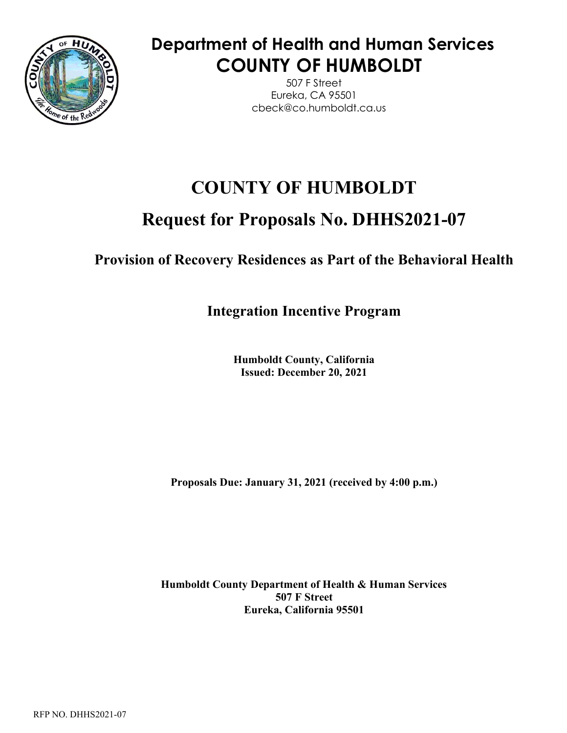

# **Department of Health and Human Services COUNTY OF HUMBOLDT**

507 F Street Eureka, CA 95501 cbeck@co.humboldt.ca.us

# **COUNTY OF HUMBOLDT**

# **Request for Proposals No. DHHS2021-07**

**Provision of Recovery Residences as Part of the Behavioral Health** 

**Integration Incentive Program**

**Humboldt County, California Issued: December 20, 2021** 

**Proposals Due: January 31, 2021 (received by 4:00 p.m.)** 

**Humboldt County Department of Health & Human Services 507 F Street Eureka, California 95501**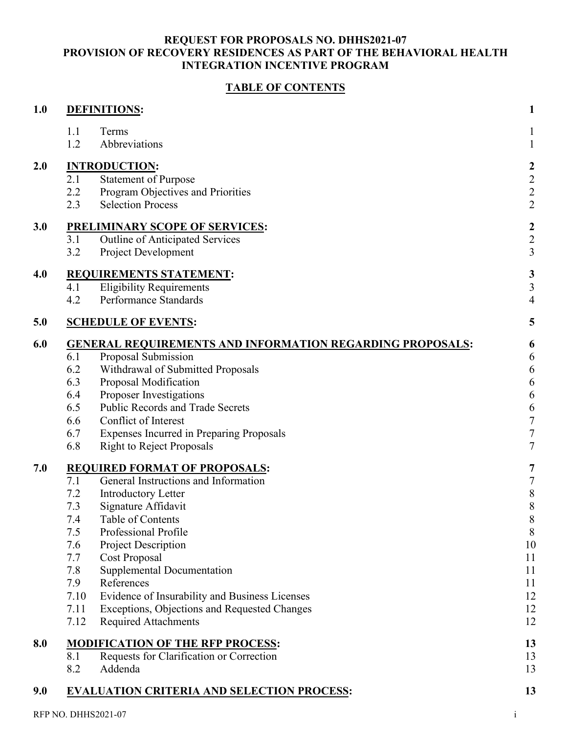### **TABLE OF CONTENTS**

| 1.0 | <b>DEFINITIONS:</b>                                              | $\mathbf{1}$     |
|-----|------------------------------------------------------------------|------------------|
|     | 1.1<br>Terms                                                     |                  |
|     | 1.2<br>Abbreviations                                             | $\mathbf{1}$     |
| 2.0 | <b>INTRODUCTION:</b>                                             | $\boldsymbol{2}$ |
|     | <b>Statement of Purpose</b><br>2.1                               | $\overline{c}$   |
|     | 2.2<br>Program Objectives and Priorities                         | $\overline{c}$   |
|     | <b>Selection Process</b><br>2.3                                  | $\overline{2}$   |
| 3.0 | <b>PRELIMINARY SCOPE OF SERVICES:</b>                            | $\boldsymbol{2}$ |
|     | Outline of Anticipated Services<br>3.1                           | $\overline{c}$   |
|     | 3.2<br><b>Project Development</b>                                | $\mathfrak{Z}$   |
| 4.0 | <b>REQUIREMENTS STATEMENT:</b>                                   | 3                |
|     | <b>Eligibility Requirements</b><br>4.1                           | 3                |
|     | Performance Standards<br>4.2                                     | $\overline{4}$   |
| 5.0 | <b>SCHEDULE OF EVENTS:</b>                                       | 5                |
| 6.0 | <b>GENERAL REQUIREMENTS AND INFORMATION REGARDING PROPOSALS:</b> | 6                |
|     | Proposal Submission<br>6.1                                       | 6                |
|     | 6.2<br>Withdrawal of Submitted Proposals                         | 6                |
|     | 6.3<br>Proposal Modification                                     | 6                |
|     | Proposer Investigations<br>6.4                                   | 6                |
|     | <b>Public Records and Trade Secrets</b><br>6.5                   | 6                |
|     | Conflict of Interest<br>6.6                                      | $\sqrt{ }$       |
|     | 6.7<br>Expenses Incurred in Preparing Proposals                  | $\sqrt{ }$       |
|     | 6.8<br><b>Right to Reject Proposals</b>                          | $\overline{7}$   |
| 7.0 | <b>REQUIRED FORMAT OF PROPOSALS:</b>                             | 7                |
|     | General Instructions and Information<br>7.1                      | $\sqrt{ }$       |
|     | 7.2<br><b>Introductory Letter</b>                                | $\,$ $\,$        |
|     | 7.3<br>Signature Affidavit                                       | 8                |
|     | 7.4<br>Table of Contents                                         | $\,8\,$          |
|     | Professional Profile<br>7.5                                      | 8                |
|     | Project Description<br>7.6                                       | 10               |
|     | 7.7<br>Cost Proposal                                             | 11               |
|     | 7.8<br>Supplemental Documentation                                | 11               |
|     | References<br>7.9                                                | 11               |
|     | Evidence of Insurability and Business Licenses<br>7.10           | 12               |
|     | 7.11<br>Exceptions, Objections and Requested Changes             | 12               |
|     | 7.12<br><b>Required Attachments</b>                              | 12               |
| 8.0 | <b>MODIFICATION OF THE RFP PROCESS:</b>                          | 13               |
|     | Requests for Clarification or Correction<br>8.1                  | 13               |
|     | 8.2<br>Addenda                                                   | 13               |
| 9.0 | <b>EVALUATION CRITERIA AND SELECTION PROCESS:</b>                | 13               |
|     |                                                                  |                  |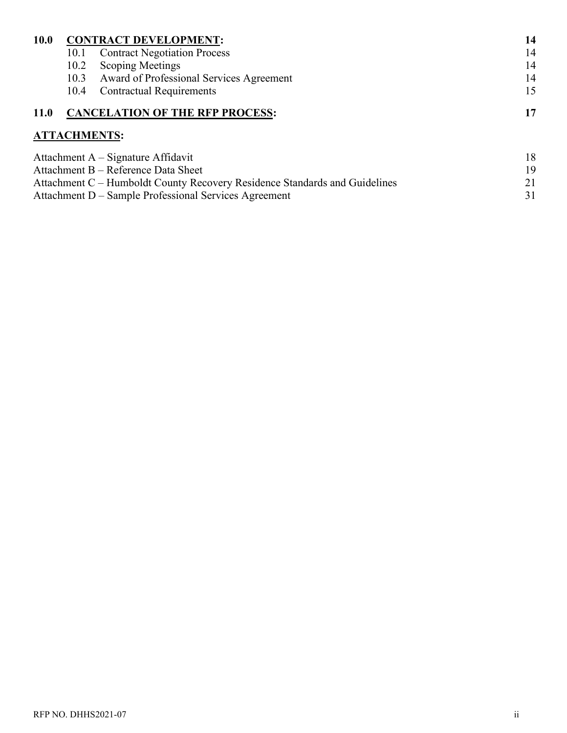| <b>10.0</b>                         |      | <b>CONTRACT DEVELOPMENT:</b>                  | 14 |
|-------------------------------------|------|-----------------------------------------------|----|
|                                     | 10.1 | <b>Contract Negotiation Process</b>           | 14 |
|                                     | 10.2 | <b>Scoping Meetings</b>                       | 14 |
|                                     |      | 10.3 Award of Professional Services Agreement | 14 |
|                                     | 10.4 | <b>Contractual Requirements</b>               | 15 |
| <b>11.0</b>                         |      | <b>CANCELATION OF THE RFP PROCESS:</b>        |    |
|                                     |      | <b>ATTACHMENTS:</b>                           |    |
|                                     |      | Attachment $A -$ Signature Affidavit          | 18 |
| Attachment B - Reference Data Sheet |      |                                               | 19 |

Attachment C – Humboldt County Recovery Residence Standards and Guidelines 21 Attachment D – Sample Professional Services Agreement 31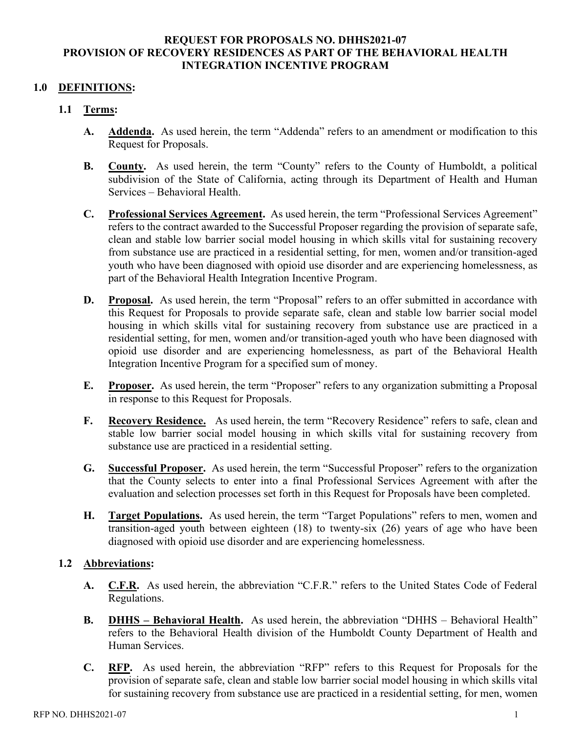#### **1.0 DEFINITIONS:**

#### **1.1 Terms:**

- **A. Addenda.** As used herein, the term "Addenda" refers to an amendment or modification to this Request for Proposals.
- **B. County.** As used herein, the term "County" refers to the County of Humboldt, a political subdivision of the State of California, acting through its Department of Health and Human Services – Behavioral Health.
- **C. Professional Services Agreement.** As used herein, the term "Professional Services Agreement" refers to the contract awarded to the Successful Proposer regarding the provision of separate safe, clean and stable low barrier social model housing in which skills vital for sustaining recovery from substance use are practiced in a residential setting, for men, women and/or transition-aged youth who have been diagnosed with opioid use disorder and are experiencing homelessness, as part of the Behavioral Health Integration Incentive Program.
- **D. Proposal.** As used herein, the term "Proposal" refers to an offer submitted in accordance with this Request for Proposals to provide separate safe, clean and stable low barrier social model housing in which skills vital for sustaining recovery from substance use are practiced in a residential setting, for men, women and/or transition-aged youth who have been diagnosed with opioid use disorder and are experiencing homelessness, as part of the Behavioral Health Integration Incentive Program for a specified sum of money.
- **E. Proposer.** As used herein, the term "Proposer" refers to any organization submitting a Proposal in response to this Request for Proposals.
- **F. Recovery Residence.** As used herein, the term "Recovery Residence" refers to safe, clean and stable low barrier social model housing in which skills vital for sustaining recovery from substance use are practiced in a residential setting.
- **G. Successful Proposer.** As used herein, the term "Successful Proposer" refers to the organization that the County selects to enter into a final Professional Services Agreement with after the evaluation and selection processes set forth in this Request for Proposals have been completed.
- **H. Target Populations.** As used herein, the term "Target Populations" refers to men, women and transition-aged youth between eighteen (18) to twenty-six (26) years of age who have been diagnosed with opioid use disorder and are experiencing homelessness.

#### **1.2 Abbreviations:**

- **A. C.F.R.** As used herein, the abbreviation "C.F.R." refers to the United States Code of Federal Regulations.
- **B. DHHS – Behavioral Health.** As used herein, the abbreviation "DHHS Behavioral Health" refers to the Behavioral Health division of the Humboldt County Department of Health and Human Services.
- **C. RFP.** As used herein, the abbreviation "RFP" refers to this Request for Proposals for the provision of separate safe, clean and stable low barrier social model housing in which skills vital for sustaining recovery from substance use are practiced in a residential setting, for men, women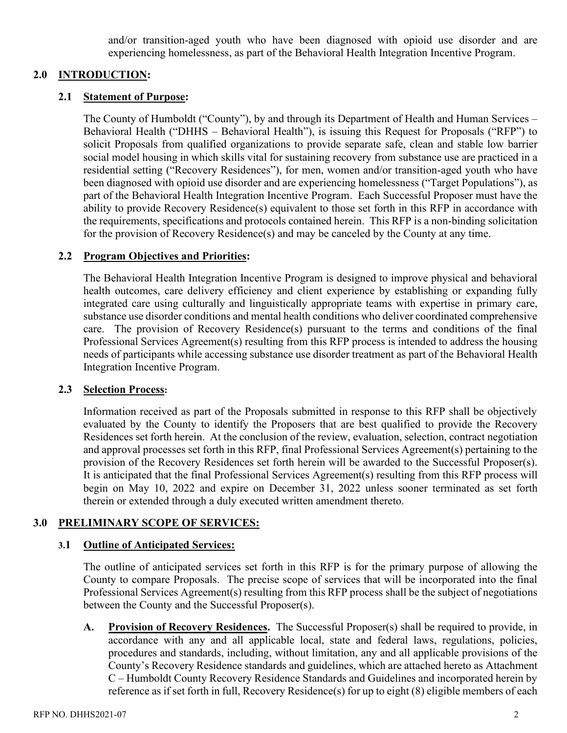and/or transition-aged youth who have been diagnosed with opioid use disorder and are experiencing homelessness, as part of the Behavioral Health Integration Incentive Program.

#### **2.0 INTRODUCTION:**

#### **2.1 Statement of Purpose:**

The County of Humboldt ("County"), by and through its Department of Health and Human Services – Behavioral Health ("DHHS – Behavioral Health"), is issuing this Request for Proposals ("RFP") to solicit Proposals from qualified organizations to provide separate safe, clean and stable low barrier social model housing in which skills vital for sustaining recovery from substance use are practiced in a residential setting ("Recovery Residences"), for men, women and/or transition-aged youth who have been diagnosed with opioid use disorder and are experiencing homelessness ("Target Populations"), as part of the Behavioral Health Integration Incentive Program. Each Successful Proposer must have the ability to provide Recovery Residence(s) equivalent to those set forth in this RFP in accordance with the requirements, specifications and protocols contained herein. This RFP is a non-binding solicitation for the provision of Recovery Residence(s) and may be canceled by the County at any time.

#### **2.2 Program Objectives and Priorities:**

The Behavioral Health Integration Incentive Program is designed to improve physical and behavioral health outcomes, care delivery efficiency and client experience by establishing or expanding fully integrated care using culturally and linguistically appropriate teams with expertise in primary care, substance use disorder conditions and mental health conditions who deliver coordinated comprehensive care. The provision of Recovery Residence(s) pursuant to the terms and conditions of the final Professional Services Agreement(s) resulting from this RFP process is intended to address the housing needs of participants while accessing substance use disorder treatment as part of the Behavioral Health Integration Incentive Program.

#### **2.3 Selection Process:**

Information received as part of the Proposals submitted in response to this RFP shall be objectively evaluated by the County to identify the Proposers that are best qualified to provide the Recovery Residences set forth herein. At the conclusion of the review, evaluation, selection, contract negotiation and approval processes set forth in this RFP, final Professional Services Agreement(s) pertaining to the provision of the Recovery Residences set forth herein will be awarded to the Successful Proposer(s). It is anticipated that the final Professional Services Agreement(s) resulting from this RFP process will begin on May 10, 2022 and expire on December 31, 2022 unless sooner terminated as set forth therein or extended through a duly executed written amendment thereto.

#### **3.0 PRELIMINARY SCOPE OF SERVICES:**

#### **3.1 Outline of Anticipated Services:**

The outline of anticipated services set forth in this RFP is for the primary purpose of allowing the County to compare Proposals. The precise scope of services that will be incorporated into the final Professional Services Agreement(s) resulting from this RFP process shall be the subject of negotiations between the County and the Successful Proposer(s).

**A. Provision of Recovery Residences.** The Successful Proposer(s) shall be required to provide, in accordance with any and all applicable local, state and federal laws, regulations, policies, procedures and standards, including, without limitation, any and all applicable provisions of the County's Recovery Residence standards and guidelines, which are attached hereto as Attachment C – Humboldt County Recovery Residence Standards and Guidelines and incorporated herein by reference as if set forth in full, Recovery Residence(s) for up to eight (8) eligible members of each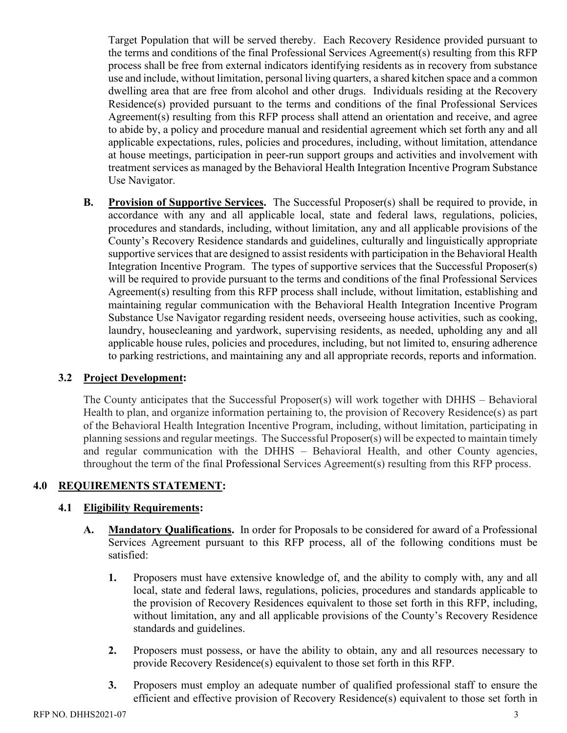Target Population that will be served thereby. Each Recovery Residence provided pursuant to the terms and conditions of the final Professional Services Agreement(s) resulting from this RFP process shall be free from external indicators identifying residents as in recovery from substance use and include, without limitation, personal living quarters, a shared kitchen space and a common dwelling area that are free from alcohol and other drugs. Individuals residing at the Recovery Residence(s) provided pursuant to the terms and conditions of the final Professional Services Agreement(s) resulting from this RFP process shall attend an orientation and receive, and agree to abide by, a policy and procedure manual and residential agreement which set forth any and all applicable expectations, rules, policies and procedures, including, without limitation, attendance at house meetings, participation in peer-run support groups and activities and involvement with treatment services as managed by the Behavioral Health Integration Incentive Program Substance Use Navigator.

**B. Provision of Supportive Services.** The Successful Proposer(s) shall be required to provide, in accordance with any and all applicable local, state and federal laws, regulations, policies, procedures and standards, including, without limitation, any and all applicable provisions of the County's Recovery Residence standards and guidelines, culturally and linguistically appropriate supportive services that are designed to assist residents with participation in the Behavioral Health Integration Incentive Program. The types of supportive services that the Successful Proposer(s) will be required to provide pursuant to the terms and conditions of the final Professional Services Agreement(s) resulting from this RFP process shall include, without limitation, establishing and maintaining regular communication with the Behavioral Health Integration Incentive Program Substance Use Navigator regarding resident needs, overseeing house activities, such as cooking, laundry, housecleaning and yardwork, supervising residents, as needed, upholding any and all applicable house rules, policies and procedures, including, but not limited to, ensuring adherence to parking restrictions, and maintaining any and all appropriate records, reports and information.

## **3.2 Project Development:**

The County anticipates that the Successful Proposer(s) will work together with DHHS – Behavioral Health to plan, and organize information pertaining to, the provision of Recovery Residence(s) as part of the Behavioral Health Integration Incentive Program, including, without limitation, participating in planning sessions and regular meetings. The Successful Proposer(s) will be expected to maintain timely and regular communication with the DHHS – Behavioral Health, and other County agencies, throughout the term of the final Professional Services Agreement(s) resulting from this RFP process.

## **4.0 REQUIREMENTS STATEMENT:**

## **4.1 Eligibility Requirements:**

- **A. Mandatory Qualifications.** In order for Proposals to be considered for award of a Professional Services Agreement pursuant to this RFP process, all of the following conditions must be satisfied:
	- **1.** Proposers must have extensive knowledge of, and the ability to comply with, any and all local, state and federal laws, regulations, policies, procedures and standards applicable to the provision of Recovery Residences equivalent to those set forth in this RFP, including, without limitation, any and all applicable provisions of the County's Recovery Residence standards and guidelines.
	- **2.** Proposers must possess, or have the ability to obtain, any and all resources necessary to provide Recovery Residence(s) equivalent to those set forth in this RFP.
	- **3.** Proposers must employ an adequate number of qualified professional staff to ensure the efficient and effective provision of Recovery Residence(s) equivalent to those set forth in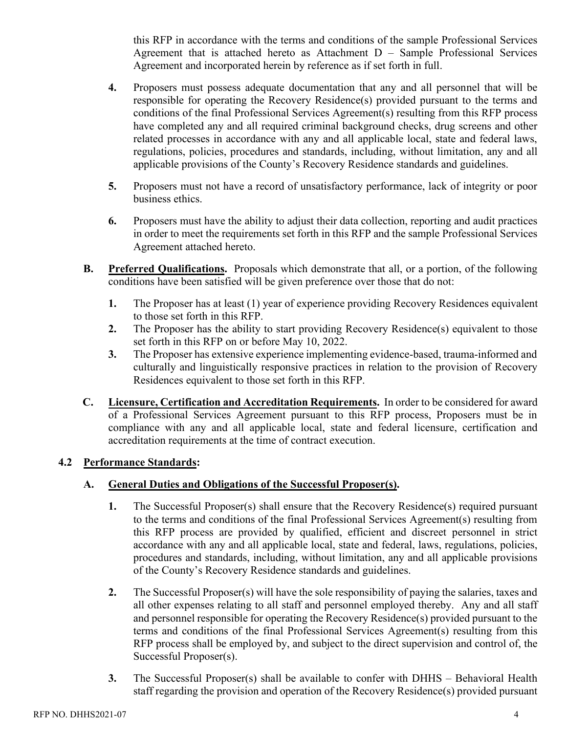this RFP in accordance with the terms and conditions of the sample Professional Services Agreement that is attached hereto as Attachment D – Sample Professional Services Agreement and incorporated herein by reference as if set forth in full.

- **4.** Proposers must possess adequate documentation that any and all personnel that will be responsible for operating the Recovery Residence(s) provided pursuant to the terms and conditions of the final Professional Services Agreement(s) resulting from this RFP process have completed any and all required criminal background checks, drug screens and other related processes in accordance with any and all applicable local, state and federal laws, regulations, policies, procedures and standards, including, without limitation, any and all applicable provisions of the County's Recovery Residence standards and guidelines.
- **5.** Proposers must not have a record of unsatisfactory performance, lack of integrity or poor business ethics.
- **6.** Proposers must have the ability to adjust their data collection, reporting and audit practices in order to meet the requirements set forth in this RFP and the sample Professional Services Agreement attached hereto.
- **B. Preferred Qualifications.** Proposals which demonstrate that all, or a portion, of the following conditions have been satisfied will be given preference over those that do not:
	- **1.** The Proposer has at least (1) year of experience providing Recovery Residences equivalent to those set forth in this RFP.
	- **2.** The Proposer has the ability to start providing Recovery Residence(s) equivalent to those set forth in this RFP on or before May 10, 2022.
	- **3.** The Proposer has extensive experience implementing evidence-based, trauma-informed and culturally and linguistically responsive practices in relation to the provision of Recovery Residences equivalent to those set forth in this RFP.
- **C. Licensure, Certification and Accreditation Requirements.** In order to be considered for award of a Professional Services Agreement pursuant to this RFP process, Proposers must be in compliance with any and all applicable local, state and federal licensure, certification and accreditation requirements at the time of contract execution.

# **4.2 Performance Standards:**

# **A. General Duties and Obligations of the Successful Proposer(s).**

- **1.** The Successful Proposer(s) shall ensure that the Recovery Residence(s) required pursuant to the terms and conditions of the final Professional Services Agreement(s) resulting from this RFP process are provided by qualified, efficient and discreet personnel in strict accordance with any and all applicable local, state and federal, laws, regulations, policies, procedures and standards, including, without limitation, any and all applicable provisions of the County's Recovery Residence standards and guidelines.
- **2.** The Successful Proposer(s) will have the sole responsibility of paying the salaries, taxes and all other expenses relating to all staff and personnel employed thereby. Any and all staff and personnel responsible for operating the Recovery Residence(s) provided pursuant to the terms and conditions of the final Professional Services Agreement(s) resulting from this RFP process shall be employed by, and subject to the direct supervision and control of, the Successful Proposer(s).
- **3.** The Successful Proposer(s) shall be available to confer with DHHS Behavioral Health staff regarding the provision and operation of the Recovery Residence(s) provided pursuant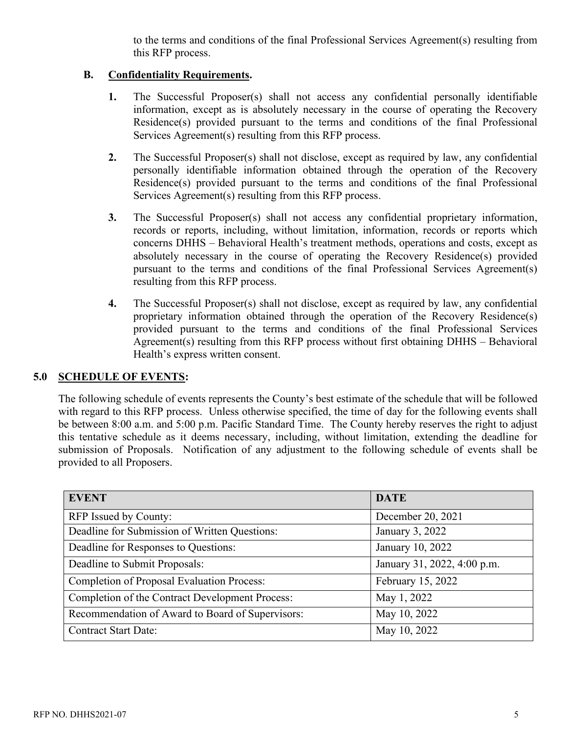to the terms and conditions of the final Professional Services Agreement(s) resulting from this RFP process.

## **B. Confidentiality Requirements.**

- **1.** The Successful Proposer(s) shall not access any confidential personally identifiable information, except as is absolutely necessary in the course of operating the Recovery Residence(s) provided pursuant to the terms and conditions of the final Professional Services Agreement(s) resulting from this RFP process.
- **2.** The Successful Proposer(s) shall not disclose, except as required by law, any confidential personally identifiable information obtained through the operation of the Recovery Residence(s) provided pursuant to the terms and conditions of the final Professional Services Agreement(s) resulting from this RFP process.
- **3.** The Successful Proposer(s) shall not access any confidential proprietary information, records or reports, including, without limitation, information, records or reports which concerns DHHS – Behavioral Health's treatment methods, operations and costs, except as absolutely necessary in the course of operating the Recovery Residence(s) provided pursuant to the terms and conditions of the final Professional Services Agreement(s) resulting from this RFP process.
- **4.** The Successful Proposer(s) shall not disclose, except as required by law, any confidential proprietary information obtained through the operation of the Recovery Residence(s) provided pursuant to the terms and conditions of the final Professional Services Agreement(s) resulting from this RFP process without first obtaining DHHS – Behavioral Health's express written consent.

## **5.0 SCHEDULE OF EVENTS:**

The following schedule of events represents the County's best estimate of the schedule that will be followed with regard to this RFP process. Unless otherwise specified, the time of day for the following events shall be between 8:00 a.m. and 5:00 p.m. Pacific Standard Time. The County hereby reserves the right to adjust this tentative schedule as it deems necessary, including, without limitation, extending the deadline for submission of Proposals. Notification of any adjustment to the following schedule of events shall be provided to all Proposers.

| <b>EVENT</b>                                      | <b>DATE</b>                 |
|---------------------------------------------------|-----------------------------|
| RFP Issued by County:                             | December 20, 2021           |
| Deadline for Submission of Written Questions:     | January 3, 2022             |
| Deadline for Responses to Questions:              | January 10, 2022            |
| Deadline to Submit Proposals:                     | January 31, 2022, 4:00 p.m. |
| <b>Completion of Proposal Evaluation Process:</b> | February 15, 2022           |
| Completion of the Contract Development Process:   | May 1, 2022                 |
| Recommendation of Award to Board of Supervisors:  | May 10, 2022                |
| <b>Contract Start Date:</b>                       | May 10, 2022                |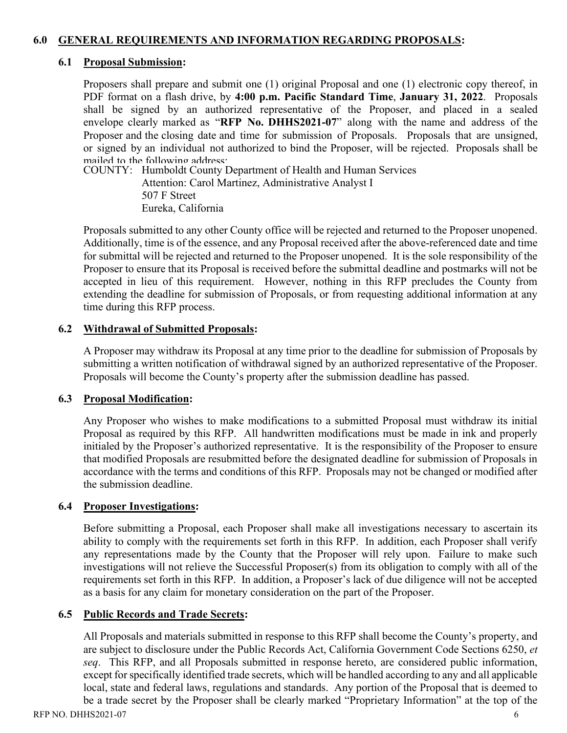## **6.0 GENERAL REQUIREMENTS AND INFORMATION REGARDING PROPOSALS:**

#### **6.1 Proposal Submission:**

Proposers shall prepare and submit one (1) original Proposal and one (1) electronic copy thereof, in PDF format on a flash drive, by **4:00 p.m. Pacific Standard Time**, **January 31, 2022**. Proposals shall be signed by an authorized representative of the Proposer, and placed in a sealed envelope clearly marked as "RFP No. DHHS2021-07" along with the name and address of the Proposer and the closing date and time for submission of Proposals. Proposals that are unsigned, or signed by an individual not authorized to bind the Proposer, will be rejected. Proposals shall be mailed to the following address:

COUNTY: Humboldt County Department of Health and Human Services Attention: Carol Martinez, Administrative Analyst I 507 F Street Eureka, California

Proposals submitted to any other County office will be rejected and returned to the Proposer unopened. Additionally, time is of the essence, and any Proposal received after the above-referenced date and time for submittal will be rejected and returned to the Proposer unopened. It is the sole responsibility of the Proposer to ensure that its Proposal is received before the submittal deadline and postmarks will not be accepted in lieu of this requirement. However, nothing in this RFP precludes the County from extending the deadline for submission of Proposals, or from requesting additional information at any time during this RFP process.

#### **6.2 Withdrawal of Submitted Proposals:**

A Proposer may withdraw its Proposal at any time prior to the deadline for submission of Proposals by submitting a written notification of withdrawal signed by an authorized representative of the Proposer. Proposals will become the County's property after the submission deadline has passed.

#### **6.3 Proposal Modification:**

Any Proposer who wishes to make modifications to a submitted Proposal must withdraw its initial Proposal as required by this RFP. All handwritten modifications must be made in ink and properly initialed by the Proposer's authorized representative. It is the responsibility of the Proposer to ensure that modified Proposals are resubmitted before the designated deadline for submission of Proposals in accordance with the terms and conditions of this RFP. Proposals may not be changed or modified after the submission deadline.

## **6.4 Proposer Investigations:**

Before submitting a Proposal, each Proposer shall make all investigations necessary to ascertain its ability to comply with the requirements set forth in this RFP. In addition, each Proposer shall verify any representations made by the County that the Proposer will rely upon. Failure to make such investigations will not relieve the Successful Proposer(s) from its obligation to comply with all of the requirements set forth in this RFP. In addition, a Proposer's lack of due diligence will not be accepted as a basis for any claim for monetary consideration on the part of the Proposer.

## **6.5 Public Records and Trade Secrets:**

All Proposals and materials submitted in response to this RFP shall become the County's property, and are subject to disclosure under the Public Records Act, California Government Code Sections 6250, *et seq*. This RFP, and all Proposals submitted in response hereto, are considered public information, except for specifically identified trade secrets, which will be handled according to any and all applicable local, state and federal laws, regulations and standards. Any portion of the Proposal that is deemed to be a trade secret by the Proposer shall be clearly marked "Proprietary Information" at the top of the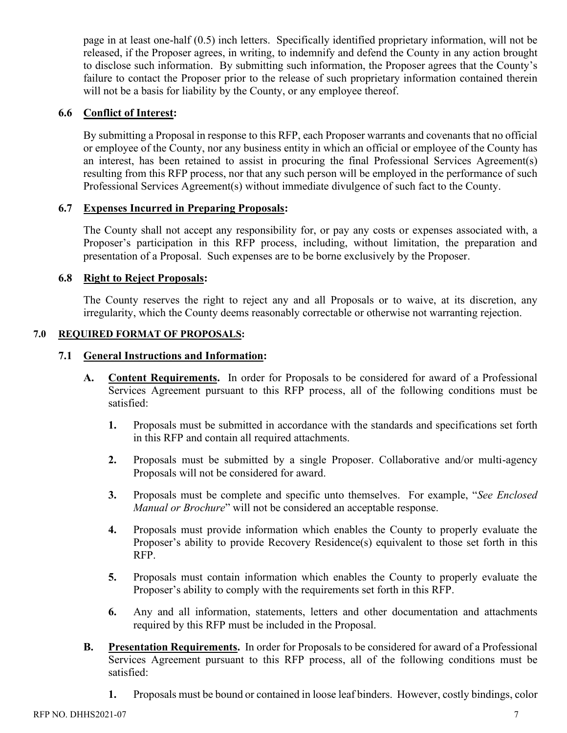page in at least one-half (0.5) inch letters. Specifically identified proprietary information, will not be released, if the Proposer agrees, in writing, to indemnify and defend the County in any action brought to disclose such information. By submitting such information, the Proposer agrees that the County's failure to contact the Proposer prior to the release of such proprietary information contained therein will not be a basis for liability by the County, or any employee thereof.

### **6.6 Conflict of Interest:**

By submitting a Proposal in response to this RFP, each Proposer warrants and covenants that no official or employee of the County, nor any business entity in which an official or employee of the County has an interest, has been retained to assist in procuring the final Professional Services Agreement(s) resulting from this RFP process, nor that any such person will be employed in the performance of such Professional Services Agreement(s) without immediate divulgence of such fact to the County.

#### **6.7 Expenses Incurred in Preparing Proposals:**

The County shall not accept any responsibility for, or pay any costs or expenses associated with, a Proposer's participation in this RFP process, including, without limitation, the preparation and presentation of a Proposal. Such expenses are to be borne exclusively by the Proposer.

#### **6.8 Right to Reject Proposals:**

The County reserves the right to reject any and all Proposals or to waive, at its discretion, any irregularity, which the County deems reasonably correctable or otherwise not warranting rejection.

#### **7.0 REQUIRED FORMAT OF PROPOSALS:**

#### **7.1 General Instructions and Information:**

- **A. Content Requirements.** In order for Proposals to be considered for award of a Professional Services Agreement pursuant to this RFP process, all of the following conditions must be satisfied:
	- **1.** Proposals must be submitted in accordance with the standards and specifications set forth in this RFP and contain all required attachments.
	- **2.** Proposals must be submitted by a single Proposer. Collaborative and/or multi-agency Proposals will not be considered for award.
	- **3.** Proposals must be complete and specific unto themselves. For example, "*See Enclosed Manual or Brochure*" will not be considered an acceptable response.
	- **4.** Proposals must provide information which enables the County to properly evaluate the Proposer's ability to provide Recovery Residence(s) equivalent to those set forth in this RFP.
	- **5.** Proposals must contain information which enables the County to properly evaluate the Proposer's ability to comply with the requirements set forth in this RFP.
	- **6.** Any and all information, statements, letters and other documentation and attachments required by this RFP must be included in the Proposal.
- **B. Presentation Requirements.** In order for Proposals to be considered for award of a Professional Services Agreement pursuant to this RFP process, all of the following conditions must be satisfied:
	- **1.** Proposals must be bound or contained in loose leaf binders. However, costly bindings, color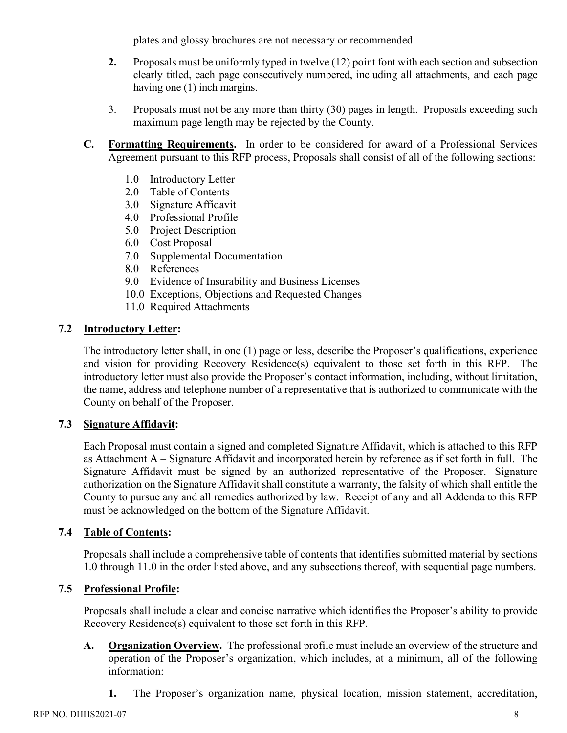plates and glossy brochures are not necessary or recommended.

- **2.** Proposals must be uniformly typed in twelve (12) point font with each section and subsection clearly titled, each page consecutively numbered, including all attachments, and each page having one (1) inch margins.
- 3. Proposals must not be any more than thirty (30) pages in length. Proposals exceeding such maximum page length may be rejected by the County.
- **C. Formatting Requirements.** In order to be considered for award of a Professional Services Agreement pursuant to this RFP process, Proposals shall consist of all of the following sections:
	- 1.0 Introductory Letter
	- 2.0 Table of Contents
	- 3.0 Signature Affidavit
	- 4.0 Professional Profile
	- 5.0 Project Description
	- 6.0 Cost Proposal
	- 7.0 Supplemental Documentation
	- 8.0 References
	- 9.0 Evidence of Insurability and Business Licenses
	- 10.0 Exceptions, Objections and Requested Changes
	- 11.0 Required Attachments

# **7.2 Introductory Letter:**

The introductory letter shall, in one (1) page or less, describe the Proposer's qualifications, experience and vision for providing Recovery Residence(s) equivalent to those set forth in this RFP. The introductory letter must also provide the Proposer's contact information, including, without limitation, the name, address and telephone number of a representative that is authorized to communicate with the County on behalf of the Proposer.

## **7.3 Signature Affidavit:**

Each Proposal must contain a signed and completed Signature Affidavit, which is attached to this RFP as Attachment A – Signature Affidavit and incorporated herein by reference as if set forth in full. The Signature Affidavit must be signed by an authorized representative of the Proposer. Signature authorization on the Signature Affidavit shall constitute a warranty, the falsity of which shall entitle the County to pursue any and all remedies authorized by law. Receipt of any and all Addenda to this RFP must be acknowledged on the bottom of the Signature Affidavit.

## **7.4 Table of Contents:**

Proposals shall include a comprehensive table of contents that identifies submitted material by sections 1.0 through 11.0 in the order listed above, and any subsections thereof, with sequential page numbers.

## **7.5 Professional Profile:**

Proposals shall include a clear and concise narrative which identifies the Proposer's ability to provide Recovery Residence(s) equivalent to those set forth in this RFP.

- **A. Organization Overview.** The professional profile must include an overview of the structure and operation of the Proposer's organization, which includes, at a minimum, all of the following information:
	- **1.** The Proposer's organization name, physical location, mission statement, accreditation,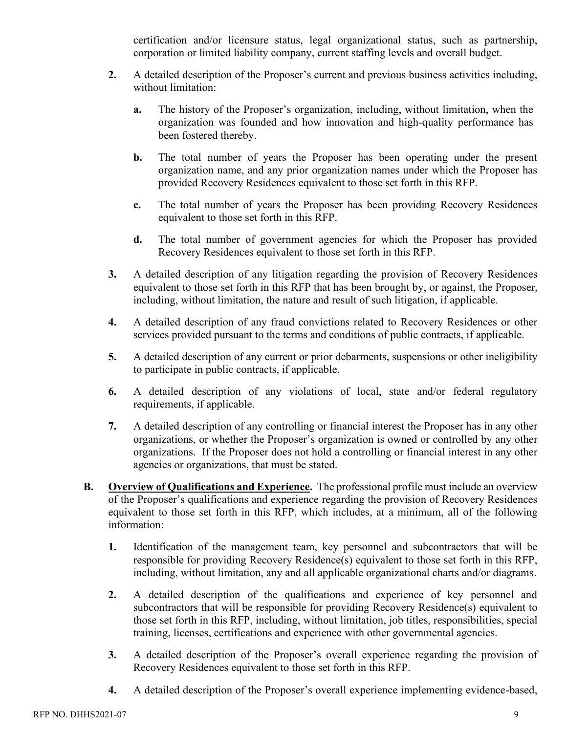certification and/or licensure status, legal organizational status, such as partnership, corporation or limited liability company, current staffing levels and overall budget.

- **2.** A detailed description of the Proposer's current and previous business activities including, without limitation:
	- **a.** The history of the Proposer's organization, including, without limitation, when the organization was founded and how innovation and high-quality performance has been fostered thereby.
	- **b.** The total number of years the Proposer has been operating under the present organization name, and any prior organization names under which the Proposer has provided Recovery Residences equivalent to those set forth in this RFP.
	- **c.** The total number of years the Proposer has been providing Recovery Residences equivalent to those set forth in this RFP.
	- **d.** The total number of government agencies for which the Proposer has provided Recovery Residences equivalent to those set forth in this RFP.
- **3.** A detailed description of any litigation regarding the provision of Recovery Residences equivalent to those set forth in this RFP that has been brought by, or against, the Proposer, including, without limitation, the nature and result of such litigation, if applicable.
- **4.** A detailed description of any fraud convictions related to Recovery Residences or other services provided pursuant to the terms and conditions of public contracts, if applicable.
- **5.** A detailed description of any current or prior debarments, suspensions or other ineligibility to participate in public contracts, if applicable.
- **6.** A detailed description of any violations of local, state and/or federal regulatory requirements, if applicable.
- **7.** A detailed description of any controlling or financial interest the Proposer has in any other organizations, or whether the Proposer's organization is owned or controlled by any other organizations. If the Proposer does not hold a controlling or financial interest in any other agencies or organizations, that must be stated.
- **B. Overview of Qualifications and Experience.** The professional profile must include an overview of the Proposer's qualifications and experience regarding the provision of Recovery Residences equivalent to those set forth in this RFP, which includes, at a minimum, all of the following information:
	- **1.** Identification of the management team, key personnel and subcontractors that will be responsible for providing Recovery Residence(s) equivalent to those set forth in this RFP, including, without limitation, any and all applicable organizational charts and/or diagrams.
	- **2.** A detailed description of the qualifications and experience of key personnel and subcontractors that will be responsible for providing Recovery Residence(s) equivalent to those set forth in this RFP, including, without limitation, job titles, responsibilities, special training, licenses, certifications and experience with other governmental agencies.
	- **3.** A detailed description of the Proposer's overall experience regarding the provision of Recovery Residences equivalent to those set forth in this RFP.
	- **4.** A detailed description of the Proposer's overall experience implementing evidence-based,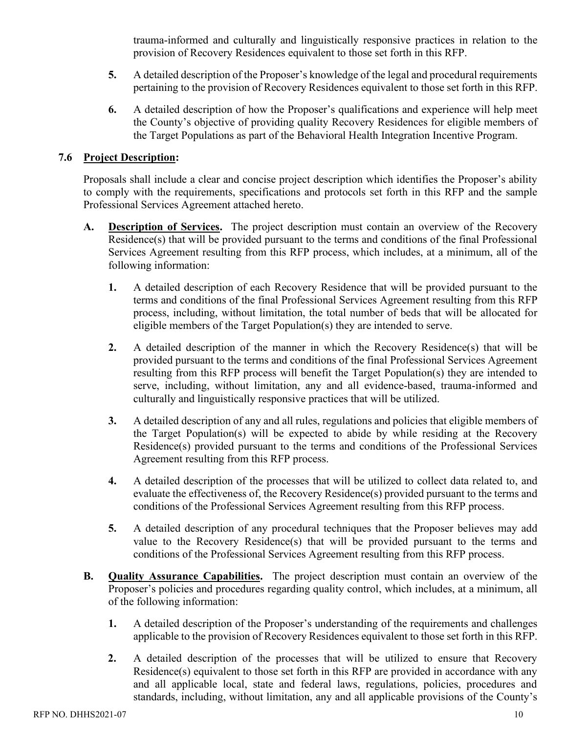trauma-informed and culturally and linguistically responsive practices in relation to the provision of Recovery Residences equivalent to those set forth in this RFP.

- **5.** A detailed description of the Proposer's knowledge of the legal and procedural requirements pertaining to the provision of Recovery Residences equivalent to those set forth in this RFP.
- **6.** A detailed description of how the Proposer's qualifications and experience will help meet the County's objective of providing quality Recovery Residences for eligible members of the Target Populations as part of the Behavioral Health Integration Incentive Program.

#### **7.6 Project Description:**

Proposals shall include a clear and concise project description which identifies the Proposer's ability to comply with the requirements, specifications and protocols set forth in this RFP and the sample Professional Services Agreement attached hereto.

- **A. Description of Services.** The project description must contain an overview of the Recovery Residence(s) that will be provided pursuant to the terms and conditions of the final Professional Services Agreement resulting from this RFP process, which includes, at a minimum, all of the following information:
	- **1.** A detailed description of each Recovery Residence that will be provided pursuant to the terms and conditions of the final Professional Services Agreement resulting from this RFP process, including, without limitation, the total number of beds that will be allocated for eligible members of the Target Population(s) they are intended to serve.
	- **2.** A detailed description of the manner in which the Recovery Residence(s) that will be provided pursuant to the terms and conditions of the final Professional Services Agreement resulting from this RFP process will benefit the Target Population(s) they are intended to serve, including, without limitation, any and all evidence-based, trauma-informed and culturally and linguistically responsive practices that will be utilized.
	- **3.** A detailed description of any and all rules, regulations and policies that eligible members of the Target Population(s) will be expected to abide by while residing at the Recovery Residence(s) provided pursuant to the terms and conditions of the Professional Services Agreement resulting from this RFP process.
	- **4.** A detailed description of the processes that will be utilized to collect data related to, and evaluate the effectiveness of, the Recovery Residence(s) provided pursuant to the terms and conditions of the Professional Services Agreement resulting from this RFP process.
	- **5.** A detailed description of any procedural techniques that the Proposer believes may add value to the Recovery Residence(s) that will be provided pursuant to the terms and conditions of the Professional Services Agreement resulting from this RFP process.
- **B. Quality Assurance Capabilities.** The project description must contain an overview of the Proposer's policies and procedures regarding quality control, which includes, at a minimum, all of the following information:
	- **1.** A detailed description of the Proposer's understanding of the requirements and challenges applicable to the provision of Recovery Residences equivalent to those set forth in this RFP.
	- **2.** A detailed description of the processes that will be utilized to ensure that Recovery Residence(s) equivalent to those set forth in this RFP are provided in accordance with any and all applicable local, state and federal laws, regulations, policies, procedures and standards, including, without limitation, any and all applicable provisions of the County's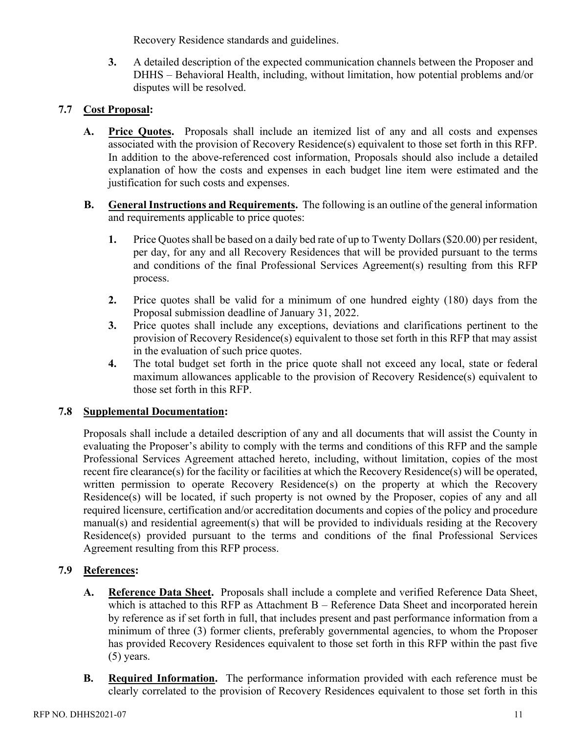Recovery Residence standards and guidelines.

**3.** A detailed description of the expected communication channels between the Proposer and DHHS – Behavioral Health, including, without limitation, how potential problems and/or disputes will be resolved.

# **7.7 Cost Proposal:**

- **A. Price Quotes.** Proposals shall include an itemized list of any and all costs and expenses associated with the provision of Recovery Residence(s) equivalent to those set forth in this RFP. In addition to the above-referenced cost information, Proposals should also include a detailed explanation of how the costs and expenses in each budget line item were estimated and the justification for such costs and expenses.
- **B. General Instructions and Requirements.** The following is an outline of the general information and requirements applicable to price quotes:
	- **1.** Price Quotes shall be based on a daily bed rate of up to Twenty Dollars (\$20.00) per resident, per day, for any and all Recovery Residences that will be provided pursuant to the terms and conditions of the final Professional Services Agreement(s) resulting from this RFP process.
	- **2.** Price quotes shall be valid for a minimum of one hundred eighty (180) days from the Proposal submission deadline of January 31, 2022.
	- **3.** Price quotes shall include any exceptions, deviations and clarifications pertinent to the provision of Recovery Residence(s) equivalent to those set forth in this RFP that may assist in the evaluation of such price quotes.
	- **4.** The total budget set forth in the price quote shall not exceed any local, state or federal maximum allowances applicable to the provision of Recovery Residence(s) equivalent to those set forth in this RFP.

## **7.8 Supplemental Documentation:**

Proposals shall include a detailed description of any and all documents that will assist the County in evaluating the Proposer's ability to comply with the terms and conditions of this RFP and the sample Professional Services Agreement attached hereto, including, without limitation, copies of the most recent fire clearance(s) for the facility or facilities at which the Recovery Residence(s) will be operated, written permission to operate Recovery Residence(s) on the property at which the Recovery Residence(s) will be located, if such property is not owned by the Proposer, copies of any and all required licensure, certification and/or accreditation documents and copies of the policy and procedure manual(s) and residential agreement(s) that will be provided to individuals residing at the Recovery Residence(s) provided pursuant to the terms and conditions of the final Professional Services Agreement resulting from this RFP process.

## **7.9 References:**

- **A. Reference Data Sheet.** Proposals shall include a complete and verified Reference Data Sheet, which is attached to this RFP as Attachment B – Reference Data Sheet and incorporated herein by reference as if set forth in full, that includes present and past performance information from a minimum of three (3) former clients, preferably governmental agencies, to whom the Proposer has provided Recovery Residences equivalent to those set forth in this RFP within the past five (5) years.
- **B. Required Information.** The performance information provided with each reference must be clearly correlated to the provision of Recovery Residences equivalent to those set forth in this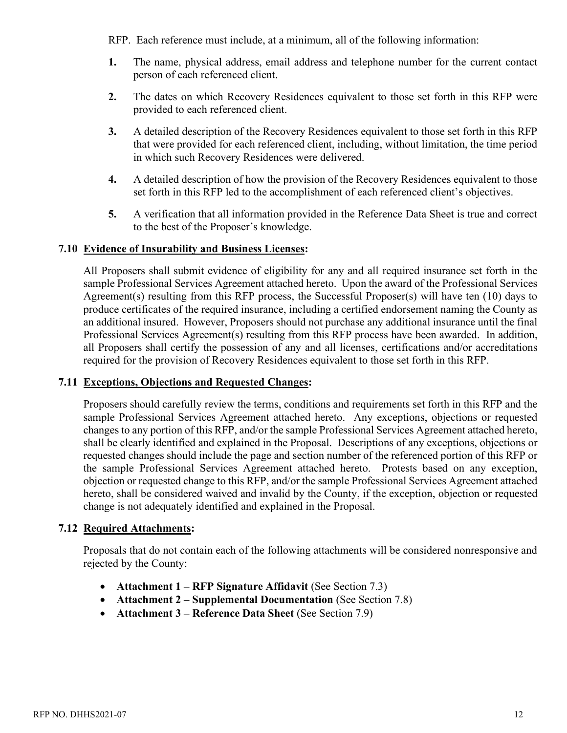RFP. Each reference must include, at a minimum, all of the following information:

- **1.** The name, physical address, email address and telephone number for the current contact person of each referenced client.
- **2.** The dates on which Recovery Residences equivalent to those set forth in this RFP were provided to each referenced client.
- **3.** A detailed description of the Recovery Residences equivalent to those set forth in this RFP that were provided for each referenced client, including, without limitation, the time period in which such Recovery Residences were delivered.
- **4.** A detailed description of how the provision of the Recovery Residences equivalent to those set forth in this RFP led to the accomplishment of each referenced client's objectives.
- **5.** A verification that all information provided in the Reference Data Sheet is true and correct to the best of the Proposer's knowledge.

#### **7.10 Evidence of Insurability and Business Licenses:**

All Proposers shall submit evidence of eligibility for any and all required insurance set forth in the sample Professional Services Agreement attached hereto. Upon the award of the Professional Services Agreement(s) resulting from this RFP process, the Successful Proposer(s) will have ten (10) days to produce certificates of the required insurance, including a certified endorsement naming the County as an additional insured. However, Proposers should not purchase any additional insurance until the final Professional Services Agreement(s) resulting from this RFP process have been awarded. In addition, all Proposers shall certify the possession of any and all licenses, certifications and/or accreditations required for the provision of Recovery Residences equivalent to those set forth in this RFP.

#### **7.11 Exceptions, Objections and Requested Changes:**

Proposers should carefully review the terms, conditions and requirements set forth in this RFP and the sample Professional Services Agreement attached hereto. Any exceptions, objections or requested changes to any portion of this RFP, and/or the sample Professional Services Agreement attached hereto, shall be clearly identified and explained in the Proposal. Descriptions of any exceptions, objections or requested changes should include the page and section number of the referenced portion of this RFP or the sample Professional Services Agreement attached hereto. Protests based on any exception, objection or requested change to this RFP, and/or the sample Professional Services Agreement attached hereto, shall be considered waived and invalid by the County, if the exception, objection or requested change is not adequately identified and explained in the Proposal.

## **7.12 Required Attachments:**

Proposals that do not contain each of the following attachments will be considered nonresponsive and rejected by the County:

- **Attachment 1 RFP Signature Affidavit** (See Section 7.3)
- **Attachment 2 Supplemental Documentation** (See Section 7.8)
- **Attachment 3 – Reference Data Sheet** (See Section 7.9)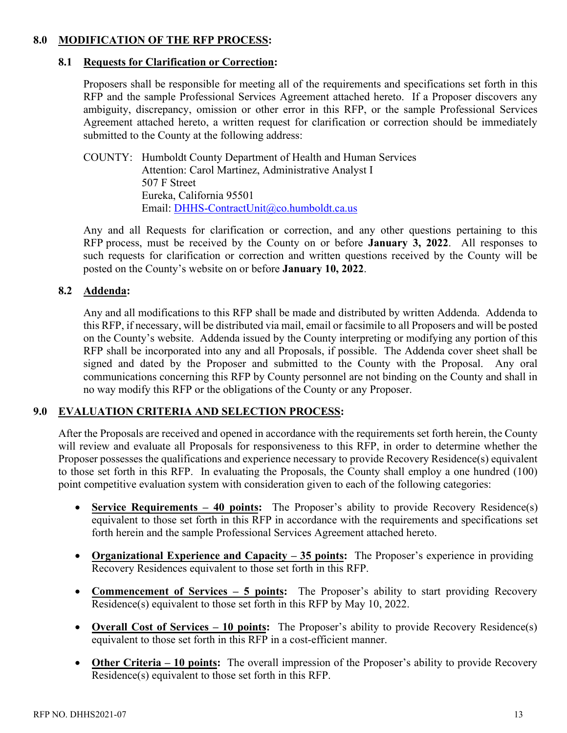## **8.0 MODIFICATION OF THE RFP PROCESS:**

#### **8.1 Requests for Clarification or Correction:**

Proposers shall be responsible for meeting all of the requirements and specifications set forth in this RFP and the sample Professional Services Agreement attached hereto. If a Proposer discovers any ambiguity, discrepancy, omission or other error in this RFP, or the sample Professional Services Agreement attached hereto, a written request for clarification or correction should be immediately submitted to the County at the following address:

COUNTY: Humboldt County Department of Health and Human Services Attention: Carol Martinez, Administrative Analyst I 507 F Street Eureka, California 95501 Email: [DHHS-ContractUnit@co.humboldt.ca.us](mailto:DHHS-ContractUnit@co.humboldt.ca.us)

Any and all Requests for clarification or correction, and any other questions pertaining to this RFP process, must be received by the County on or before **January 3, 2022**. All responses to such requests for clarification or correction and written questions received by the County will be posted on the County's website on or before **January 10, 2022**.

## **8.2 Addenda:**

Any and all modifications to this RFP shall be made and distributed by written Addenda. Addenda to this RFP, if necessary, will be distributed via mail, email or facsimile to all Proposers and will be posted on the County's website. Addenda issued by the County interpreting or modifying any portion of this RFP shall be incorporated into any and all Proposals, if possible. The Addenda cover sheet shall be signed and dated by the Proposer and submitted to the County with the Proposal. Any oral communications concerning this RFP by County personnel are not binding on the County and shall in no way modify this RFP or the obligations of the County or any Proposer.

## **9.0 EVALUATION CRITERIA AND SELECTION PROCESS:**

After the Proposals are received and opened in accordance with the requirements set forth herein, the County will review and evaluate all Proposals for responsiveness to this RFP, in order to determine whether the Proposer possesses the qualifications and experience necessary to provide Recovery Residence(s) equivalent to those set forth in this RFP. In evaluating the Proposals, the County shall employ a one hundred (100) point competitive evaluation system with consideration given to each of the following categories:

- **Service Requirements 40 points:** The Proposer's ability to provide Recovery Residence(s) equivalent to those set forth in this RFP in accordance with the requirements and specifications set forth herein and the sample Professional Services Agreement attached hereto.
- **Organizational Experience and Capacity 35 points:** The Proposer's experience in providing Recovery Residences equivalent to those set forth in this RFP.
- **Commencement of Services 5 points:** The Proposer's ability to start providing Recovery Residence(s) equivalent to those set forth in this RFP by May 10, 2022.
- **Overall Cost of Services 10 points:** The Proposer's ability to provide Recovery Residence(s) equivalent to those set forth in this RFP in a cost-efficient manner.
- **Other Criteria 10 points:** The overall impression of the Proposer's ability to provide Recovery Residence(s) equivalent to those set forth in this RFP.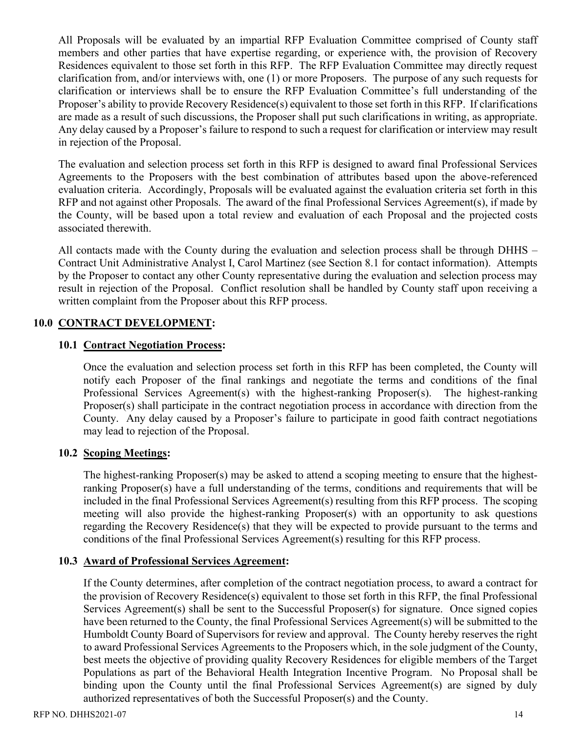All Proposals will be evaluated by an impartial RFP Evaluation Committee comprised of County staff members and other parties that have expertise regarding, or experience with, the provision of Recovery Residences equivalent to those set forth in this RFP. The RFP Evaluation Committee may directly request clarification from, and/or interviews with, one (1) or more Proposers. The purpose of any such requests for clarification or interviews shall be to ensure the RFP Evaluation Committee's full understanding of the Proposer's ability to provide Recovery Residence(s) equivalent to those set forth in this RFP. If clarifications are made as a result of such discussions, the Proposer shall put such clarifications in writing, as appropriate. Any delay caused by a Proposer's failure to respond to such a request for clarification or interview may result in rejection of the Proposal.

The evaluation and selection process set forth in this RFP is designed to award final Professional Services Agreements to the Proposers with the best combination of attributes based upon the above-referenced evaluation criteria. Accordingly, Proposals will be evaluated against the evaluation criteria set forth in this RFP and not against other Proposals. The award of the final Professional Services Agreement(s), if made by the County, will be based upon a total review and evaluation of each Proposal and the projected costs associated therewith.

All contacts made with the County during the evaluation and selection process shall be through DHHS – Contract Unit Administrative Analyst I, Carol Martinez (see Section 8.1 for contact information). Attempts by the Proposer to contact any other County representative during the evaluation and selection process may result in rejection of the Proposal. Conflict resolution shall be handled by County staff upon receiving a written complaint from the Proposer about this RFP process.

#### **10.0 CONTRACT DEVELOPMENT:**

#### **10.1 Contract Negotiation Process:**

Once the evaluation and selection process set forth in this RFP has been completed, the County will notify each Proposer of the final rankings and negotiate the terms and conditions of the final Professional Services Agreement(s) with the highest-ranking Proposer(s). The highest-ranking Proposer(s) shall participate in the contract negotiation process in accordance with direction from the County. Any delay caused by a Proposer's failure to participate in good faith contract negotiations may lead to rejection of the Proposal.

## **10.2 Scoping Meetings:**

The highest-ranking Proposer(s) may be asked to attend a scoping meeting to ensure that the highestranking Proposer(s) have a full understanding of the terms, conditions and requirements that will be included in the final Professional Services Agreement(s) resulting from this RFP process. The scoping meeting will also provide the highest-ranking Proposer(s) with an opportunity to ask questions regarding the Recovery Residence(s) that they will be expected to provide pursuant to the terms and conditions of the final Professional Services Agreement(s) resulting for this RFP process.

#### **10.3 Award of Professional Services Agreement:**

If the County determines, after completion of the contract negotiation process, to award a contract for the provision of Recovery Residence(s) equivalent to those set forth in this RFP, the final Professional Services Agreement(s) shall be sent to the Successful Proposer(s) for signature. Once signed copies have been returned to the County, the final Professional Services Agreement(s) will be submitted to the Humboldt County Board of Supervisors for review and approval. The County hereby reserves the right to award Professional Services Agreements to the Proposers which, in the sole judgment of the County, best meets the objective of providing quality Recovery Residences for eligible members of the Target Populations as part of the Behavioral Health Integration Incentive Program. No Proposal shall be binding upon the County until the final Professional Services Agreement(s) are signed by duly authorized representatives of both the Successful Proposer(s) and the County.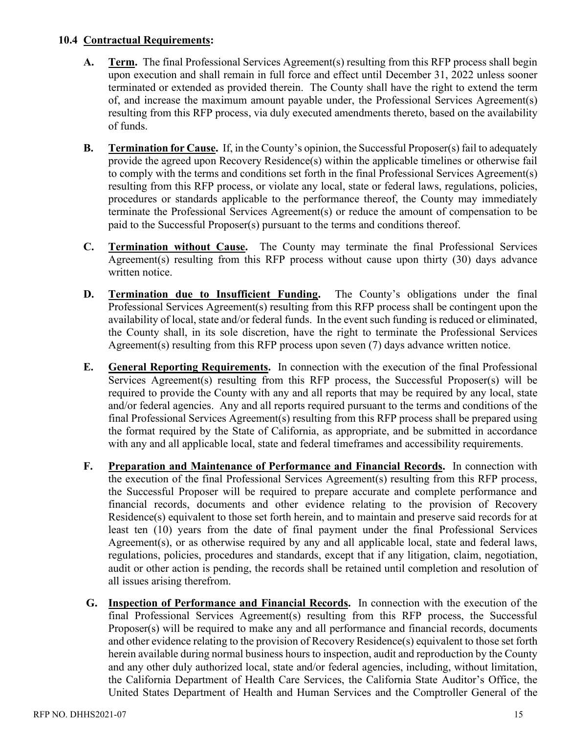### **10.4 Contractual Requirements:**

- **A. Term.** The final Professional Services Agreement(s) resulting from this RFP process shall begin upon execution and shall remain in full force and effect until December 31, 2022 unless sooner terminated or extended as provided therein. The County shall have the right to extend the term of, and increase the maximum amount payable under, the Professional Services Agreement(s) resulting from this RFP process, via duly executed amendments thereto, based on the availability of funds.
- **B. Termination for Cause.** If, in the County's opinion, the Successful Proposer(s) fail to adequately provide the agreed upon Recovery Residence(s) within the applicable timelines or otherwise fail to comply with the terms and conditions set forth in the final Professional Services Agreement(s) resulting from this RFP process, or violate any local, state or federal laws, regulations, policies, procedures or standards applicable to the performance thereof, the County may immediately terminate the Professional Services Agreement(s) or reduce the amount of compensation to be paid to the Successful Proposer(s) pursuant to the terms and conditions thereof.
- **C. Termination without Cause.** The County may terminate the final Professional Services Agreement(s) resulting from this RFP process without cause upon thirty (30) days advance written notice.
- **D. Termination due to Insufficient Funding.** The County's obligations under the final Professional Services Agreement(s) resulting from this RFP process shall be contingent upon the availability of local, state and/or federal funds. In the event such funding is reduced or eliminated, the County shall, in its sole discretion, have the right to terminate the Professional Services Agreement(s) resulting from this RFP process upon seven (7) days advance written notice.
- **E. General Reporting Requirements.** In connection with the execution of the final Professional Services Agreement(s) resulting from this RFP process, the Successful Proposer(s) will be required to provide the County with any and all reports that may be required by any local, state and/or federal agencies. Any and all reports required pursuant to the terms and conditions of the final Professional Services Agreement(s) resulting from this RFP process shall be prepared using the format required by the State of California, as appropriate, and be submitted in accordance with any and all applicable local, state and federal timeframes and accessibility requirements.
- **F. Preparation and Maintenance of Performance and Financial Records.** In connection with the execution of the final Professional Services Agreement(s) resulting from this RFP process, the Successful Proposer will be required to prepare accurate and complete performance and financial records, documents and other evidence relating to the provision of Recovery Residence(s) equivalent to those set forth herein, and to maintain and preserve said records for at least ten (10) years from the date of final payment under the final Professional Services Agreement(s), or as otherwise required by any and all applicable local, state and federal laws, regulations, policies, procedures and standards, except that if any litigation, claim, negotiation, audit or other action is pending, the records shall be retained until completion and resolution of all issues arising therefrom.
- **G. Inspection of Performance and Financial Records.** In connection with the execution of the final Professional Services Agreement(s) resulting from this RFP process, the Successful Proposer(s) will be required to make any and all performance and financial records, documents and other evidence relating to the provision of Recovery Residence(s) equivalent to those set forth herein available during normal business hours to inspection, audit and reproduction by the County and any other duly authorized local, state and/or federal agencies, including, without limitation, the California Department of Health Care Services, the California State Auditor's Office, the United States Department of Health and Human Services and the Comptroller General of the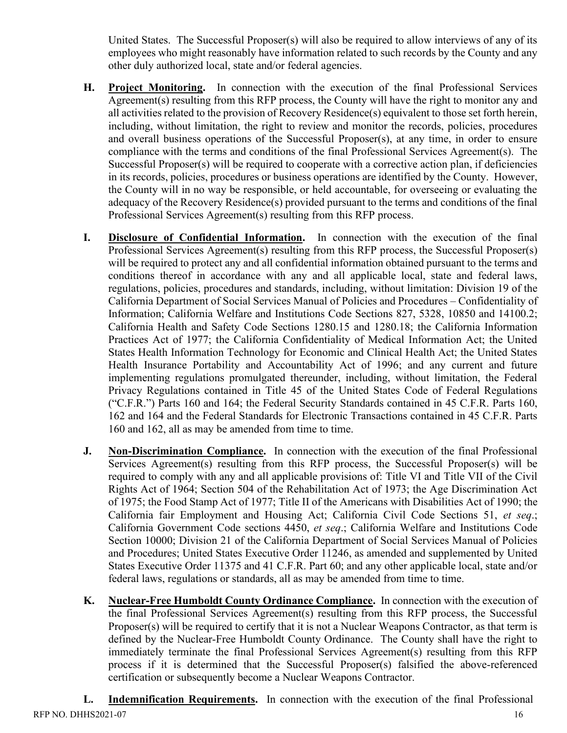United States. The Successful Proposer(s) will also be required to allow interviews of any of its employees who might reasonably have information related to such records by the County and any other duly authorized local, state and/or federal agencies.

- **H. Project Monitoring.** In connection with the execution of the final Professional Services Agreement(s) resulting from this RFP process, the County will have the right to monitor any and all activities related to the provision of Recovery Residence(s) equivalent to those set forth herein, including, without limitation, the right to review and monitor the records, policies, procedures and overall business operations of the Successful Proposer(s), at any time, in order to ensure compliance with the terms and conditions of the final Professional Services Agreement(s). The Successful Proposer(s) will be required to cooperate with a corrective action plan, if deficiencies in its records, policies, procedures or business operations are identified by the County. However, the County will in no way be responsible, or held accountable, for overseeing or evaluating the adequacy of the Recovery Residence(s) provided pursuant to the terms and conditions of the final Professional Services Agreement(s) resulting from this RFP process.
- **I. Disclosure of Confidential Information.** In connection with the execution of the final Professional Services Agreement(s) resulting from this RFP process, the Successful Proposer(s) will be required to protect any and all confidential information obtained pursuant to the terms and conditions thereof in accordance with any and all applicable local, state and federal laws, regulations, policies, procedures and standards, including, without limitation: Division 19 of the California Department of Social Services Manual of Policies and Procedures – Confidentiality of Information; California Welfare and Institutions Code Sections 827, 5328, 10850 and 14100.2; California Health and Safety Code Sections 1280.15 and 1280.18; the California Information Practices Act of 1977; the California Confidentiality of Medical Information Act; the United States Health Information Technology for Economic and Clinical Health Act; the United States Health Insurance Portability and Accountability Act of 1996; and any current and future implementing regulations promulgated thereunder, including, without limitation, the Federal Privacy Regulations contained in Title 45 of the United States Code of Federal Regulations ("C.F.R.") Parts 160 and 164; the Federal Security Standards contained in 45 C.F.R. Parts 160, 162 and 164 and the Federal Standards for Electronic Transactions contained in 45 C.F.R. Parts 160 and 162, all as may be amended from time to time.
- **J. Non-Discrimination Compliance.** In connection with the execution of the final Professional Services Agreement(s) resulting from this RFP process, the Successful Proposer(s) will be required to comply with any and all applicable provisions of: Title VI and Title VII of the Civil Rights Act of 1964; Section 504 of the Rehabilitation Act of 1973; the Age Discrimination Act of 1975; the Food Stamp Act of 1977; Title II of the Americans with Disabilities Act of 1990; the California fair Employment and Housing Act; California Civil Code Sections 51, *et seq*.; California Government Code sections 4450, *et seq*.; California Welfare and Institutions Code Section 10000; Division 21 of the California Department of Social Services Manual of Policies and Procedures; United States Executive Order 11246, as amended and supplemented by United States Executive Order 11375 and 41 C.F.R. Part 60; and any other applicable local, state and/or federal laws, regulations or standards, all as may be amended from time to time.
- **K. Nuclear-Free Humboldt County Ordinance Compliance.** In connection with the execution of the final Professional Services Agreement(s) resulting from this RFP process, the Successful Proposer(s) will be required to certify that it is not a Nuclear Weapons Contractor, as that term is defined by the Nuclear-Free Humboldt County Ordinance. The County shall have the right to immediately terminate the final Professional Services Agreement(s) resulting from this RFP process if it is determined that the Successful Proposer(s) falsified the above-referenced certification or subsequently become a Nuclear Weapons Contractor.

RFP NO. DHHS2021-07 16 **L. Indemnification Requirements.** In connection with the execution of the final Professional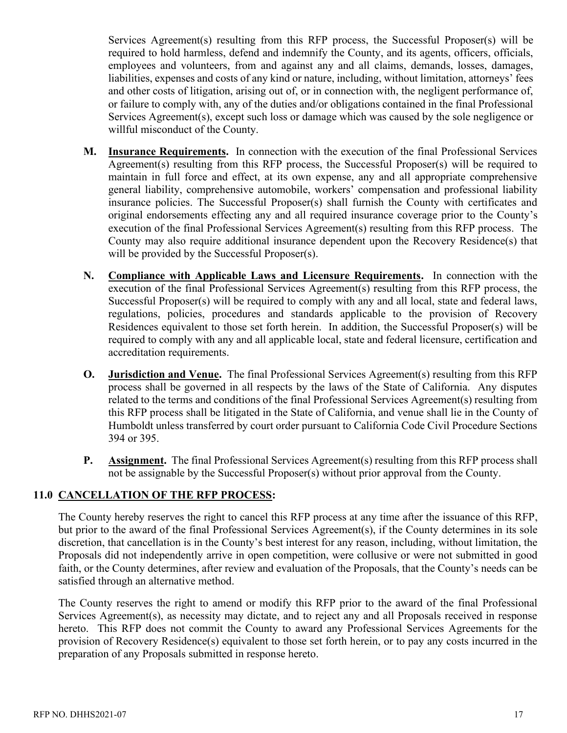Services Agreement(s) resulting from this RFP process, the Successful Proposer(s) will be required to hold harmless, defend and indemnify the County, and its agents, officers, officials, employees and volunteers, from and against any and all claims, demands, losses, damages, liabilities, expenses and costs of any kind or nature, including, without limitation, attorneys' fees and other costs of litigation, arising out of, or in connection with, the negligent performance of, or failure to comply with, any of the duties and/or obligations contained in the final Professional Services Agreement(s), except such loss or damage which was caused by the sole negligence or willful misconduct of the County.

- **M. Insurance Requirements.** In connection with the execution of the final Professional Services Agreement(s) resulting from this RFP process, the Successful Proposer(s) will be required to maintain in full force and effect, at its own expense, any and all appropriate comprehensive general liability, comprehensive automobile, workers' compensation and professional liability insurance policies. The Successful Proposer(s) shall furnish the County with certificates and original endorsements effecting any and all required insurance coverage prior to the County's execution of the final Professional Services Agreement(s) resulting from this RFP process. The County may also require additional insurance dependent upon the Recovery Residence(s) that will be provided by the Successful Proposer(s).
- **N. Compliance with Applicable Laws and Licensure Requirements.** In connection with the execution of the final Professional Services Agreement(s) resulting from this RFP process, the Successful Proposer(s) will be required to comply with any and all local, state and federal laws, regulations, policies, procedures and standards applicable to the provision of Recovery Residences equivalent to those set forth herein. In addition, the Successful Proposer(s) will be required to comply with any and all applicable local, state and federal licensure, certification and accreditation requirements.
- **O. Jurisdiction and Venue.** The final Professional Services Agreement(s) resulting from this RFP process shall be governed in all respects by the laws of the State of California. Any disputes related to the terms and conditions of the final Professional Services Agreement(s) resulting from this RFP process shall be litigated in the State of California, and venue shall lie in the County of Humboldt unless transferred by court order pursuant to California Code Civil Procedure Sections 394 or 395.
- **P. Assignment.** The final Professional Services Agreement(s) resulting from this RFP process shall not be assignable by the Successful Proposer(s) without prior approval from the County.

## **11.0 CANCELLATION OF THE RFP PROCESS:**

The County hereby reserves the right to cancel this RFP process at any time after the issuance of this RFP, but prior to the award of the final Professional Services Agreement(s), if the County determines in its sole discretion, that cancellation is in the County's best interest for any reason, including, without limitation, the Proposals did not independently arrive in open competition, were collusive or were not submitted in good faith, or the County determines, after review and evaluation of the Proposals, that the County's needs can be satisfied through an alternative method.

The County reserves the right to amend or modify this RFP prior to the award of the final Professional Services Agreement(s), as necessity may dictate, and to reject any and all Proposals received in response hereto. This RFP does not commit the County to award any Professional Services Agreements for the provision of Recovery Residence(s) equivalent to those set forth herein, or to pay any costs incurred in the preparation of any Proposals submitted in response hereto.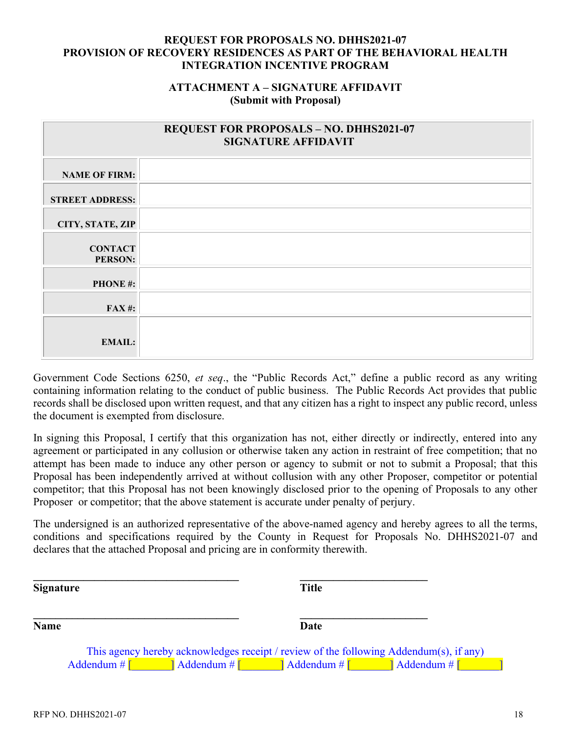## **ATTACHMENT A – SIGNATURE AFFIDAVIT (Submit with Proposal)**

|                                  | <b>REQUEST FOR PROPOSALS - NO. DHHS2021-07</b><br><b>SIGNATURE AFFIDAVIT</b> |
|----------------------------------|------------------------------------------------------------------------------|
| <b>NAME OF FIRM:</b>             |                                                                              |
| <b>STREET ADDRESS:</b>           |                                                                              |
| CITY, STATE, ZIP                 |                                                                              |
| <b>CONTACT</b><br><b>PERSON:</b> |                                                                              |
| <b>PHONE#:</b>                   |                                                                              |
| <b>FAX#:</b>                     |                                                                              |
| <b>EMAIL:</b>                    |                                                                              |

Government Code Sections 6250, *et seq*., the "Public Records Act," define a public record as any writing containing information relating to the conduct of public business. The Public Records Act provides that public records shall be disclosed upon written request, and that any citizen has a right to inspect any public record, unless the document is exempted from disclosure.

In signing this Proposal, I certify that this organization has not, either directly or indirectly, entered into any agreement or participated in any collusion or otherwise taken any action in restraint of free competition; that no attempt has been made to induce any other person or agency to submit or not to submit a Proposal; that this Proposal has been independently arrived at without collusion with any other Proposer, competitor or potential competitor; that this Proposal has not been knowingly disclosed prior to the opening of Proposals to any other Proposer or competitor; that the above statement is accurate under penalty of perjury.

The undersigned is an authorized representative of the above-named agency and hereby agrees to all the terms, conditions and specifications required by the County in Request for Proposals No. DHHS2021-07 and declares that the attached Proposal and pricing are in conformity therewith.

| <b>Signature</b> | <b>Title</b>                                                                                                                                               |  |
|------------------|------------------------------------------------------------------------------------------------------------------------------------------------------------|--|
| <b>Name</b>      | Date                                                                                                                                                       |  |
|                  | This agency hereby acknowledges receipt / review of the following Addendum(s), if any)                                                                     |  |
| Addendum $\#$    | $\vert$ Addendum # $\vert$<br>$\overline{\phantom{a}}$ Addendum # $\overline{\phantom{a}}$<br>$\overline{\phantom{a}}$ Addendum # $\overline{\phantom{a}}$ |  |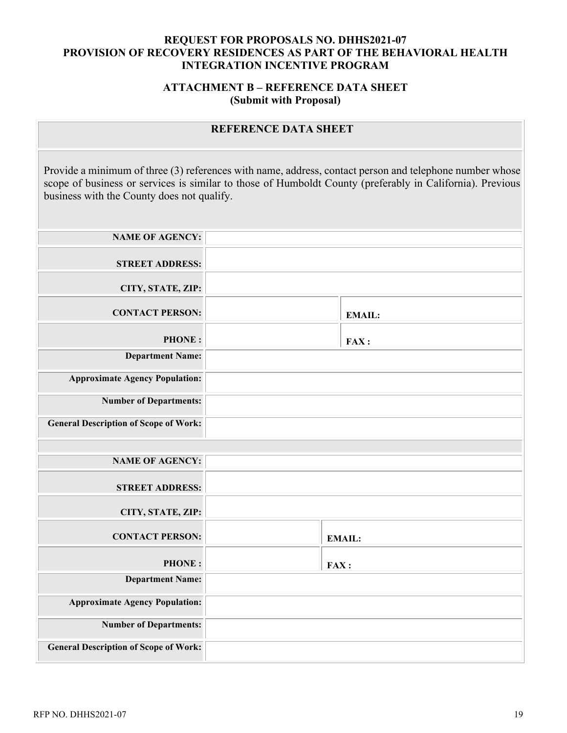## **ATTACHMENT B – REFERENCE DATA SHEET (Submit with Proposal)**

# **REFERENCE DATA SHEET**

Provide a minimum of three (3) references with name, address, contact person and telephone number whose scope of business or services is similar to those of Humboldt County (preferably in California). Previous business with the County does not qualify.

| <b>NAME OF AGENCY:</b>                       |               |
|----------------------------------------------|---------------|
| <b>STREET ADDRESS:</b>                       |               |
| CITY, STATE, ZIP:                            |               |
| <b>CONTACT PERSON:</b>                       | <b>EMAIL:</b> |
| <b>PHONE:</b>                                | FAX:          |
| <b>Department Name:</b>                      |               |
| <b>Approximate Agency Population:</b>        |               |
| <b>Number of Departments:</b>                |               |
| <b>General Description of Scope of Work:</b> |               |
|                                              |               |
| <b>NAME OF AGENCY:</b>                       |               |
| <b>STREET ADDRESS:</b>                       |               |
| CITY, STATE, ZIP:                            |               |
| <b>CONTACT PERSON:</b>                       | <b>EMAIL:</b> |
| <b>PHONE:</b>                                | FAX:          |
| <b>Department Name:</b>                      |               |
| <b>Approximate Agency Population:</b>        |               |
| <b>Number of Departments:</b>                |               |
| <b>General Description of Scope of Work:</b> |               |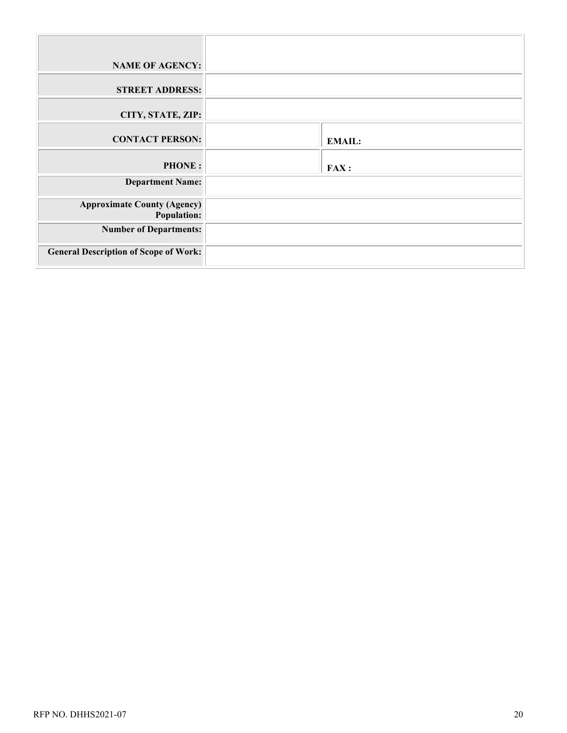| <b>NAME OF AGENCY:</b>                                   |               |
|----------------------------------------------------------|---------------|
| <b>STREET ADDRESS:</b>                                   |               |
| CITY, STATE, ZIP:                                        |               |
| <b>CONTACT PERSON:</b>                                   | <b>EMAIL:</b> |
| <b>PHONE:</b>                                            | <b>FAX:</b>   |
| <b>Department Name:</b>                                  |               |
| <b>Approximate County (Agency)</b><br><b>Population:</b> |               |
| <b>Number of Departments:</b>                            |               |
| <b>General Description of Scope of Work:</b>             |               |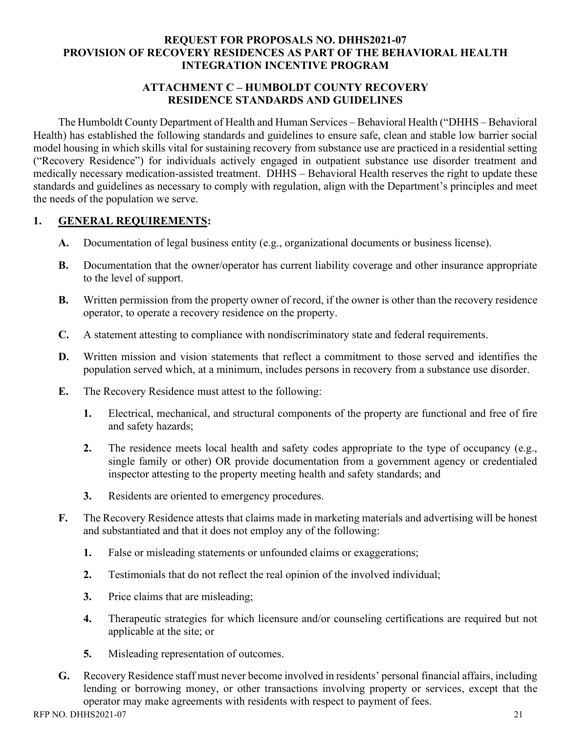## **ATTACHMENT C – HUMBOLDT COUNTY RECOVERY RESIDENCE STANDARDS AND GUIDELINES**

The Humboldt County Department of Health and Human Services – Behavioral Health ("DHHS – Behavioral Health) has established the following standards and guidelines to ensure safe, clean and stable low barrier social model housing in which skills vital for sustaining recovery from substance use are practiced in a residential setting ("Recovery Residence") for individuals actively engaged in outpatient substance use disorder treatment and medically necessary medication-assisted treatment. DHHS – Behavioral Health reserves the right to update these standards and guidelines as necessary to comply with regulation, align with the Department's principles and meet the needs of the population we serve.

# **1. GENERAL REQUIREMENTS:**

- **A.** Documentation of legal business entity (e.g., organizational documents or business license).
- **B.** Documentation that the owner/operator has current liability coverage and other insurance appropriate to the level of support.
- **B.** Written permission from the property owner of record, if the owner is other than the recovery residence operator, to operate a recovery residence on the property.
- **C.** A statement attesting to compliance with nondiscriminatory state and federal requirements.
- **D.** Written mission and vision statements that reflect a commitment to those served and identifies the population served which, at a minimum, includes persons in recovery from a substance use disorder.
- **E.** The Recovery Residence must attest to the following:
	- **1.** Electrical, mechanical, and structural components of the property are functional and free of fire and safety hazards;
	- **2.** The residence meets local health and safety codes appropriate to the type of occupancy (e.g., single family or other) OR provide documentation from a government agency or credentialed inspector attesting to the property meeting health and safety standards; and
	- **3.** Residents are oriented to emergency procedures.
- **F.** The Recovery Residence attests that claims made in marketing materials and advertising will be honest and substantiated and that it does not employ any of the following:
	- **1.** False or misleading statements or unfounded claims or exaggerations;
	- **2.** Testimonials that do not reflect the real opinion of the involved individual;
	- **3.** Price claims that are misleading;
	- **4.** Therapeutic strategies for which licensure and/or counseling certifications are required but not applicable at the site; or
	- **5.** Misleading representation of outcomes.
- **G.** Recovery Residence staff must never become involved in residents' personal financial affairs, including lending or borrowing money, or other transactions involving property or services, except that the operator may make agreements with residents with respect to payment of fees.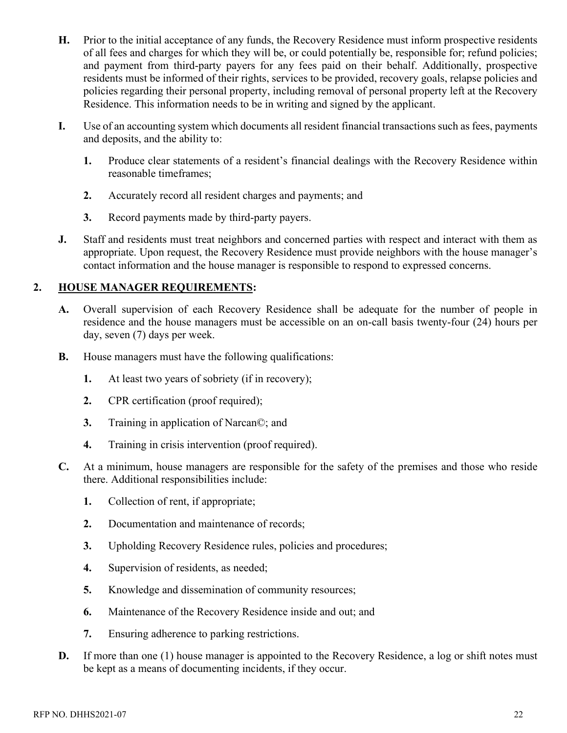- **H.** Prior to the initial acceptance of any funds, the Recovery Residence must inform prospective residents of all fees and charges for which they will be, or could potentially be, responsible for; refund policies; and payment from third-party payers for any fees paid on their behalf. Additionally, prospective residents must be informed of their rights, services to be provided, recovery goals, relapse policies and policies regarding their personal property, including removal of personal property left at the Recovery Residence. This information needs to be in writing and signed by the applicant.
- **I.** Use of an accounting system which documents all resident financial transactions such as fees, payments and deposits, and the ability to:
	- **1.** Produce clear statements of a resident's financial dealings with the Recovery Residence within reasonable timeframes;
	- **2.** Accurately record all resident charges and payments; and
	- **3.** Record payments made by third-party payers.
- **J.** Staff and residents must treat neighbors and concerned parties with respect and interact with them as appropriate. Upon request, the Recovery Residence must provide neighbors with the house manager's contact information and the house manager is responsible to respond to expressed concerns.

## **2. HOUSE MANAGER REQUIREMENTS:**

- **A.** Overall supervision of each Recovery Residence shall be adequate for the number of people in residence and the house managers must be accessible on an on-call basis twenty-four (24) hours per day, seven (7) days per week.
- **B.** House managers must have the following qualifications:
	- **1.** At least two years of sobriety (if in recovery);
	- **2.** CPR certification (proof required);
	- **3.** Training in application of Narcan©; and
	- **4.** Training in crisis intervention (proof required).
- **C.** At a minimum, house managers are responsible for the safety of the premises and those who reside there. Additional responsibilities include:
	- **1.** Collection of rent, if appropriate;
	- **2.** Documentation and maintenance of records;
	- **3.** Upholding Recovery Residence rules, policies and procedures;
	- **4.** Supervision of residents, as needed;
	- **5.** Knowledge and dissemination of community resources;
	- **6.** Maintenance of the Recovery Residence inside and out; and
	- **7.** Ensuring adherence to parking restrictions.
- **D.** If more than one (1) house manager is appointed to the Recovery Residence, a log or shift notes must be kept as a means of documenting incidents, if they occur.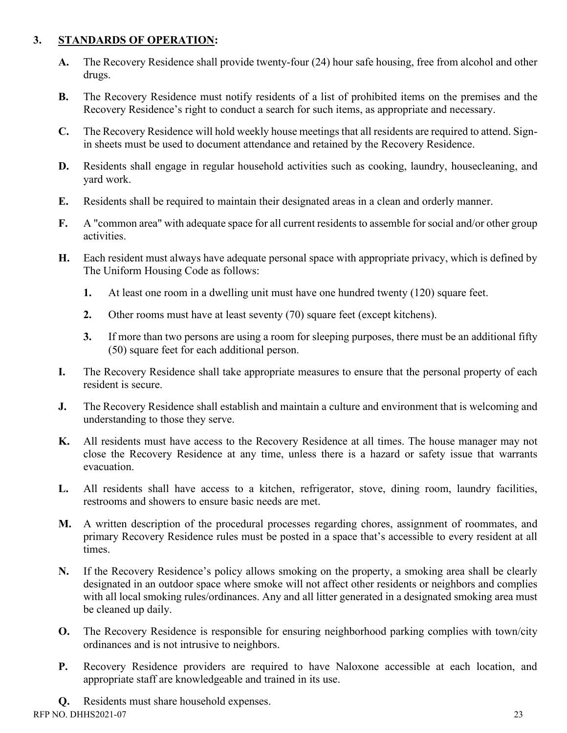## **3. STANDARDS OF OPERATION:**

- **A.** The Recovery Residence shall provide twenty-four (24) hour safe housing, free from alcohol and other drugs.
- **B.** The Recovery Residence must notify residents of a list of prohibited items on the premises and the Recovery Residence's right to conduct a search for such items, as appropriate and necessary.
- **C.** The Recovery Residence will hold weekly house meetings that all residents are required to attend. Signin sheets must be used to document attendance and retained by the Recovery Residence.
- **D.** Residents shall engage in regular household activities such as cooking, laundry, housecleaning, and yard work.
- **E.** Residents shall be required to maintain their designated areas in a clean and orderly manner.
- **F.** A "common area" with adequate space for all current residents to assemble for social and/or other group activities.
- **H.** Each resident must always have adequate personal space with appropriate privacy, which is defined by The Uniform Housing Code as follows:
	- **1.** At least one room in a dwelling unit must have one hundred twenty (120) square feet.
	- **2.** Other rooms must have at least seventy (70) square feet (except kitchens).
	- **3.** If more than two persons are using a room for sleeping purposes, there must be an additional fifty (50) square feet for each additional person.
- **I.** The Recovery Residence shall take appropriate measures to ensure that the personal property of each resident is secure.
- **J.** The Recovery Residence shall establish and maintain a culture and environment that is welcoming and understanding to those they serve.
- **K.** All residents must have access to the Recovery Residence at all times. The house manager may not close the Recovery Residence at any time, unless there is a hazard or safety issue that warrants evacuation.
- **L.** All residents shall have access to a kitchen, refrigerator, stove, dining room, laundry facilities, restrooms and showers to ensure basic needs are met.
- **M.** A written description of the procedural processes regarding chores, assignment of roommates, and primary Recovery Residence rules must be posted in a space that's accessible to every resident at all times.
- **N.** If the Recovery Residence's policy allows smoking on the property, a smoking area shall be clearly designated in an outdoor space where smoke will not affect other residents or neighbors and complies with all local smoking rules/ordinances. Any and all litter generated in a designated smoking area must be cleaned up daily.
- **O.** The Recovery Residence is responsible for ensuring neighborhood parking complies with town/city ordinances and is not intrusive to neighbors.
- **P.** Recovery Residence providers are required to have Naloxone accessible at each location, and appropriate staff are knowledgeable and trained in its use.
- **Q.** Residents must share household expenses.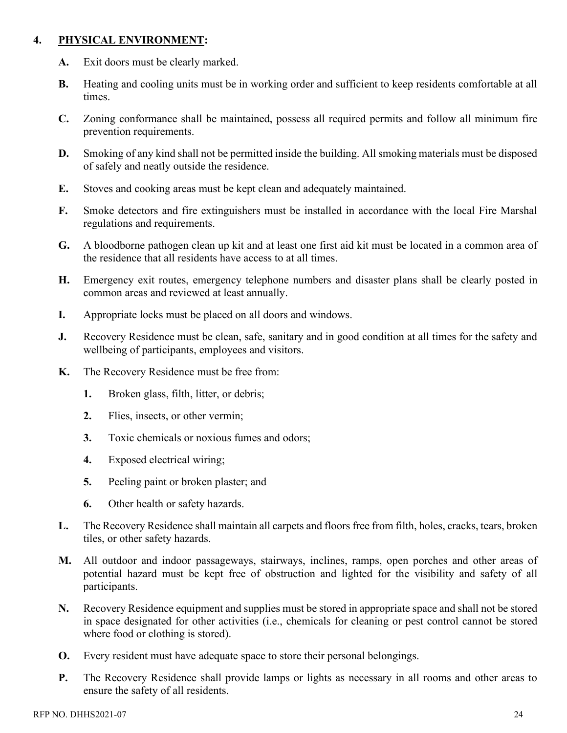## **4. PHYSICAL ENVIRONMENT:**

- **A.** Exit doors must be clearly marked.
- **B.** Heating and cooling units must be in working order and sufficient to keep residents comfortable at all times.
- **C.** Zoning conformance shall be maintained, possess all required permits and follow all minimum fire prevention requirements.
- **D.** Smoking of any kind shall not be permitted inside the building. All smoking materials must be disposed of safely and neatly outside the residence.
- **E.** Stoves and cooking areas must be kept clean and adequately maintained.
- **F.** Smoke detectors and fire extinguishers must be installed in accordance with the local Fire Marshal regulations and requirements.
- **G.** A bloodborne pathogen clean up kit and at least one first aid kit must be located in a common area of the residence that all residents have access to at all times.
- **H.** Emergency exit routes, emergency telephone numbers and disaster plans shall be clearly posted in common areas and reviewed at least annually.
- **I.** Appropriate locks must be placed on all doors and windows.
- **J.** Recovery Residence must be clean, safe, sanitary and in good condition at all times for the safety and wellbeing of participants, employees and visitors.
- **K.** The Recovery Residence must be free from:
	- **1.** Broken glass, filth, litter, or debris;
	- **2.** Flies, insects, or other vermin;
	- **3.** Toxic chemicals or noxious fumes and odors;
	- **4.** Exposed electrical wiring;
	- **5.** Peeling paint or broken plaster; and
	- **6.** Other health or safety hazards.
- **L.** The Recovery Residence shall maintain all carpets and floors free from filth, holes, cracks, tears, broken tiles, or other safety hazards.
- **M.** All outdoor and indoor passageways, stairways, inclines, ramps, open porches and other areas of potential hazard must be kept free of obstruction and lighted for the visibility and safety of all participants.
- **N.** Recovery Residence equipment and supplies must be stored in appropriate space and shall not be stored in space designated for other activities (i.e., chemicals for cleaning or pest control cannot be stored where food or clothing is stored).
- **O.** Every resident must have adequate space to store their personal belongings.
- **P.** The Recovery Residence shall provide lamps or lights as necessary in all rooms and other areas to ensure the safety of all residents.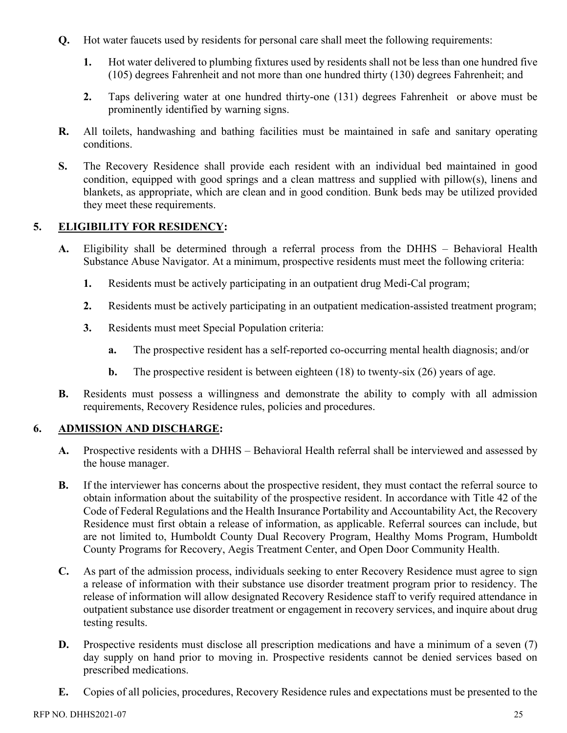- **Q.** Hot water faucets used by residents for personal care shall meet the following requirements:
	- **1.** Hot water delivered to plumbing fixtures used by residents shall not be less than one hundred five (105) degrees Fahrenheit and not more than one hundred thirty (130) degrees Fahrenheit; and
	- **2.** Taps delivering water at one hundred thirty-one (131) degrees Fahrenheit or above must be prominently identified by warning signs.
- **R.** All toilets, handwashing and bathing facilities must be maintained in safe and sanitary operating conditions.
- **S.** The Recovery Residence shall provide each resident with an individual bed maintained in good condition, equipped with good springs and a clean mattress and supplied with pillow(s), linens and blankets, as appropriate, which are clean and in good condition. Bunk beds may be utilized provided they meet these requirements.

# **5. ELIGIBILITY FOR RESIDENCY:**

- **A.** Eligibility shall be determined through a referral process from the DHHS Behavioral Health Substance Abuse Navigator. At a minimum, prospective residents must meet the following criteria:
	- **1.** Residents must be actively participating in an outpatient drug Medi-Cal program;
	- **2.** Residents must be actively participating in an outpatient medication-assisted treatment program;
	- **3.** Residents must meet Special Population criteria:
		- **a.** The prospective resident has a self-reported co-occurring mental health diagnosis; and/or
		- **b.** The prospective resident is between eighteen (18) to twenty-six (26) years of age.
- **B.** Residents must possess a willingness and demonstrate the ability to comply with all admission requirements, Recovery Residence rules, policies and procedures.

## **6. ADMISSION AND DISCHARGE:**

- **A.** Prospective residents with a DHHS Behavioral Health referral shall be interviewed and assessed by the house manager.
- **B.** If the interviewer has concerns about the prospective resident, they must contact the referral source to obtain information about the suitability of the prospective resident. In accordance with Title 42 of the Code of Federal Regulations and the Health Insurance Portability and Accountability Act, the Recovery Residence must first obtain a release of information, as applicable. Referral sources can include, but are not limited to, Humboldt County Dual Recovery Program, Healthy Moms Program, Humboldt County Programs for Recovery, Aegis Treatment Center, and Open Door Community Health.
- **C.** As part of the admission process, individuals seeking to enter Recovery Residence must agree to sign a release of information with their substance use disorder treatment program prior to residency. The release of information will allow designated Recovery Residence staff to verify required attendance in outpatient substance use disorder treatment or engagement in recovery services, and inquire about drug testing results.
- **D.** Prospective residents must disclose all prescription medications and have a minimum of a seven (7) day supply on hand prior to moving in. Prospective residents cannot be denied services based on prescribed medications.
- **E.** Copies of all policies, procedures, Recovery Residence rules and expectations must be presented to the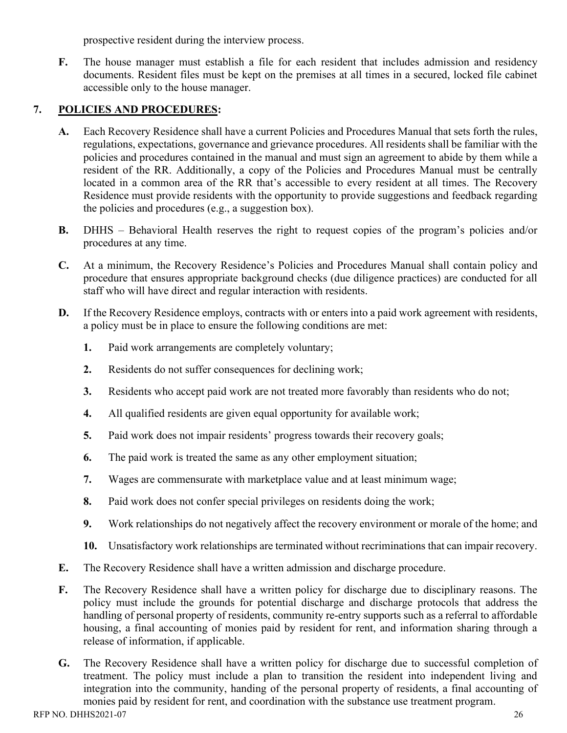prospective resident during the interview process.

**F.** The house manager must establish a file for each resident that includes admission and residency documents. Resident files must be kept on the premises at all times in a secured, locked file cabinet accessible only to the house manager.

## **7. POLICIES AND PROCEDURES:**

- **A.** Each Recovery Residence shall have a current Policies and Procedures Manual that sets forth the rules, regulations, expectations, governance and grievance procedures. All residents shall be familiar with the policies and procedures contained in the manual and must sign an agreement to abide by them while a resident of the RR. Additionally, a copy of the Policies and Procedures Manual must be centrally located in a common area of the RR that's accessible to every resident at all times. The Recovery Residence must provide residents with the opportunity to provide suggestions and feedback regarding the policies and procedures (e.g., a suggestion box).
- **B.** DHHS Behavioral Health reserves the right to request copies of the program's policies and/or procedures at any time.
- **C.** At a minimum, the Recovery Residence's Policies and Procedures Manual shall contain policy and procedure that ensures appropriate background checks (due diligence practices) are conducted for all staff who will have direct and regular interaction with residents.
- **D.** If the Recovery Residence employs, contracts with or enters into a paid work agreement with residents, a policy must be in place to ensure the following conditions are met:
	- **1.** Paid work arrangements are completely voluntary;
	- **2.** Residents do not suffer consequences for declining work;
	- **3.** Residents who accept paid work are not treated more favorably than residents who do not;
	- **4.** All qualified residents are given equal opportunity for available work;
	- **5.** Paid work does not impair residents' progress towards their recovery goals;
	- **6.** The paid work is treated the same as any other employment situation;
	- **7.** Wages are commensurate with marketplace value and at least minimum wage;
	- **8.** Paid work does not confer special privileges on residents doing the work;
	- **9.** Work relationships do not negatively affect the recovery environment or morale of the home; and
	- **10.** Unsatisfactory work relationships are terminated without recriminations that can impair recovery.
- **E.** The Recovery Residence shall have a written admission and discharge procedure.
- **F.** The Recovery Residence shall have a written policy for discharge due to disciplinary reasons. The policy must include the grounds for potential discharge and discharge protocols that address the handling of personal property of residents, community re-entry supports such as a referral to affordable housing, a final accounting of monies paid by resident for rent, and information sharing through a release of information, if applicable.
- **G.** The Recovery Residence shall have a written policy for discharge due to successful completion of treatment. The policy must include a plan to transition the resident into independent living and integration into the community, handing of the personal property of residents, a final accounting of monies paid by resident for rent, and coordination with the substance use treatment program.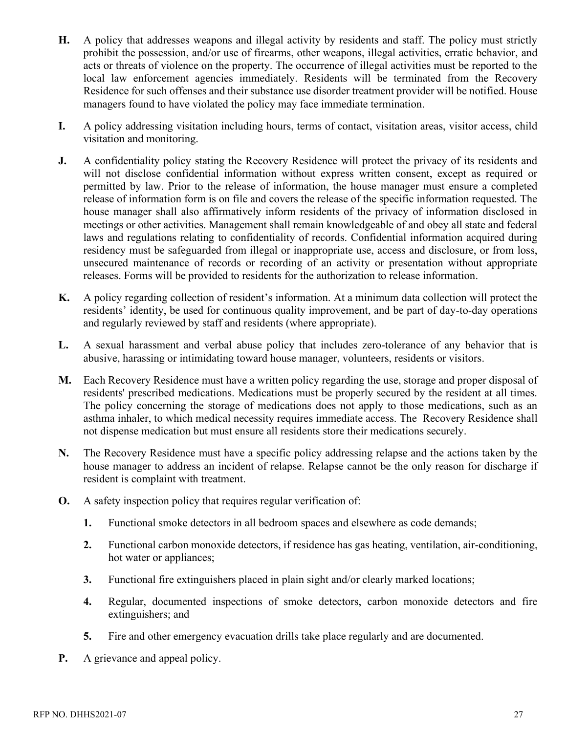- **H.** A policy that addresses weapons and illegal activity by residents and staff. The policy must strictly prohibit the possession, and/or use of firearms, other weapons, illegal activities, erratic behavior, and acts or threats of violence on the property. The occurrence of illegal activities must be reported to the local law enforcement agencies immediately. Residents will be terminated from the Recovery Residence for such offenses and their substance use disorder treatment provider will be notified. House managers found to have violated the policy may face immediate termination.
- **I.** A policy addressing visitation including hours, terms of contact, visitation areas, visitor access, child visitation and monitoring.
- **J.** A confidentiality policy stating the Recovery Residence will protect the privacy of its residents and will not disclose confidential information without express written consent, except as required or permitted by law. Prior to the release of information, the house manager must ensure a completed release of information form is on file and covers the release of the specific information requested. The house manager shall also affirmatively inform residents of the privacy of information disclosed in meetings or other activities. Management shall remain knowledgeable of and obey all state and federal laws and regulations relating to confidentiality of records. Confidential information acquired during residency must be safeguarded from illegal or inappropriate use, access and disclosure, or from loss, unsecured maintenance of records or recording of an activity or presentation without appropriate releases. Forms will be provided to residents for the authorization to release information.
- **K.** A policy regarding collection of resident's information. At a minimum data collection will protect the residents' identity, be used for continuous quality improvement, and be part of day-to-day operations and regularly reviewed by staff and residents (where appropriate).
- **L.** A sexual harassment and verbal abuse policy that includes zero-tolerance of any behavior that is abusive, harassing or intimidating toward house manager, volunteers, residents or visitors.
- **M.** Each Recovery Residence must have a written policy regarding the use, storage and proper disposal of residents' prescribed medications. Medications must be properly secured by the resident at all times. The policy concerning the storage of medications does not apply to those medications, such as an asthma inhaler, to which medical necessity requires immediate access. The Recovery Residence shall not dispense medication but must ensure all residents store their medications securely.
- **N.** The Recovery Residence must have a specific policy addressing relapse and the actions taken by the house manager to address an incident of relapse. Relapse cannot be the only reason for discharge if resident is complaint with treatment.
- **O.** A safety inspection policy that requires regular verification of:
	- **1.** Functional smoke detectors in all bedroom spaces and elsewhere as code demands;
	- **2.** Functional carbon monoxide detectors, if residence has gas heating, ventilation, air-conditioning, hot water or appliances;
	- **3.** Functional fire extinguishers placed in plain sight and/or clearly marked locations;
	- **4.** Regular, documented inspections of smoke detectors, carbon monoxide detectors and fire extinguishers; and
	- **5.** Fire and other emergency evacuation drills take place regularly and are documented.
- **P.** A grievance and appeal policy.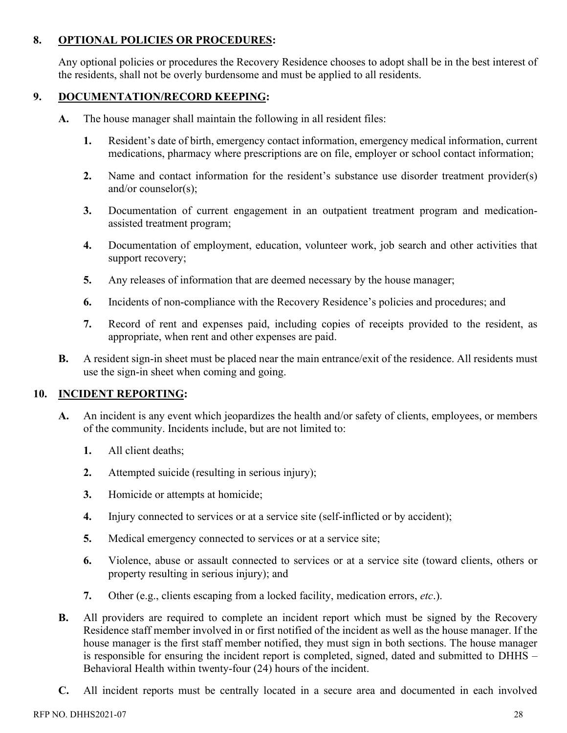# **8. OPTIONAL POLICIES OR PROCEDURES:**

Any optional policies or procedures the Recovery Residence chooses to adopt shall be in the best interest of the residents, shall not be overly burdensome and must be applied to all residents.

# **9. DOCUMENTATION/RECORD KEEPING:**

- **A.** The house manager shall maintain the following in all resident files:
	- **1.** Resident's date of birth, emergency contact information, emergency medical information, current medications, pharmacy where prescriptions are on file, employer or school contact information;
	- **2.** Name and contact information for the resident's substance use disorder treatment provider(s) and/or counselor(s);
	- **3.** Documentation of current engagement in an outpatient treatment program and medicationassisted treatment program;
	- **4.** Documentation of employment, education, volunteer work, job search and other activities that support recovery;
	- **5.** Any releases of information that are deemed necessary by the house manager;
	- **6.** Incidents of non-compliance with the Recovery Residence's policies and procedures; and
	- **7.** Record of rent and expenses paid, including copies of receipts provided to the resident, as appropriate, when rent and other expenses are paid.
- **B.** A resident sign-in sheet must be placed near the main entrance/exit of the residence. All residents must use the sign-in sheet when coming and going.

## **10. INCIDENT REPORTING:**

- **A.** An incident is any event which jeopardizes the health and/or safety of clients, employees, or members of the community. Incidents include, but are not limited to:
	- **1.** All client deaths;
	- **2.** Attempted suicide (resulting in serious injury);
	- **3.** Homicide or attempts at homicide;
	- **4.** Injury connected to services or at a service site (self-inflicted or by accident);
	- **5.** Medical emergency connected to services or at a service site;
	- **6.** Violence, abuse or assault connected to services or at a service site (toward clients, others or property resulting in serious injury); and
	- **7.** Other (e.g., clients escaping from a locked facility, medication errors, *etc*.).
- **B.** All providers are required to complete an incident report which must be signed by the Recovery Residence staff member involved in or first notified of the incident as well as the house manager. If the house manager is the first staff member notified, they must sign in both sections. The house manager is responsible for ensuring the incident report is completed, signed, dated and submitted to DHHS – Behavioral Health within twenty-four (24) hours of the incident.
- **C.** All incident reports must be centrally located in a secure area and documented in each involved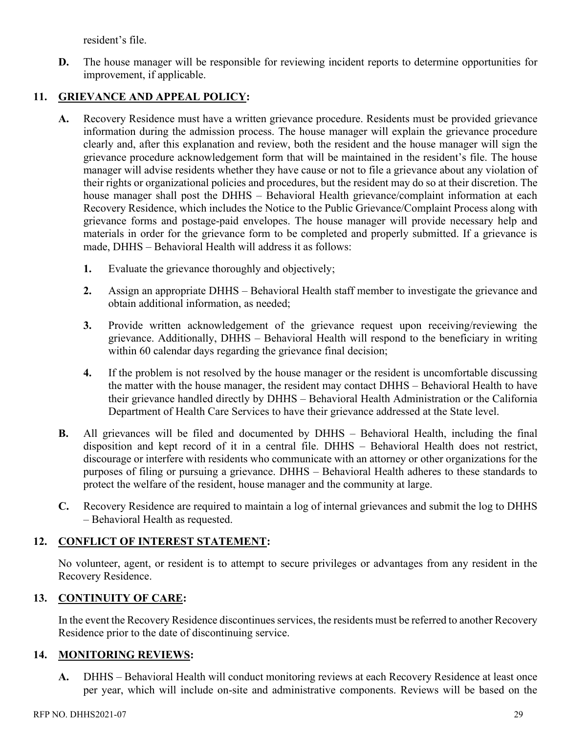resident's file.

**D.** The house manager will be responsible for reviewing incident reports to determine opportunities for improvement, if applicable.

## **11. GRIEVANCE AND APPEAL POLICY:**

- **A.** Recovery Residence must have a written grievance procedure. Residents must be provided grievance information during the admission process. The house manager will explain the grievance procedure clearly and, after this explanation and review, both the resident and the house manager will sign the grievance procedure acknowledgement form that will be maintained in the resident's file. The house manager will advise residents whether they have cause or not to file a grievance about any violation of their rights or organizational policies and procedures, but the resident may do so at their discretion. The house manager shall post the DHHS – Behavioral Health grievance/complaint information at each Recovery Residence, which includes the Notice to the Public Grievance/Complaint Process along with grievance forms and postage-paid envelopes. The house manager will provide necessary help and materials in order for the grievance form to be completed and properly submitted. If a grievance is made, DHHS – Behavioral Health will address it as follows:
	- **1.** Evaluate the grievance thoroughly and objectively;
	- **2.** Assign an appropriate DHHS Behavioral Health staff member to investigate the grievance and obtain additional information, as needed;
	- **3.** Provide written acknowledgement of the grievance request upon receiving/reviewing the grievance. Additionally, DHHS – Behavioral Health will respond to the beneficiary in writing within 60 calendar days regarding the grievance final decision;
	- **4.** If the problem is not resolved by the house manager or the resident is uncomfortable discussing the matter with the house manager, the resident may contact DHHS – Behavioral Health to have their grievance handled directly by DHHS – Behavioral Health Administration or the California Department of Health Care Services to have their grievance addressed at the State level.
- **B.** All grievances will be filed and documented by DHHS Behavioral Health, including the final disposition and kept record of it in a central file. DHHS – Behavioral Health does not restrict, discourage or interfere with residents who communicate with an attorney or other organizations for the purposes of filing or pursuing a grievance. DHHS – Behavioral Health adheres to these standards to protect the welfare of the resident, house manager and the community at large.
- **C.** Recovery Residence are required to maintain a log of internal grievances and submit the log to DHHS – Behavioral Health as requested.

# **12. CONFLICT OF INTEREST STATEMENT:**

No volunteer, agent, or resident is to attempt to secure privileges or advantages from any resident in the Recovery Residence.

## **13. CONTINUITY OF CARE:**

In the event the Recovery Residence discontinues services, the residents must be referred to another Recovery Residence prior to the date of discontinuing service.

## **14. MONITORING REVIEWS:**

**A.** DHHS – Behavioral Health will conduct monitoring reviews at each Recovery Residence at least once per year, which will include on-site and administrative components. Reviews will be based on the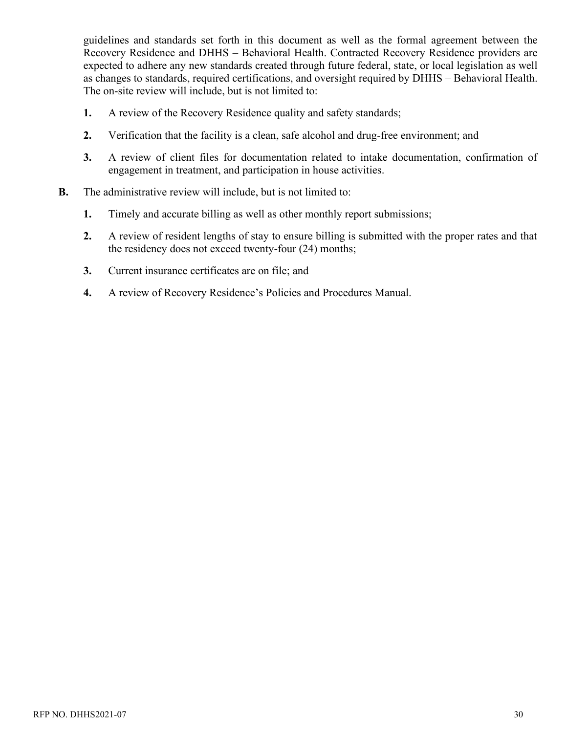guidelines and standards set forth in this document as well as the formal agreement between the Recovery Residence and DHHS – Behavioral Health. Contracted Recovery Residence providers are expected to adhere any new standards created through future federal, state, or local legislation as well as changes to standards, required certifications, and oversight required by DHHS – Behavioral Health. The on-site review will include, but is not limited to:

- **1.** A review of the Recovery Residence quality and safety standards;
- **2.** Verification that the facility is a clean, safe alcohol and drug-free environment; and
- **3.** A review of client files for documentation related to intake documentation, confirmation of engagement in treatment, and participation in house activities.
- **B.** The administrative review will include, but is not limited to:
	- **1.** Timely and accurate billing as well as other monthly report submissions;
	- **2.** A review of resident lengths of stay to ensure billing is submitted with the proper rates and that the residency does not exceed twenty-four (24) months;
	- **3.** Current insurance certificates are on file; and
	- **4.** A review of Recovery Residence's Policies and Procedures Manual.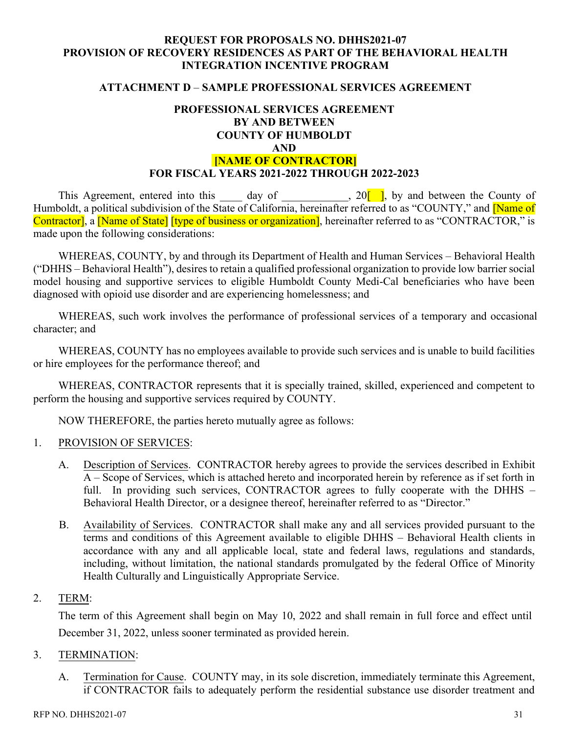#### **ATTACHMENT D** – **SAMPLE PROFESSIONAL SERVICES AGREEMENT**

## **PROFESSIONAL SERVICES AGREEMENT BY AND BETWEEN COUNTY OF HUMBOLDT AND**

## **[NAME OF CONTRACTOR] FOR FISCAL YEARS 2021-2022 THROUGH 2022-2023**

This Agreement, entered into this  $\_\_\_\_$  day of  $\_\_\_\_\_$ , 20<sup>[</sup>], by and between the County of Humboldt, a political subdivision of the State of California, hereinafter referred to as "COUNTY," and Mame of Contractor], a [Name of State] [type of business or organization], hereinafter referred to as "CONTRACTOR," is made upon the following considerations:

WHEREAS, COUNTY, by and through its Department of Health and Human Services – Behavioral Health ("DHHS – Behavioral Health"), desires to retain a qualified professional organization to provide low barrier social model housing and supportive services to eligible Humboldt County Medi-Cal beneficiaries who have been diagnosed with opioid use disorder and are experiencing homelessness; and

WHEREAS, such work involves the performance of professional services of a temporary and occasional character; and

WHEREAS, COUNTY has no employees available to provide such services and is unable to build facilities or hire employees for the performance thereof; and

WHEREAS, CONTRACTOR represents that it is specially trained, skilled, experienced and competent to perform the housing and supportive services required by COUNTY.

NOW THEREFORE, the parties hereto mutually agree as follows:

#### 1. PROVISION OF SERVICES:

- A. Description of Services. CONTRACTOR hereby agrees to provide the services described in Exhibit A – Scope of Services, which is attached hereto and incorporated herein by reference as if set forth in full. In providing such services, CONTRACTOR agrees to fully cooperate with the DHHS – Behavioral Health Director, or a designee thereof, hereinafter referred to as "Director."
- B. Availability of Services. CONTRACTOR shall make any and all services provided pursuant to the terms and conditions of this Agreement available to eligible DHHS – Behavioral Health clients in accordance with any and all applicable local, state and federal laws, regulations and standards, including, without limitation, the national standards promulgated by the federal Office of Minority Health Culturally and Linguistically Appropriate Service.

#### 2. TERM:

The term of this Agreement shall begin on May 10, 2022 and shall remain in full force and effect until December 31, 2022, unless sooner terminated as provided herein.

#### 3. TERMINATION:

A. Termination for Cause. COUNTY may, in its sole discretion, immediately terminate this Agreement, if CONTRACTOR fails to adequately perform the residential substance use disorder treatment and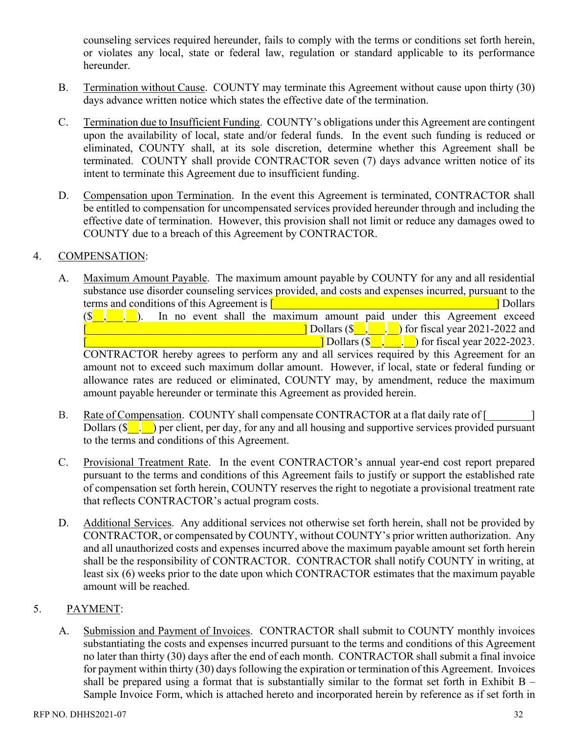counseling services required hereunder, fails to comply with the terms or conditions set forth herein, or violates any local, state or federal law, regulation or standard applicable to its performance hereunder.

- B. Termination without Cause. COUNTY may terminate this Agreement without cause upon thirty (30) days advance written notice which states the effective date of the termination.
- C. Termination due to Insufficient Funding. COUNTY's obligations under this Agreement are contingent upon the availability of local, state and/or federal funds. In the event such funding is reduced or eliminated, COUNTY shall, at its sole discretion, determine whether this Agreement shall be terminated. COUNTY shall provide CONTRACTOR seven (7) days advance written notice of its intent to terminate this Agreement due to insufficient funding.
- D. Compensation upon Termination. In the event this Agreement is terminated, CONTRACTOR shall be entitled to compensation for uncompensated services provided hereunder through and including the effective date of termination. However, this provision shall not limit or reduce any damages owed to COUNTY due to a breach of this Agreement by CONTRACTOR.

#### 4. COMPENSATION:

A. Maximum Amount Payable. The maximum amount payable by COUNTY for any and all residential substance use disorder counseling services provided, and costs and expenses incurred, pursuant to the terms and conditions of this Agreement is  $\begin{bmatrix} 1 & 1 \end{bmatrix}$  and  $\begin{bmatrix} 1 & 1 \end{bmatrix}$  Dollars

 $(\S$ , . . . In no event shall the maximum amount paid under this Agreement exceed  $\Box$  Dollars (\$ $\Box$ ,  $\Box$ ) for fiscal year 2021-2022 and  $\Box$ ] Dollars  $(\sqrt{$g_{\Box} \cdot g_{\Box}})$  for fiscal year 2022-2023.

CONTRACTOR hereby agrees to perform any and all services required by this Agreement for an amount not to exceed such maximum dollar amount. However, if local, state or federal funding or allowance rates are reduced or eliminated, COUNTY may, by amendment, reduce the maximum amount payable hereunder or terminate this Agreement as provided herein.

- B. Rate of Compensation. COUNTY shall compensate CONTRACTOR at a flat daily rate of [ Dollars  $(\S_{\bullet}, \S_{\bullet})$  per client, per day, for any and all housing and supportive services provided pursuant to the terms and conditions of this Agreement.
- C. Provisional Treatment Rate. In the event CONTRACTOR's annual year-end cost report prepared pursuant to the terms and conditions of this Agreement fails to justify or support the established rate of compensation set forth herein, COUNTY reserves the right to negotiate a provisional treatment rate that reflects CONTRACTOR's actual program costs.
- D. Additional Services. Any additional services not otherwise set forth herein, shall not be provided by CONTRACTOR, or compensated by COUNTY, without COUNTY's prior written authorization. Any and all unauthorized costs and expenses incurred above the maximum payable amount set forth herein shall be the responsibility of CONTRACTOR. CONTRACTOR shall notify COUNTY in writing, at least six (6) weeks prior to the date upon which CONTRACTOR estimates that the maximum payable amount will be reached.

## 5. PAYMENT:

A. Submission and Payment of Invoices. CONTRACTOR shall submit to COUNTY monthly invoices substantiating the costs and expenses incurred pursuant to the terms and conditions of this Agreement no later than thirty (30) days after the end of each month. CONTRACTOR shall submit a final invoice for payment within thirty (30) days following the expiration or termination of this Agreement. Invoices shall be prepared using a format that is substantially similar to the format set forth in Exhibit  $B -$ Sample Invoice Form, which is attached hereto and incorporated herein by reference as if set forth in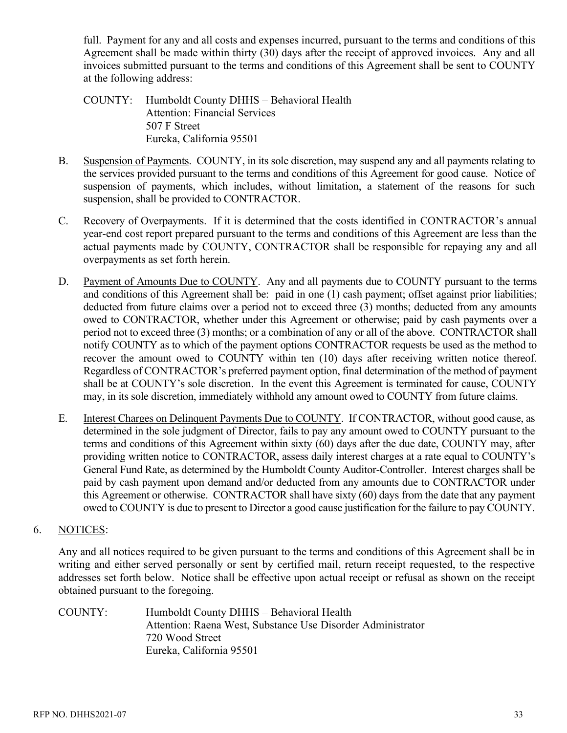full. Payment for any and all costs and expenses incurred, pursuant to the terms and conditions of this Agreement shall be made within thirty (30) days after the receipt of approved invoices. Any and all invoices submitted pursuant to the terms and conditions of this Agreement shall be sent to COUNTY at the following address:

- COUNTY: Humboldt County DHHS Behavioral Health Attention: Financial Services 507 F Street Eureka, California 95501
- B. Suspension of Payments. COUNTY, in its sole discretion, may suspend any and all payments relating to the services provided pursuant to the terms and conditions of this Agreement for good cause. Notice of suspension of payments, which includes, without limitation, a statement of the reasons for such suspension, shall be provided to CONTRACTOR.
- C. Recovery of Overpayments. If it is determined that the costs identified in CONTRACTOR's annual year-end cost report prepared pursuant to the terms and conditions of this Agreement are less than the actual payments made by COUNTY, CONTRACTOR shall be responsible for repaying any and all overpayments as set forth herein.
- D. Payment of Amounts Due to COUNTY. Any and all payments due to COUNTY pursuant to the terms and conditions of this Agreement shall be: paid in one (1) cash payment; offset against prior liabilities; deducted from future claims over a period not to exceed three (3) months; deducted from any amounts owed to CONTRACTOR, whether under this Agreement or otherwise; paid by cash payments over a period not to exceed three (3) months; or a combination of any or all of the above. CONTRACTOR shall notify COUNTY as to which of the payment options CONTRACTOR requests be used as the method to recover the amount owed to COUNTY within ten (10) days after receiving written notice thereof. Regardless of CONTRACTOR's preferred payment option, final determination of the method of payment shall be at COUNTY's sole discretion. In the event this Agreement is terminated for cause, COUNTY may, in its sole discretion, immediately withhold any amount owed to COUNTY from future claims.
- E. Interest Charges on Delinquent Payments Due to COUNTY. If CONTRACTOR, without good cause, as determined in the sole judgment of Director, fails to pay any amount owed to COUNTY pursuant to the terms and conditions of this Agreement within sixty (60) days after the due date, COUNTY may, after providing written notice to CONTRACTOR, assess daily interest charges at a rate equal to COUNTY's General Fund Rate, as determined by the Humboldt County Auditor-Controller. Interest charges shall be paid by cash payment upon demand and/or deducted from any amounts due to CONTRACTOR under this Agreement or otherwise. CONTRACTOR shall have sixty (60) days from the date that any payment owed to COUNTY is due to present to Director a good cause justification for the failure to pay COUNTY.

## 6. NOTICES:

Any and all notices required to be given pursuant to the terms and conditions of this Agreement shall be in writing and either served personally or sent by certified mail, return receipt requested, to the respective addresses set forth below. Notice shall be effective upon actual receipt or refusal as shown on the receipt obtained pursuant to the foregoing.

COUNTY: Humboldt County DHHS – Behavioral Health Attention: Raena West, Substance Use Disorder Administrator 720 Wood Street Eureka, California 95501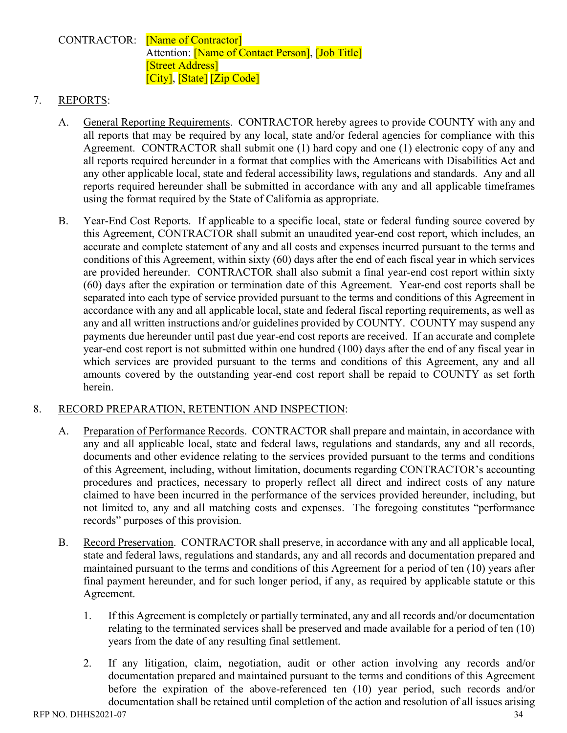## CONTRACTOR: [Name of Contractor] Attention: **Name of Contact Person**, **Job Title** [Street Address] [City], [State] [Zip Code]

## 7. REPORTS:

- A. General Reporting Requirements. CONTRACTOR hereby agrees to provide COUNTY with any and all reports that may be required by any local, state and/or federal agencies for compliance with this Agreement. CONTRACTOR shall submit one (1) hard copy and one (1) electronic copy of any and all reports required hereunder in a format that complies with the Americans with Disabilities Act and any other applicable local, state and federal accessibility laws, regulations and standards. Any and all reports required hereunder shall be submitted in accordance with any and all applicable timeframes using the format required by the State of California as appropriate.
- B. Year-End Cost Reports. If applicable to a specific local, state or federal funding source covered by this Agreement, CONTRACTOR shall submit an unaudited year-end cost report, which includes, an accurate and complete statement of any and all costs and expenses incurred pursuant to the terms and conditions of this Agreement, within sixty (60) days after the end of each fiscal year in which services are provided hereunder. CONTRACTOR shall also submit a final year-end cost report within sixty (60) days after the expiration or termination date of this Agreement. Year-end cost reports shall be separated into each type of service provided pursuant to the terms and conditions of this Agreement in accordance with any and all applicable local, state and federal fiscal reporting requirements, as well as any and all written instructions and/or guidelines provided by COUNTY. COUNTY may suspend any payments due hereunder until past due year-end cost reports are received. If an accurate and complete year-end cost report is not submitted within one hundred (100) days after the end of any fiscal year in which services are provided pursuant to the terms and conditions of this Agreement, any and all amounts covered by the outstanding year-end cost report shall be repaid to COUNTY as set forth herein.

## 8. RECORD PREPARATION, RETENTION AND INSPECTION:

- A. Preparation of Performance Records. CONTRACTOR shall prepare and maintain, in accordance with any and all applicable local, state and federal laws, regulations and standards, any and all records, documents and other evidence relating to the services provided pursuant to the terms and conditions of this Agreement, including, without limitation, documents regarding CONTRACTOR's accounting procedures and practices, necessary to properly reflect all direct and indirect costs of any nature claimed to have been incurred in the performance of the services provided hereunder, including, but not limited to, any and all matching costs and expenses. The foregoing constitutes "performance records" purposes of this provision.
- B. Record Preservation. CONTRACTOR shall preserve, in accordance with any and all applicable local, state and federal laws, regulations and standards, any and all records and documentation prepared and maintained pursuant to the terms and conditions of this Agreement for a period of ten (10) years after final payment hereunder, and for such longer period, if any, as required by applicable statute or this Agreement.
	- 1. If this Agreement is completely or partially terminated, any and all records and/or documentation relating to the terminated services shall be preserved and made available for a period of ten (10) years from the date of any resulting final settlement.
	- 2. If any litigation, claim, negotiation, audit or other action involving any records and/or documentation prepared and maintained pursuant to the terms and conditions of this Agreement before the expiration of the above-referenced ten (10) year period, such records and/or documentation shall be retained until completion of the action and resolution of all issues arising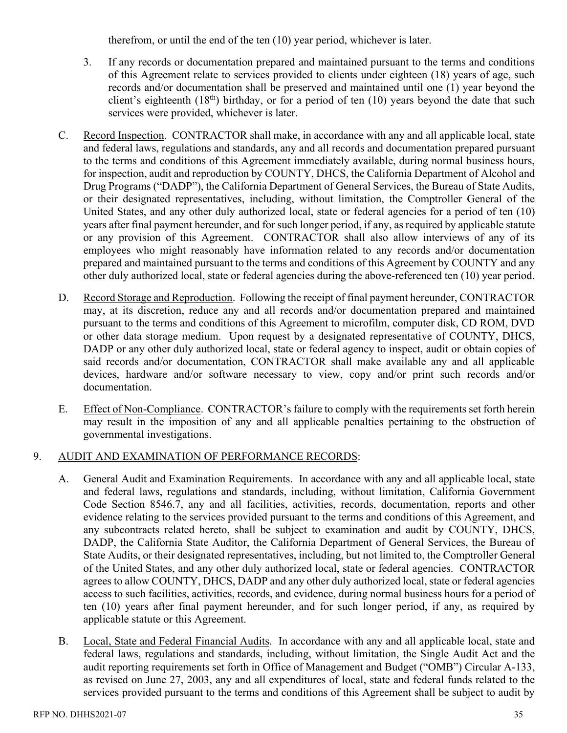therefrom, or until the end of the ten (10) year period, whichever is later.

- 3. If any records or documentation prepared and maintained pursuant to the terms and conditions of this Agreement relate to services provided to clients under eighteen (18) years of age, such records and/or documentation shall be preserved and maintained until one (1) year beyond the client's eighteenth  $(18<sup>th</sup>)$  birthday, or for a period of ten  $(10)$  years beyond the date that such services were provided, whichever is later.
- C. Record Inspection. CONTRACTOR shall make, in accordance with any and all applicable local, state and federal laws, regulations and standards, any and all records and documentation prepared pursuant to the terms and conditions of this Agreement immediately available, during normal business hours, for inspection, audit and reproduction by COUNTY, DHCS, the California Department of Alcohol and Drug Programs ("DADP"), the California Department of General Services, the Bureau of State Audits, or their designated representatives, including, without limitation, the Comptroller General of the United States, and any other duly authorized local, state or federal agencies for a period of ten (10) years after final payment hereunder, and for such longer period, if any, as required by applicable statute or any provision of this Agreement. CONTRACTOR shall also allow interviews of any of its employees who might reasonably have information related to any records and/or documentation prepared and maintained pursuant to the terms and conditions of this Agreement by COUNTY and any other duly authorized local, state or federal agencies during the above-referenced ten (10) year period.
- D. Record Storage and Reproduction. Following the receipt of final payment hereunder, CONTRACTOR may, at its discretion, reduce any and all records and/or documentation prepared and maintained pursuant to the terms and conditions of this Agreement to microfilm, computer disk, CD ROM, DVD or other data storage medium. Upon request by a designated representative of COUNTY, DHCS, DADP or any other duly authorized local, state or federal agency to inspect, audit or obtain copies of said records and/or documentation, CONTRACTOR shall make available any and all applicable devices, hardware and/or software necessary to view, copy and/or print such records and/or documentation.
- E. Effect of Non-Compliance. CONTRACTOR's failure to comply with the requirements set forth herein may result in the imposition of any and all applicable penalties pertaining to the obstruction of governmental investigations.

## 9. AUDIT AND EXAMINATION OF PERFORMANCE RECORDS:

- A. General Audit and Examination Requirements. In accordance with any and all applicable local, state and federal laws, regulations and standards, including, without limitation, California Government Code Section 8546.7, any and all facilities, activities, records, documentation, reports and other evidence relating to the services provided pursuant to the terms and conditions of this Agreement, and any subcontracts related hereto, shall be subject to examination and audit by COUNTY, DHCS, DADP, the California State Auditor, the California Department of General Services, the Bureau of State Audits, or their designated representatives, including, but not limited to, the Comptroller General of the United States, and any other duly authorized local, state or federal agencies. CONTRACTOR agrees to allow COUNTY, DHCS, DADP and any other duly authorized local, state or federal agencies access to such facilities, activities, records, and evidence, during normal business hours for a period of ten (10) years after final payment hereunder, and for such longer period, if any, as required by applicable statute or this Agreement.
- B. Local, State and Federal Financial Audits. In accordance with any and all applicable local, state and federal laws, regulations and standards, including, without limitation, the Single Audit Act and the audit reporting requirements set forth in Office of Management and Budget ("OMB") Circular A-133, as revised on June 27, 2003, any and all expenditures of local, state and federal funds related to the services provided pursuant to the terms and conditions of this Agreement shall be subject to audit by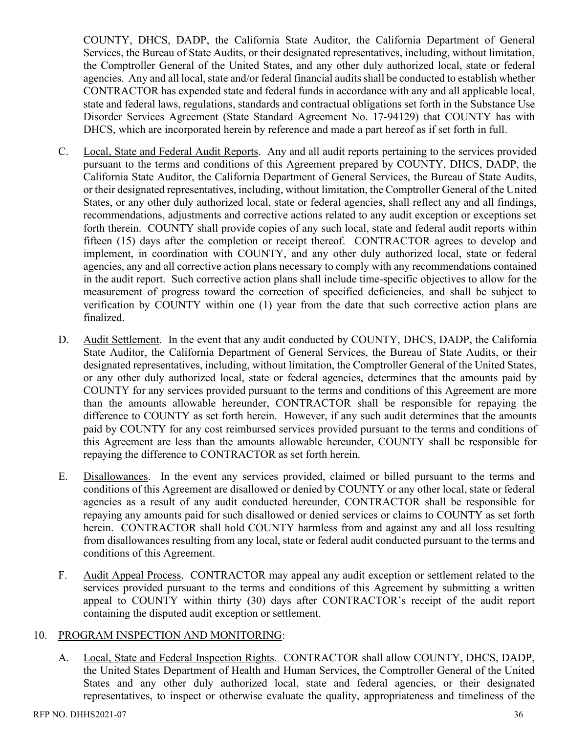COUNTY, DHCS, DADP, the California State Auditor, the California Department of General Services, the Bureau of State Audits, or their designated representatives, including, without limitation, the Comptroller General of the United States, and any other duly authorized local, state or federal agencies. Any and all local, state and/or federal financial audits shall be conducted to establish whether CONTRACTOR has expended state and federal funds in accordance with any and all applicable local, state and federal laws, regulations, standards and contractual obligations set forth in the Substance Use Disorder Services Agreement (State Standard Agreement No. 17-94129) that COUNTY has with DHCS, which are incorporated herein by reference and made a part hereof as if set forth in full.

- C. Local, State and Federal Audit Reports. Any and all audit reports pertaining to the services provided pursuant to the terms and conditions of this Agreement prepared by COUNTY, DHCS, DADP, the California State Auditor, the California Department of General Services, the Bureau of State Audits, or their designated representatives, including, without limitation, the Comptroller General of the United States, or any other duly authorized local, state or federal agencies, shall reflect any and all findings, recommendations, adjustments and corrective actions related to any audit exception or exceptions set forth therein. COUNTY shall provide copies of any such local, state and federal audit reports within fifteen (15) days after the completion or receipt thereof. CONTRACTOR agrees to develop and implement, in coordination with COUNTY, and any other duly authorized local, state or federal agencies, any and all corrective action plans necessary to comply with any recommendations contained in the audit report. Such corrective action plans shall include time-specific objectives to allow for the measurement of progress toward the correction of specified deficiencies, and shall be subject to verification by COUNTY within one (1) year from the date that such corrective action plans are finalized.
- D. Audit Settlement. In the event that any audit conducted by COUNTY, DHCS, DADP, the California State Auditor, the California Department of General Services, the Bureau of State Audits, or their designated representatives, including, without limitation, the Comptroller General of the United States, or any other duly authorized local, state or federal agencies, determines that the amounts paid by COUNTY for any services provided pursuant to the terms and conditions of this Agreement are more than the amounts allowable hereunder, CONTRACTOR shall be responsible for repaying the difference to COUNTY as set forth herein. However, if any such audit determines that the amounts paid by COUNTY for any cost reimbursed services provided pursuant to the terms and conditions of this Agreement are less than the amounts allowable hereunder, COUNTY shall be responsible for repaying the difference to CONTRACTOR as set forth herein.
- E. Disallowances. In the event any services provided, claimed or billed pursuant to the terms and conditions of this Agreement are disallowed or denied by COUNTY or any other local, state or federal agencies as a result of any audit conducted hereunder, CONTRACTOR shall be responsible for repaying any amounts paid for such disallowed or denied services or claims to COUNTY as set forth herein. CONTRACTOR shall hold COUNTY harmless from and against any and all loss resulting from disallowances resulting from any local, state or federal audit conducted pursuant to the terms and conditions of this Agreement.
- F. Audit Appeal Process. CONTRACTOR may appeal any audit exception or settlement related to the services provided pursuant to the terms and conditions of this Agreement by submitting a written appeal to COUNTY within thirty (30) days after CONTRACTOR's receipt of the audit report containing the disputed audit exception or settlement.

#### 10. PROGRAM INSPECTION AND MONITORING:

A. Local, State and Federal Inspection Rights. CONTRACTOR shall allow COUNTY, DHCS, DADP, the United States Department of Health and Human Services, the Comptroller General of the United States and any other duly authorized local, state and federal agencies, or their designated representatives, to inspect or otherwise evaluate the quality, appropriateness and timeliness of the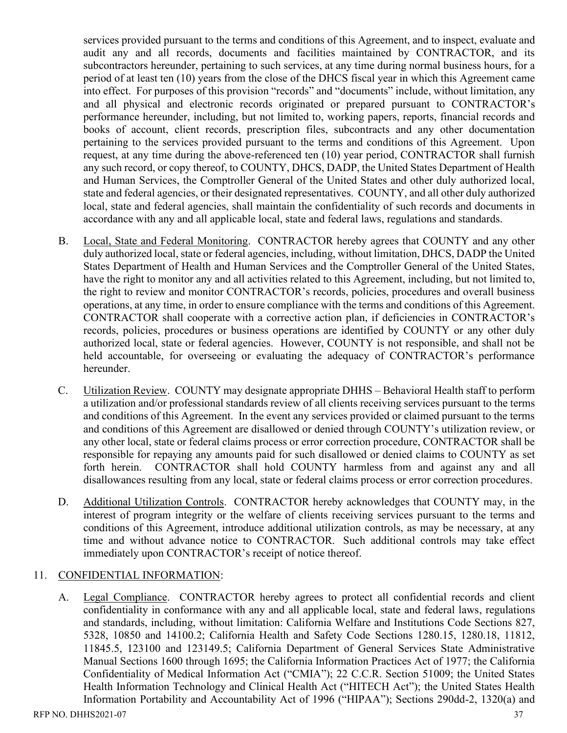services provided pursuant to the terms and conditions of this Agreement, and to inspect, evaluate and audit any and all records, documents and facilities maintained by CONTRACTOR, and its subcontractors hereunder, pertaining to such services, at any time during normal business hours, for a period of at least ten (10) years from the close of the DHCS fiscal year in which this Agreement came into effect. For purposes of this provision "records" and "documents" include, without limitation, any and all physical and electronic records originated or prepared pursuant to CONTRACTOR's performance hereunder, including, but not limited to, working papers, reports, financial records and books of account, client records, prescription files, subcontracts and any other documentation pertaining to the services provided pursuant to the terms and conditions of this Agreement. Upon request, at any time during the above-referenced ten (10) year period, CONTRACTOR shall furnish any such record, or copy thereof, to COUNTY, DHCS, DADP, the United States Department of Health and Human Services, the Comptroller General of the United States and other duly authorized local, state and federal agencies, or their designated representatives. COUNTY, and all other duly authorized local, state and federal agencies, shall maintain the confidentiality of such records and documents in accordance with any and all applicable local, state and federal laws, regulations and standards.

- B. Local, State and Federal Monitoring. CONTRACTOR hereby agrees that COUNTY and any other duly authorized local, state or federal agencies, including, without limitation, DHCS, DADP the United States Department of Health and Human Services and the Comptroller General of the United States, have the right to monitor any and all activities related to this Agreement, including, but not limited to, the right to review and monitor CONTRACTOR's records, policies, procedures and overall business operations, at any time, in order to ensure compliance with the terms and conditions of this Agreement. CONTRACTOR shall cooperate with a corrective action plan, if deficiencies in CONTRACTOR's records, policies, procedures or business operations are identified by COUNTY or any other duly authorized local, state or federal agencies. However, COUNTY is not responsible, and shall not be held accountable, for overseeing or evaluating the adequacy of CONTRACTOR's performance hereunder.
- C. Utilization Review. COUNTY may designate appropriate DHHS Behavioral Health staff to perform a utilization and/or professional standards review of all clients receiving services pursuant to the terms and conditions of this Agreement. In the event any services provided or claimed pursuant to the terms and conditions of this Agreement are disallowed or denied through COUNTY's utilization review, or any other local, state or federal claims process or error correction procedure, CONTRACTOR shall be responsible for repaying any amounts paid for such disallowed or denied claims to COUNTY as set forth herein. CONTRACTOR shall hold COUNTY harmless from and against any and all disallowances resulting from any local, state or federal claims process or error correction procedures.
- D. Additional Utilization Controls. CONTRACTOR hereby acknowledges that COUNTY may, in the interest of program integrity or the welfare of clients receiving services pursuant to the terms and conditions of this Agreement, introduce additional utilization controls, as may be necessary, at any time and without advance notice to CONTRACTOR. Such additional controls may take effect immediately upon CONTRACTOR's receipt of notice thereof.

## 11. CONFIDENTIAL INFORMATION:

A. Legal Compliance. CONTRACTOR hereby agrees to protect all confidential records and client confidentiality in conformance with any and all applicable local, state and federal laws, regulations and standards, including, without limitation: California Welfare and Institutions Code Sections 827, 5328, 10850 and 14100.2; California Health and Safety Code Sections 1280.15, 1280.18, 11812, 11845.5, 123100 and 123149.5; California Department of General Services State Administrative Manual Sections 1600 through 1695; the California Information Practices Act of 1977; the California Confidentiality of Medical Information Act ("CMIA"); 22 C.C.R. Section 51009; the United States Health Information Technology and Clinical Health Act ("HITECH Act"); the United States Health Information Portability and Accountability Act of 1996 ("HIPAA"); Sections 290dd-2, 1320(a) and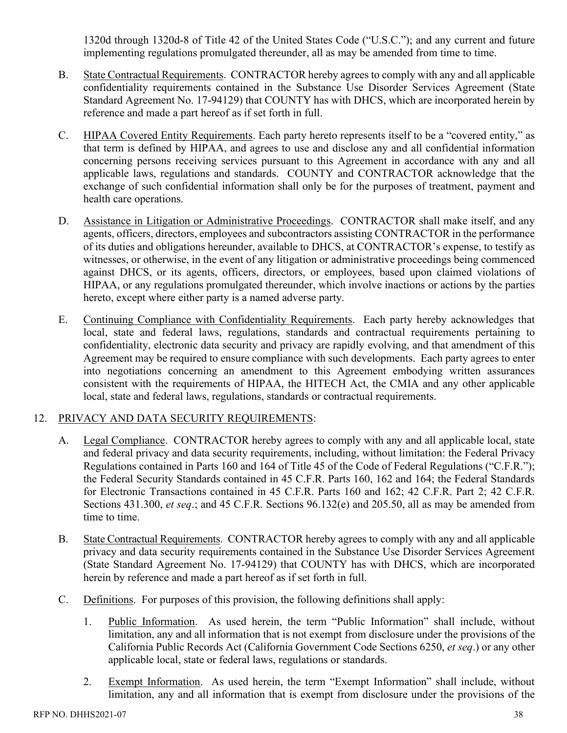1320d through 1320d-8 of Title 42 of the United States Code ("U.S.C."); and any current and future implementing regulations promulgated thereunder, all as may be amended from time to time.

- B. State Contractual Requirements. CONTRACTOR hereby agrees to comply with any and all applicable confidentiality requirements contained in the Substance Use Disorder Services Agreement (State Standard Agreement No. 17-94129) that COUNTY has with DHCS, which are incorporated herein by reference and made a part hereof as if set forth in full.
- C. HIPAA Covered Entity Requirements. Each party hereto represents itself to be a "covered entity," as that term is defined by HIPAA, and agrees to use and disclose any and all confidential information concerning persons receiving services pursuant to this Agreement in accordance with any and all applicable laws, regulations and standards. COUNTY and CONTRACTOR acknowledge that the exchange of such confidential information shall only be for the purposes of treatment, payment and health care operations.
- D. Assistance in Litigation or Administrative Proceedings. CONTRACTOR shall make itself, and any agents, officers, directors, employees and subcontractors assisting CONTRACTOR in the performance of its duties and obligations hereunder, available to DHCS, at CONTRACTOR's expense, to testify as witnesses, or otherwise, in the event of any litigation or administrative proceedings being commenced against DHCS, or its agents, officers, directors, or employees, based upon claimed violations of HIPAA, or any regulations promulgated thereunder, which involve inactions or actions by the parties hereto, except where either party is a named adverse party.
- E. Continuing Compliance with Confidentiality Requirements. Each party hereby acknowledges that local, state and federal laws, regulations, standards and contractual requirements pertaining to confidentiality, electronic data security and privacy are rapidly evolving, and that amendment of this Agreement may be required to ensure compliance with such developments. Each party agrees to enter into negotiations concerning an amendment to this Agreement embodying written assurances consistent with the requirements of HIPAA, the HITECH Act, the CMIA and any other applicable local, state and federal laws, regulations, standards or contractual requirements.

## 12. PRIVACY AND DATA SECURITY REQUIREMENTS:

- A. Legal Compliance. CONTRACTOR hereby agrees to comply with any and all applicable local, state and federal privacy and data security requirements, including, without limitation: the Federal Privacy Regulations contained in Parts 160 and 164 of Title 45 of the Code of Federal Regulations ("C.F.R."); the Federal Security Standards contained in 45 C.F.R. Parts 160, 162 and 164; the Federal Standards for Electronic Transactions contained in 45 C.F.R. Parts 160 and 162; 42 C.F.R. Part 2; 42 C.F.R. Sections 431.300, *et seq*.; and 45 C.F.R. Sections 96.132(e) and 205.50, all as may be amended from time to time.
- B. State Contractual Requirements. CONTRACTOR hereby agrees to comply with any and all applicable privacy and data security requirements contained in the Substance Use Disorder Services Agreement (State Standard Agreement No. 17-94129) that COUNTY has with DHCS, which are incorporated herein by reference and made a part hereof as if set forth in full.
- C. Definitions. For purposes of this provision, the following definitions shall apply:
	- 1. Public Information. As used herein, the term "Public Information" shall include, without limitation, any and all information that is not exempt from disclosure under the provisions of the California Public Records Act (California Government Code Sections 6250, *et seq*.) or any other applicable local, state or federal laws, regulations or standards.
	- 2. Exempt Information. As used herein, the term "Exempt Information" shall include, without limitation, any and all information that is exempt from disclosure under the provisions of the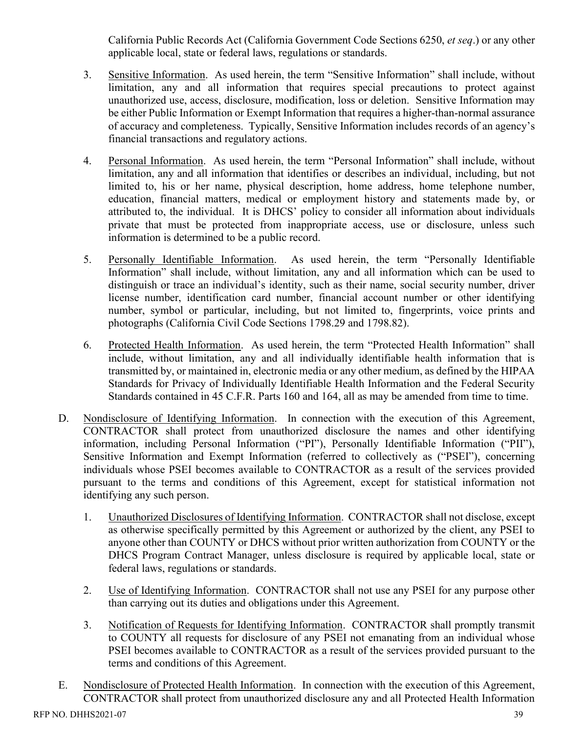California Public Records Act (California Government Code Sections 6250, *et seq*.) or any other applicable local, state or federal laws, regulations or standards.

- 3. Sensitive Information. As used herein, the term "Sensitive Information" shall include, without limitation, any and all information that requires special precautions to protect against unauthorized use, access, disclosure, modification, loss or deletion. Sensitive Information may be either Public Information or Exempt Information that requires a higher-than-normal assurance of accuracy and completeness. Typically, Sensitive Information includes records of an agency's financial transactions and regulatory actions.
- 4. Personal Information. As used herein, the term "Personal Information" shall include, without limitation, any and all information that identifies or describes an individual, including, but not limited to, his or her name, physical description, home address, home telephone number, education, financial matters, medical or employment history and statements made by, or attributed to, the individual. It is DHCS' policy to consider all information about individuals private that must be protected from inappropriate access, use or disclosure, unless such information is determined to be a public record.
- 5. Personally Identifiable Information. As used herein, the term "Personally Identifiable Information" shall include, without limitation, any and all information which can be used to distinguish or trace an individual's identity, such as their name, social security number, driver license number, identification card number, financial account number or other identifying number, symbol or particular, including, but not limited to, fingerprints, voice prints and photographs (California Civil Code Sections 1798.29 and 1798.82).
- 6. Protected Health Information. As used herein, the term "Protected Health Information" shall include, without limitation, any and all individually identifiable health information that is transmitted by, or maintained in, electronic media or any other medium, as defined by the HIPAA Standards for Privacy of Individually Identifiable Health Information and the Federal Security Standards contained in 45 C.F.R. Parts 160 and 164, all as may be amended from time to time.
- D. Nondisclosure of Identifying Information. In connection with the execution of this Agreement, CONTRACTOR shall protect from unauthorized disclosure the names and other identifying information, including Personal Information ("PI"), Personally Identifiable Information ("PII"), Sensitive Information and Exempt Information (referred to collectively as ("PSEI"), concerning individuals whose PSEI becomes available to CONTRACTOR as a result of the services provided pursuant to the terms and conditions of this Agreement, except for statistical information not identifying any such person.
	- 1. Unauthorized Disclosures of Identifying Information. CONTRACTOR shall not disclose, except as otherwise specifically permitted by this Agreement or authorized by the client, any PSEI to anyone other than COUNTY or DHCS without prior written authorization from COUNTY or the DHCS Program Contract Manager, unless disclosure is required by applicable local, state or federal laws, regulations or standards.
	- 2. Use of Identifying Information. CONTRACTOR shall not use any PSEI for any purpose other than carrying out its duties and obligations under this Agreement.
	- 3. Notification of Requests for Identifying Information. CONTRACTOR shall promptly transmit to COUNTY all requests for disclosure of any PSEI not emanating from an individual whose PSEI becomes available to CONTRACTOR as a result of the services provided pursuant to the terms and conditions of this Agreement.
- E. Nondisclosure of Protected Health Information. In connection with the execution of this Agreement, CONTRACTOR shall protect from unauthorized disclosure any and all Protected Health Information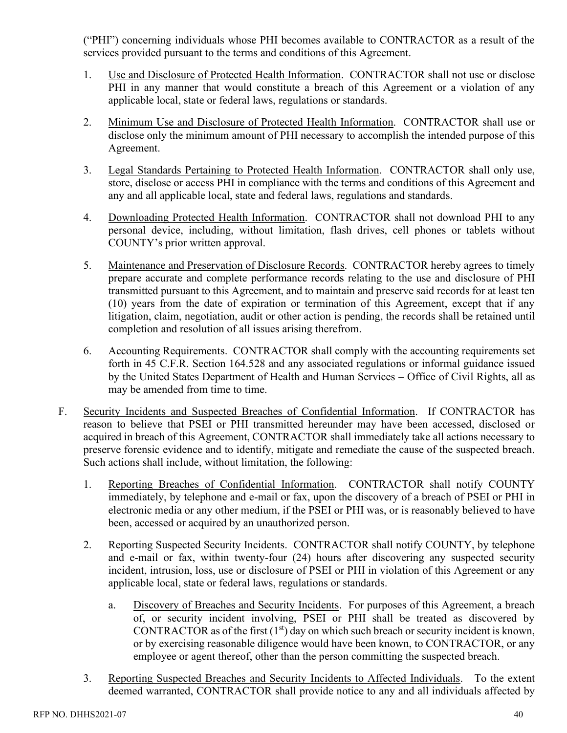("PHI") concerning individuals whose PHI becomes available to CONTRACTOR as a result of the services provided pursuant to the terms and conditions of this Agreement.

- 1. Use and Disclosure of Protected Health Information. CONTRACTOR shall not use or disclose PHI in any manner that would constitute a breach of this Agreement or a violation of any applicable local, state or federal laws, regulations or standards.
- 2. Minimum Use and Disclosure of Protected Health Information. CONTRACTOR shall use or disclose only the minimum amount of PHI necessary to accomplish the intended purpose of this Agreement.
- 3. Legal Standards Pertaining to Protected Health Information. CONTRACTOR shall only use, store, disclose or access PHI in compliance with the terms and conditions of this Agreement and any and all applicable local, state and federal laws, regulations and standards.
- 4. Downloading Protected Health Information. CONTRACTOR shall not download PHI to any personal device, including, without limitation, flash drives, cell phones or tablets without COUNTY's prior written approval.
- 5. Maintenance and Preservation of Disclosure Records. CONTRACTOR hereby agrees to timely prepare accurate and complete performance records relating to the use and disclosure of PHI transmitted pursuant to this Agreement, and to maintain and preserve said records for at least ten (10) years from the date of expiration or termination of this Agreement, except that if any litigation, claim, negotiation, audit or other action is pending, the records shall be retained until completion and resolution of all issues arising therefrom.
- 6. Accounting Requirements. CONTRACTOR shall comply with the accounting requirements set forth in 45 C.F.R. Section 164.528 and any associated regulations or informal guidance issued by the United States Department of Health and Human Services – Office of Civil Rights, all as may be amended from time to time.
- F. Security Incidents and Suspected Breaches of Confidential Information. If CONTRACTOR has reason to believe that PSEI or PHI transmitted hereunder may have been accessed, disclosed or acquired in breach of this Agreement, CONTRACTOR shall immediately take all actions necessary to preserve forensic evidence and to identify, mitigate and remediate the cause of the suspected breach. Such actions shall include, without limitation, the following:
	- 1. Reporting Breaches of Confidential Information. CONTRACTOR shall notify COUNTY immediately, by telephone and e-mail or fax, upon the discovery of a breach of PSEI or PHI in electronic media or any other medium, if the PSEI or PHI was, or is reasonably believed to have been, accessed or acquired by an unauthorized person.
	- 2. Reporting Suspected Security Incidents. CONTRACTOR shall notify COUNTY, by telephone and e-mail or fax, within twenty-four (24) hours after discovering any suspected security incident, intrusion, loss, use or disclosure of PSEI or PHI in violation of this Agreement or any applicable local, state or federal laws, regulations or standards.
		- a. Discovery of Breaches and Security Incidents. For purposes of this Agreement, a breach of, or security incident involving, PSEI or PHI shall be treated as discovered by CONTRACTOR as of the first  $(1<sup>st</sup>)$  day on which such breach or security incident is known, or by exercising reasonable diligence would have been known, to CONTRACTOR, or any employee or agent thereof, other than the person committing the suspected breach.
	- 3. Reporting Suspected Breaches and Security Incidents to Affected Individuals. To the extent deemed warranted, CONTRACTOR shall provide notice to any and all individuals affected by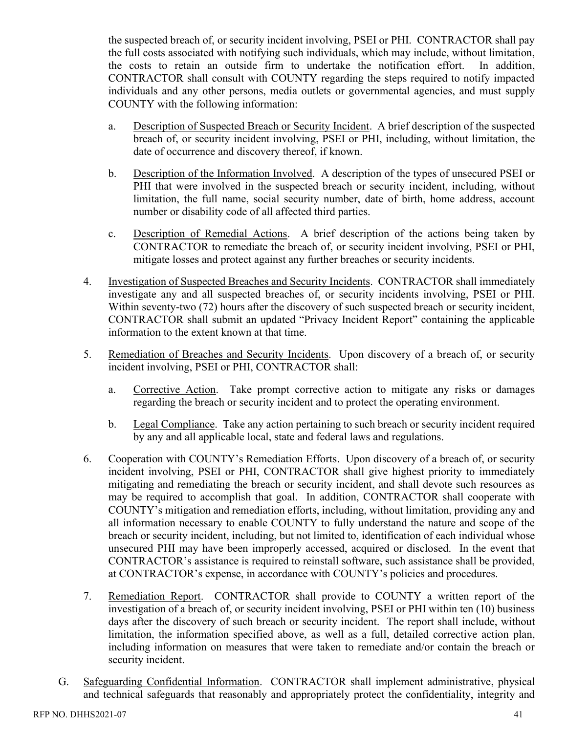the suspected breach of, or security incident involving, PSEI or PHI. CONTRACTOR shall pay the full costs associated with notifying such individuals, which may include, without limitation, the costs to retain an outside firm to undertake the notification effort. In addition, CONTRACTOR shall consult with COUNTY regarding the steps required to notify impacted individuals and any other persons, media outlets or governmental agencies, and must supply COUNTY with the following information:

- a. Description of Suspected Breach or Security Incident. A brief description of the suspected breach of, or security incident involving, PSEI or PHI, including, without limitation, the date of occurrence and discovery thereof, if known.
- b. Description of the Information Involved. A description of the types of unsecured PSEI or PHI that were involved in the suspected breach or security incident, including, without limitation, the full name, social security number, date of birth, home address, account number or disability code of all affected third parties.
- c. Description of Remedial Actions. A brief description of the actions being taken by CONTRACTOR to remediate the breach of, or security incident involving, PSEI or PHI, mitigate losses and protect against any further breaches or security incidents.
- 4. Investigation of Suspected Breaches and Security Incidents. CONTRACTOR shall immediately investigate any and all suspected breaches of, or security incidents involving, PSEI or PHI. Within seventy-two (72) hours after the discovery of such suspected breach or security incident, CONTRACTOR shall submit an updated "Privacy Incident Report" containing the applicable information to the extent known at that time.
- 5. Remediation of Breaches and Security Incidents. Upon discovery of a breach of, or security incident involving, PSEI or PHI, CONTRACTOR shall:
	- a. Corrective Action. Take prompt corrective action to mitigate any risks or damages regarding the breach or security incident and to protect the operating environment.
	- b. Legal Compliance. Take any action pertaining to such breach or security incident required by any and all applicable local, state and federal laws and regulations.
- 6. Cooperation with COUNTY's Remediation Efforts. Upon discovery of a breach of, or security incident involving, PSEI or PHI, CONTRACTOR shall give highest priority to immediately mitigating and remediating the breach or security incident, and shall devote such resources as may be required to accomplish that goal. In addition, CONTRACTOR shall cooperate with COUNTY's mitigation and remediation efforts, including, without limitation, providing any and all information necessary to enable COUNTY to fully understand the nature and scope of the breach or security incident, including, but not limited to, identification of each individual whose unsecured PHI may have been improperly accessed, acquired or disclosed. In the event that CONTRACTOR's assistance is required to reinstall software, such assistance shall be provided, at CONTRACTOR's expense, in accordance with COUNTY's policies and procedures.
- 7. Remediation Report. CONTRACTOR shall provide to COUNTY a written report of the investigation of a breach of, or security incident involving, PSEI or PHI within ten (10) business days after the discovery of such breach or security incident. The report shall include, without limitation, the information specified above, as well as a full, detailed corrective action plan, including information on measures that were taken to remediate and/or contain the breach or security incident.
- G. Safeguarding Confidential Information. CONTRACTOR shall implement administrative, physical and technical safeguards that reasonably and appropriately protect the confidentiality, integrity and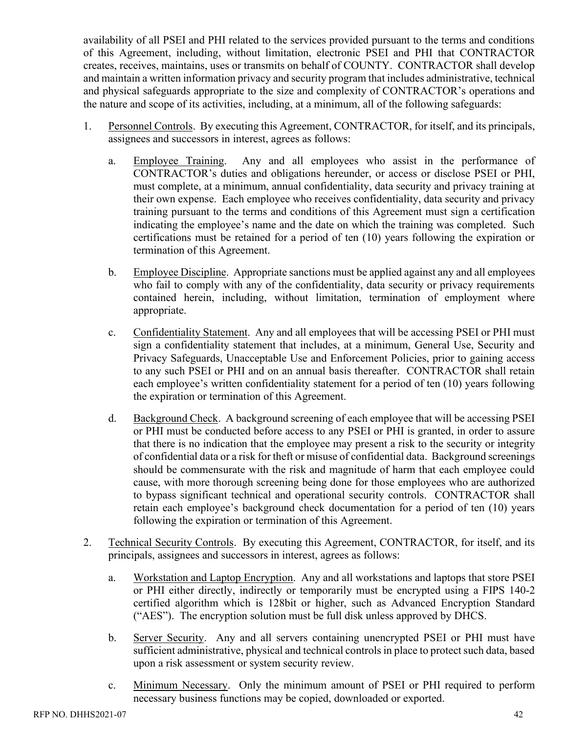availability of all PSEI and PHI related to the services provided pursuant to the terms and conditions of this Agreement, including, without limitation, electronic PSEI and PHI that CONTRACTOR creates, receives, maintains, uses or transmits on behalf of COUNTY. CONTRACTOR shall develop and maintain a written information privacy and security program that includes administrative, technical and physical safeguards appropriate to the size and complexity of CONTRACTOR's operations and the nature and scope of its activities, including, at a minimum, all of the following safeguards:

- 1. Personnel Controls. By executing this Agreement, CONTRACTOR, for itself, and its principals, assignees and successors in interest, agrees as follows:
	- a. Employee Training. Any and all employees who assist in the performance of CONTRACTOR's duties and obligations hereunder, or access or disclose PSEI or PHI, must complete, at a minimum, annual confidentiality, data security and privacy training at their own expense. Each employee who receives confidentiality, data security and privacy training pursuant to the terms and conditions of this Agreement must sign a certification indicating the employee's name and the date on which the training was completed. Such certifications must be retained for a period of ten (10) years following the expiration or termination of this Agreement.
	- b. Employee Discipline. Appropriate sanctions must be applied against any and all employees who fail to comply with any of the confidentiality, data security or privacy requirements contained herein, including, without limitation, termination of employment where appropriate.
	- c. Confidentiality Statement. Any and all employees that will be accessing PSEI or PHI must sign a confidentiality statement that includes, at a minimum, General Use, Security and Privacy Safeguards, Unacceptable Use and Enforcement Policies, prior to gaining access to any such PSEI or PHI and on an annual basis thereafter. CONTRACTOR shall retain each employee's written confidentiality statement for a period of ten (10) years following the expiration or termination of this Agreement.
	- d. Background Check. A background screening of each employee that will be accessing PSEI or PHI must be conducted before access to any PSEI or PHI is granted, in order to assure that there is no indication that the employee may present a risk to the security or integrity of confidential data or a risk for theft or misuse of confidential data. Background screenings should be commensurate with the risk and magnitude of harm that each employee could cause, with more thorough screening being done for those employees who are authorized to bypass significant technical and operational security controls. CONTRACTOR shall retain each employee's background check documentation for a period of ten (10) years following the expiration or termination of this Agreement.
- 2. Technical Security Controls. By executing this Agreement, CONTRACTOR, for itself, and its principals, assignees and successors in interest, agrees as follows:
	- a. Workstation and Laptop Encryption. Any and all workstations and laptops that store PSEI or PHI either directly, indirectly or temporarily must be encrypted using a FIPS 140-2 certified algorithm which is 128bit or higher, such as Advanced Encryption Standard ("AES"). The encryption solution must be full disk unless approved by DHCS.
	- b. Server Security. Any and all servers containing unencrypted PSEI or PHI must have sufficient administrative, physical and technical controls in place to protect such data, based upon a risk assessment or system security review.
	- c. Minimum Necessary. Only the minimum amount of PSEI or PHI required to perform necessary business functions may be copied, downloaded or exported.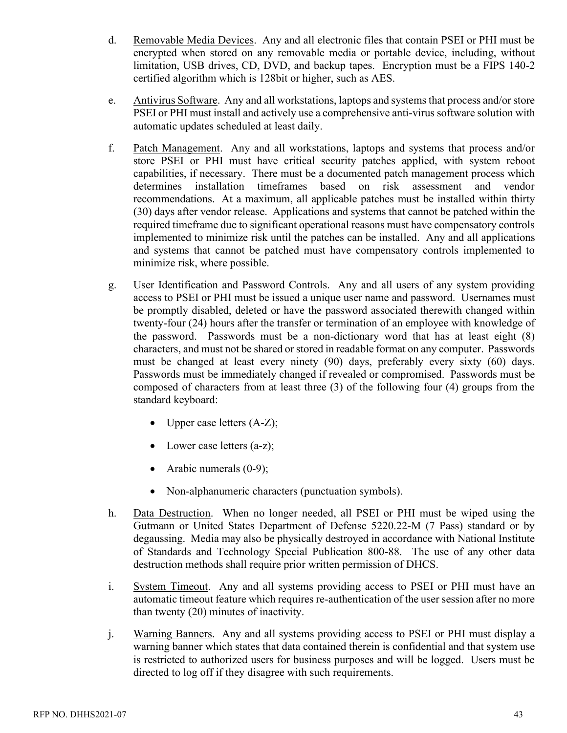- d. Removable Media Devices. Any and all electronic files that contain PSEI or PHI must be encrypted when stored on any removable media or portable device, including, without limitation, USB drives, CD, DVD, and backup tapes. Encryption must be a FIPS 140-2 certified algorithm which is 128bit or higher, such as AES.
- e. Antivirus Software. Any and all workstations, laptops and systems that process and/or store PSEI or PHI must install and actively use a comprehensive anti-virus software solution with automatic updates scheduled at least daily.
- f. Patch Management. Any and all workstations, laptops and systems that process and/or store PSEI or PHI must have critical security patches applied, with system reboot capabilities, if necessary. There must be a documented patch management process which determines installation timeframes based on risk assessment and vendor recommendations. At a maximum, all applicable patches must be installed within thirty (30) days after vendor release. Applications and systems that cannot be patched within the required timeframe due to significant operational reasons must have compensatory controls implemented to minimize risk until the patches can be installed. Any and all applications and systems that cannot be patched must have compensatory controls implemented to minimize risk, where possible.
- g. User Identification and Password Controls. Any and all users of any system providing access to PSEI or PHI must be issued a unique user name and password. Usernames must be promptly disabled, deleted or have the password associated therewith changed within twenty-four (24) hours after the transfer or termination of an employee with knowledge of the password. Passwords must be a non-dictionary word that has at least eight (8) characters, and must not be shared or stored in readable format on any computer. Passwords must be changed at least every ninety (90) days, preferably every sixty (60) days. Passwords must be immediately changed if revealed or compromised. Passwords must be composed of characters from at least three (3) of the following four (4) groups from the standard keyboard:
	- Upper case letters  $(A-Z)$ ;
	- Lower case letters (a-z);
	- Arabic numerals (0-9);
	- Non-alphanumeric characters (punctuation symbols).
- h. Data Destruction. When no longer needed, all PSEI or PHI must be wiped using the Gutmann or United States Department of Defense 5220.22-M (7 Pass) standard or by degaussing. Media may also be physically destroyed in accordance with National Institute of Standards and Technology Special Publication 800-88. The use of any other data destruction methods shall require prior written permission of DHCS.
- i. System Timeout. Any and all systems providing access to PSEI or PHI must have an automatic timeout feature which requires re-authentication of the user session after no more than twenty (20) minutes of inactivity.
- j. Warning Banners. Any and all systems providing access to PSEI or PHI must display a warning banner which states that data contained therein is confidential and that system use is restricted to authorized users for business purposes and will be logged. Users must be directed to log off if they disagree with such requirements.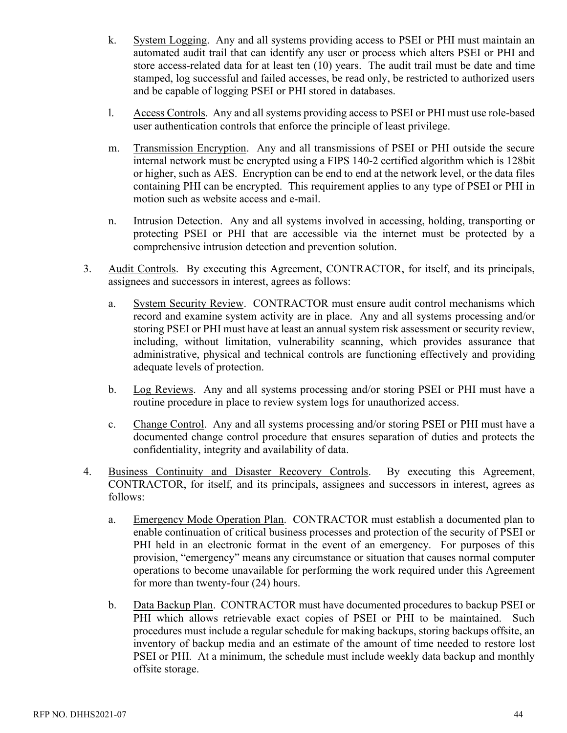- k. System Logging. Any and all systems providing access to PSEI or PHI must maintain an automated audit trail that can identify any user or process which alters PSEI or PHI and store access-related data for at least ten (10) years. The audit trail must be date and time stamped, log successful and failed accesses, be read only, be restricted to authorized users and be capable of logging PSEI or PHI stored in databases.
- l. Access Controls. Any and all systems providing access to PSEI or PHI must use role-based user authentication controls that enforce the principle of least privilege.
- m. Transmission Encryption. Any and all transmissions of PSEI or PHI outside the secure internal network must be encrypted using a FIPS 140-2 certified algorithm which is 128bit or higher, such as AES. Encryption can be end to end at the network level, or the data files containing PHI can be encrypted. This requirement applies to any type of PSEI or PHI in motion such as website access and e-mail.
- n. Intrusion Detection. Any and all systems involved in accessing, holding, transporting or protecting PSEI or PHI that are accessible via the internet must be protected by a comprehensive intrusion detection and prevention solution.
- 3. Audit Controls. By executing this Agreement, CONTRACTOR, for itself, and its principals, assignees and successors in interest, agrees as follows:
	- a. System Security Review. CONTRACTOR must ensure audit control mechanisms which record and examine system activity are in place. Any and all systems processing and/or storing PSEI or PHI must have at least an annual system risk assessment or security review, including, without limitation, vulnerability scanning, which provides assurance that administrative, physical and technical controls are functioning effectively and providing adequate levels of protection.
	- b. Log Reviews. Any and all systems processing and/or storing PSEI or PHI must have a routine procedure in place to review system logs for unauthorized access.
	- c. Change Control. Any and all systems processing and/or storing PSEI or PHI must have a documented change control procedure that ensures separation of duties and protects the confidentiality, integrity and availability of data.
- 4. Business Continuity and Disaster Recovery Controls. By executing this Agreement, CONTRACTOR, for itself, and its principals, assignees and successors in interest, agrees as follows:
	- a. Emergency Mode Operation Plan. CONTRACTOR must establish a documented plan to enable continuation of critical business processes and protection of the security of PSEI or PHI held in an electronic format in the event of an emergency. For purposes of this provision, "emergency" means any circumstance or situation that causes normal computer operations to become unavailable for performing the work required under this Agreement for more than twenty-four (24) hours.
	- b. Data Backup Plan. CONTRACTOR must have documented procedures to backup PSEI or PHI which allows retrievable exact copies of PSEI or PHI to be maintained. Such procedures must include a regular schedule for making backups, storing backups offsite, an inventory of backup media and an estimate of the amount of time needed to restore lost PSEI or PHI. At a minimum, the schedule must include weekly data backup and monthly offsite storage.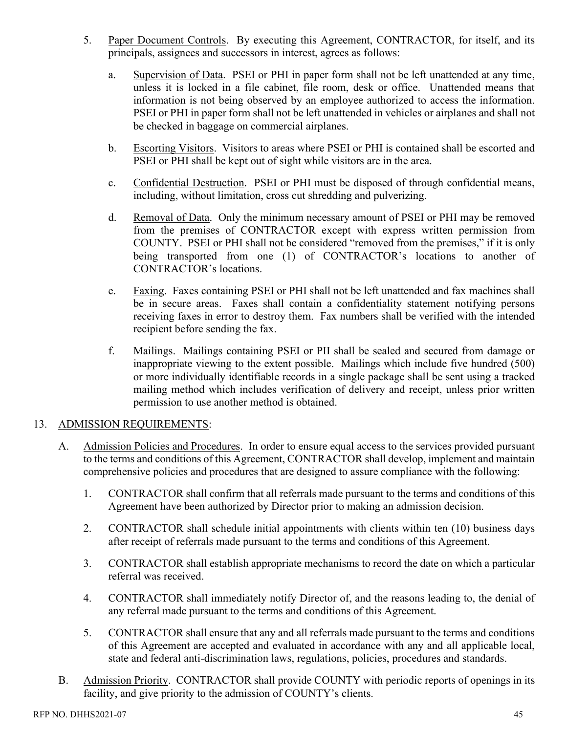- 5. Paper Document Controls. By executing this Agreement, CONTRACTOR, for itself, and its principals, assignees and successors in interest, agrees as follows:
	- a. Supervision of Data. PSEI or PHI in paper form shall not be left unattended at any time, unless it is locked in a file cabinet, file room, desk or office. Unattended means that information is not being observed by an employee authorized to access the information. PSEI or PHI in paper form shall not be left unattended in vehicles or airplanes and shall not be checked in baggage on commercial airplanes.
	- b. Escorting Visitors. Visitors to areas where PSEI or PHI is contained shall be escorted and PSEI or PHI shall be kept out of sight while visitors are in the area.
	- c. Confidential Destruction. PSEI or PHI must be disposed of through confidential means, including, without limitation, cross cut shredding and pulverizing.
	- d. Removal of Data. Only the minimum necessary amount of PSEI or PHI may be removed from the premises of CONTRACTOR except with express written permission from COUNTY. PSEI or PHI shall not be considered "removed from the premises," if it is only being transported from one (1) of CONTRACTOR's locations to another of CONTRACTOR's locations.
	- e. Faxing. Faxes containing PSEI or PHI shall not be left unattended and fax machines shall be in secure areas. Faxes shall contain a confidentiality statement notifying persons receiving faxes in error to destroy them. Fax numbers shall be verified with the intended recipient before sending the fax.
	- f. Mailings. Mailings containing PSEI or PII shall be sealed and secured from damage or inappropriate viewing to the extent possible. Mailings which include five hundred (500) or more individually identifiable records in a single package shall be sent using a tracked mailing method which includes verification of delivery and receipt, unless prior written permission to use another method is obtained.

## 13. ADMISSION REQUIREMENTS:

- A. Admission Policies and Procedures. In order to ensure equal access to the services provided pursuant to the terms and conditions of this Agreement, CONTRACTOR shall develop, implement and maintain comprehensive policies and procedures that are designed to assure compliance with the following:
	- 1. CONTRACTOR shall confirm that all referrals made pursuant to the terms and conditions of this Agreement have been authorized by Director prior to making an admission decision.
	- 2. CONTRACTOR shall schedule initial appointments with clients within ten (10) business days after receipt of referrals made pursuant to the terms and conditions of this Agreement.
	- 3. CONTRACTOR shall establish appropriate mechanisms to record the date on which a particular referral was received.
	- 4. CONTRACTOR shall immediately notify Director of, and the reasons leading to, the denial of any referral made pursuant to the terms and conditions of this Agreement.
	- 5. CONTRACTOR shall ensure that any and all referrals made pursuant to the terms and conditions of this Agreement are accepted and evaluated in accordance with any and all applicable local, state and federal anti-discrimination laws, regulations, policies, procedures and standards.
- B. Admission Priority. CONTRACTOR shall provide COUNTY with periodic reports of openings in its facility, and give priority to the admission of COUNTY's clients.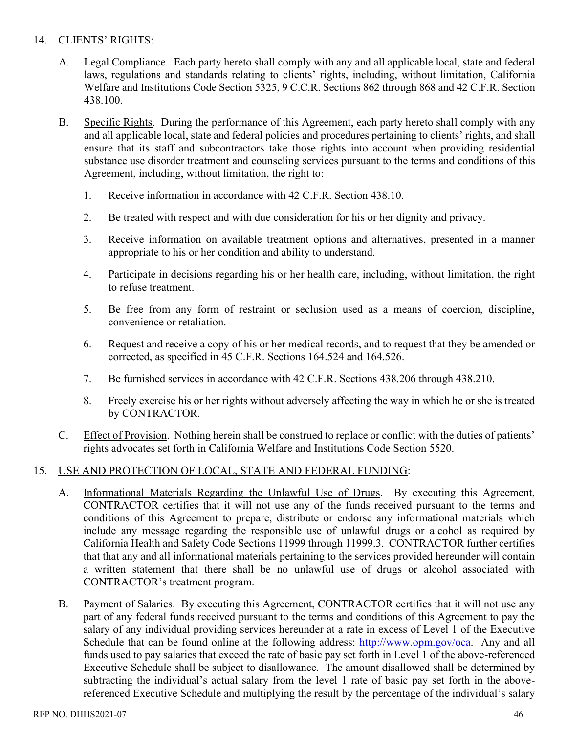## 14. CLIENTS' RIGHTS:

- A. Legal Compliance. Each party hereto shall comply with any and all applicable local, state and federal laws, regulations and standards relating to clients' rights, including, without limitation, California Welfare and Institutions Code Section 5325, 9 C.C.R. Sections 862 through 868 and 42 C.F.R. Section 438.100.
- B. Specific Rights. During the performance of this Agreement, each party hereto shall comply with any and all applicable local, state and federal policies and procedures pertaining to clients' rights, and shall ensure that its staff and subcontractors take those rights into account when providing residential substance use disorder treatment and counseling services pursuant to the terms and conditions of this Agreement, including, without limitation, the right to:
	- 1. Receive information in accordance with 42 C.F.R. Section 438.10.
	- 2. Be treated with respect and with due consideration for his or her dignity and privacy.
	- 3. Receive information on available treatment options and alternatives, presented in a manner appropriate to his or her condition and ability to understand.
	- 4. Participate in decisions regarding his or her health care, including, without limitation, the right to refuse treatment.
	- 5. Be free from any form of restraint or seclusion used as a means of coercion, discipline, convenience or retaliation.
	- 6. Request and receive a copy of his or her medical records, and to request that they be amended or corrected, as specified in 45 C.F.R. Sections 164.524 and 164.526.
	- 7. Be furnished services in accordance with 42 C.F.R. Sections 438.206 through 438.210.
	- 8. Freely exercise his or her rights without adversely affecting the way in which he or she is treated by CONTRACTOR.
- C. Effect of Provision. Nothing herein shall be construed to replace or conflict with the duties of patients' rights advocates set forth in California Welfare and Institutions Code Section 5520.

## 15. USE AND PROTECTION OF LOCAL, STATE AND FEDERAL FUNDING:

- A. Informational Materials Regarding the Unlawful Use of Drugs. By executing this Agreement, CONTRACTOR certifies that it will not use any of the funds received pursuant to the terms and conditions of this Agreement to prepare, distribute or endorse any informational materials which include any message regarding the responsible use of unlawful drugs or alcohol as required by California Health and Safety Code Sections 11999 through 11999.3. CONTRACTOR further certifies that that any and all informational materials pertaining to the services provided hereunder will contain a written statement that there shall be no unlawful use of drugs or alcohol associated with CONTRACTOR's treatment program.
- B. Payment of Salaries. By executing this Agreement, CONTRACTOR certifies that it will not use any part of any federal funds received pursuant to the terms and conditions of this Agreement to pay the salary of any individual providing services hereunder at a rate in excess of Level 1 of the Executive Schedule that can be found online at the following address: [http://www.opm.gov/oca.](http://www.opm.gov/oca) Any and all funds used to pay salaries that exceed the rate of basic pay set forth in Level 1 of the above-referenced Executive Schedule shall be subject to disallowance. The amount disallowed shall be determined by subtracting the individual's actual salary from the level 1 rate of basic pay set forth in the abovereferenced Executive Schedule and multiplying the result by the percentage of the individual's salary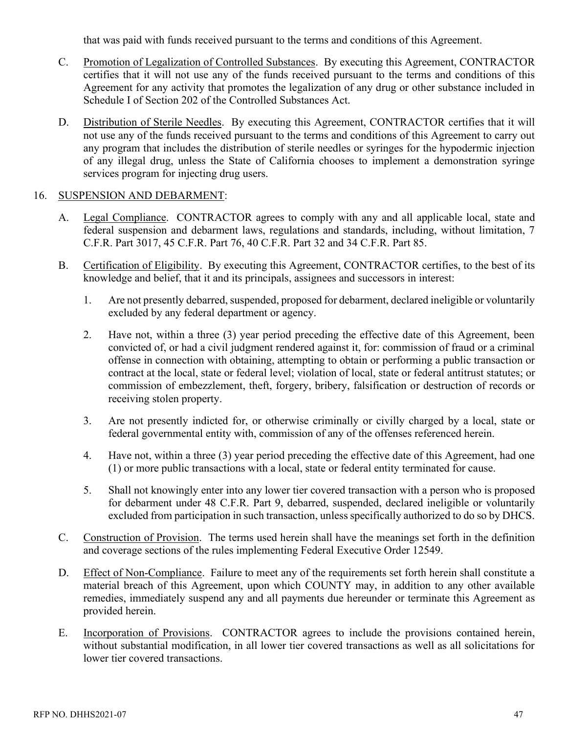that was paid with funds received pursuant to the terms and conditions of this Agreement.

- C. Promotion of Legalization of Controlled Substances. By executing this Agreement, CONTRACTOR certifies that it will not use any of the funds received pursuant to the terms and conditions of this Agreement for any activity that promotes the legalization of any drug or other substance included in Schedule I of Section 202 of the Controlled Substances Act.
- D. Distribution of Sterile Needles. By executing this Agreement, CONTRACTOR certifies that it will not use any of the funds received pursuant to the terms and conditions of this Agreement to carry out any program that includes the distribution of sterile needles or syringes for the hypodermic injection of any illegal drug, unless the State of California chooses to implement a demonstration syringe services program for injecting drug users.

## 16. SUSPENSION AND DEBARMENT:

- A. Legal Compliance. CONTRACTOR agrees to comply with any and all applicable local, state and federal suspension and debarment laws, regulations and standards, including, without limitation, 7 C.F.R. Part 3017, 45 C.F.R. Part 76, 40 C.F.R. Part 32 and 34 C.F.R. Part 85.
- B. Certification of Eligibility. By executing this Agreement, CONTRACTOR certifies, to the best of its knowledge and belief, that it and its principals, assignees and successors in interest:
	- 1. Are not presently debarred, suspended, proposed for debarment, declared ineligible or voluntarily excluded by any federal department or agency.
	- 2. Have not, within a three (3) year period preceding the effective date of this Agreement, been convicted of, or had a civil judgment rendered against it, for: commission of fraud or a criminal offense in connection with obtaining, attempting to obtain or performing a public transaction or contract at the local, state or federal level; violation of local, state or federal antitrust statutes; or commission of embezzlement, theft, forgery, bribery, falsification or destruction of records or receiving stolen property.
	- 3. Are not presently indicted for, or otherwise criminally or civilly charged by a local, state or federal governmental entity with, commission of any of the offenses referenced herein.
	- 4. Have not, within a three (3) year period preceding the effective date of this Agreement, had one (1) or more public transactions with a local, state or federal entity terminated for cause.
	- 5. Shall not knowingly enter into any lower tier covered transaction with a person who is proposed for debarment under 48 C.F.R. Part 9, debarred, suspended, declared ineligible or voluntarily excluded from participation in such transaction, unless specifically authorized to do so by DHCS.
- C. Construction of Provision. The terms used herein shall have the meanings set forth in the definition and coverage sections of the rules implementing Federal Executive Order 12549.
- D. Effect of Non-Compliance. Failure to meet any of the requirements set forth herein shall constitute a material breach of this Agreement, upon which COUNTY may, in addition to any other available remedies, immediately suspend any and all payments due hereunder or terminate this Agreement as provided herein.
- E. Incorporation of Provisions. CONTRACTOR agrees to include the provisions contained herein, without substantial modification, in all lower tier covered transactions as well as all solicitations for lower tier covered transactions.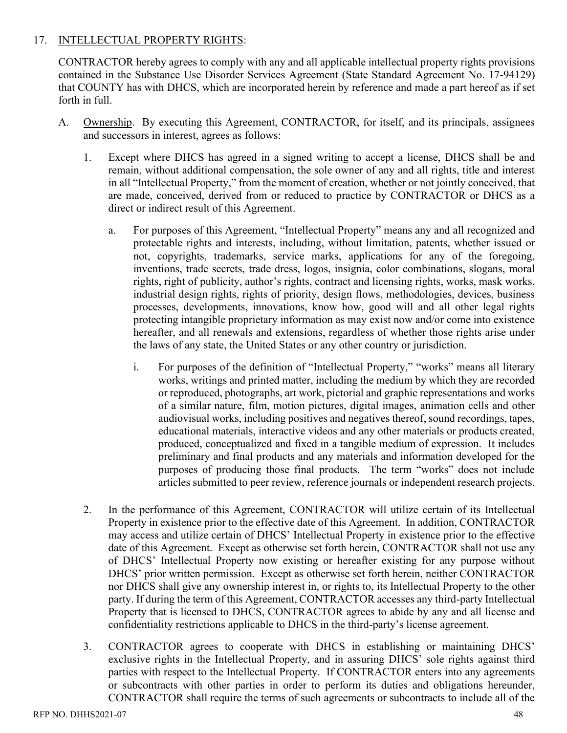## 17. INTELLECTUAL PROPERTY RIGHTS:

CONTRACTOR hereby agrees to comply with any and all applicable intellectual property rights provisions contained in the Substance Use Disorder Services Agreement (State Standard Agreement No. 17-94129) that COUNTY has with DHCS, which are incorporated herein by reference and made a part hereof as if set forth in full.

- A. Ownership. By executing this Agreement, CONTRACTOR, for itself, and its principals, assignees and successors in interest, agrees as follows:
	- 1. Except where DHCS has agreed in a signed writing to accept a license, DHCS shall be and remain, without additional compensation, the sole owner of any and all rights, title and interest in all "Intellectual Property," from the moment of creation, whether or not jointly conceived, that are made, conceived, derived from or reduced to practice by CONTRACTOR or DHCS as a direct or indirect result of this Agreement.
		- a. For purposes of this Agreement, "Intellectual Property" means any and all recognized and protectable rights and interests, including, without limitation, patents, whether issued or not, copyrights, trademarks, service marks, applications for any of the foregoing, inventions, trade secrets, trade dress, logos, insignia, color combinations, slogans, moral rights, right of publicity, author's rights, contract and licensing rights, works, mask works, industrial design rights, rights of priority, design flows, methodologies, devices, business processes, developments, innovations, know how, good will and all other legal rights protecting intangible proprietary information as may exist now and/or come into existence hereafter, and all renewals and extensions, regardless of whether those rights arise under the laws of any state, the United States or any other country or jurisdiction.
			- i. For purposes of the definition of "Intellectual Property," "works" means all literary works, writings and printed matter, including the medium by which they are recorded or reproduced, photographs, art work, pictorial and graphic representations and works of a similar nature, film, motion pictures, digital images, animation cells and other audiovisual works, including positives and negatives thereof, sound recordings, tapes, educational materials, interactive videos and any other materials or products created, produced, conceptualized and fixed in a tangible medium of expression. It includes preliminary and final products and any materials and information developed for the purposes of producing those final products. The term "works" does not include articles submitted to peer review, reference journals or independent research projects.
	- 2. In the performance of this Agreement, CONTRACTOR will utilize certain of its Intellectual Property in existence prior to the effective date of this Agreement. In addition, CONTRACTOR may access and utilize certain of DHCS' Intellectual Property in existence prior to the effective date of this Agreement. Except as otherwise set forth herein, CONTRACTOR shall not use any of DHCS' Intellectual Property now existing or hereafter existing for any purpose without DHCS' prior written permission. Except as otherwise set forth herein, neither CONTRACTOR nor DHCS shall give any ownership interest in, or rights to, its Intellectual Property to the other party. If during the term of this Agreement, CONTRACTOR accesses any third-party Intellectual Property that is licensed to DHCS, CONTRACTOR agrees to abide by any and all license and confidentiality restrictions applicable to DHCS in the third-party's license agreement.
	- 3. CONTRACTOR agrees to cooperate with DHCS in establishing or maintaining DHCS' exclusive rights in the Intellectual Property, and in assuring DHCS' sole rights against third parties with respect to the Intellectual Property. If CONTRACTOR enters into any agreements or subcontracts with other parties in order to perform its duties and obligations hereunder, CONTRACTOR shall require the terms of such agreements or subcontracts to include all of the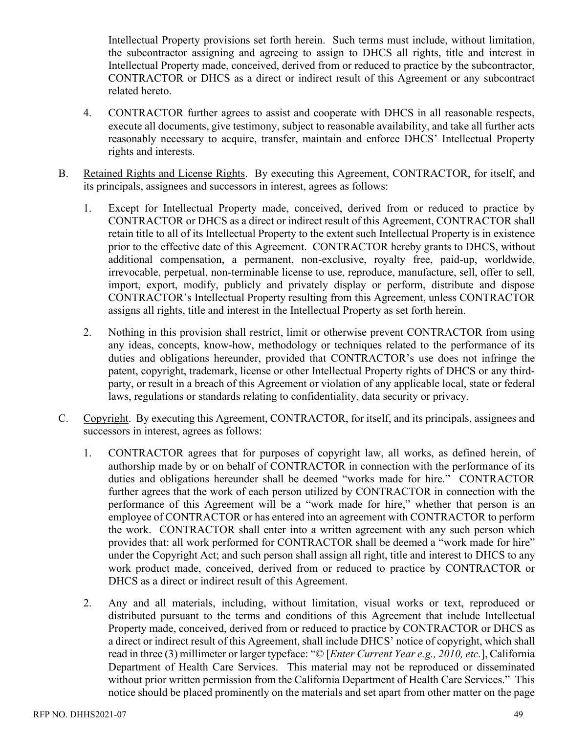Intellectual Property provisions set forth herein. Such terms must include, without limitation, the subcontractor assigning and agreeing to assign to DHCS all rights, title and interest in Intellectual Property made, conceived, derived from or reduced to practice by the subcontractor, CONTRACTOR or DHCS as a direct or indirect result of this Agreement or any subcontract related hereto.

- 4. CONTRACTOR further agrees to assist and cooperate with DHCS in all reasonable respects, execute all documents, give testimony, subject to reasonable availability, and take all further acts reasonably necessary to acquire, transfer, maintain and enforce DHCS' Intellectual Property rights and interests.
- B. Retained Rights and License Rights. By executing this Agreement, CONTRACTOR, for itself, and its principals, assignees and successors in interest, agrees as follows:
	- 1. Except for Intellectual Property made, conceived, derived from or reduced to practice by CONTRACTOR or DHCS as a direct or indirect result of this Agreement, CONTRACTOR shall retain title to all of its Intellectual Property to the extent such Intellectual Property is in existence prior to the effective date of this Agreement. CONTRACTOR hereby grants to DHCS, without additional compensation, a permanent, non-exclusive, royalty free, paid-up, worldwide, irrevocable, perpetual, non-terminable license to use, reproduce, manufacture, sell, offer to sell, import, export, modify, publicly and privately display or perform, distribute and dispose CONTRACTOR's Intellectual Property resulting from this Agreement, unless CONTRACTOR assigns all rights, title and interest in the Intellectual Property as set forth herein.
	- 2. Nothing in this provision shall restrict, limit or otherwise prevent CONTRACTOR from using any ideas, concepts, know-how, methodology or techniques related to the performance of its duties and obligations hereunder, provided that CONTRACTOR's use does not infringe the patent, copyright, trademark, license or other Intellectual Property rights of DHCS or any thirdparty, or result in a breach of this Agreement or violation of any applicable local, state or federal laws, regulations or standards relating to confidentiality, data security or privacy.
- C. Copyright. By executing this Agreement, CONTRACTOR, for itself, and its principals, assignees and successors in interest, agrees as follows:
	- 1. CONTRACTOR agrees that for purposes of copyright law, all works, as defined herein, of authorship made by or on behalf of CONTRACTOR in connection with the performance of its duties and obligations hereunder shall be deemed "works made for hire." CONTRACTOR further agrees that the work of each person utilized by CONTRACTOR in connection with the performance of this Agreement will be a "work made for hire," whether that person is an employee of CONTRACTOR or has entered into an agreement with CONTRACTOR to perform the work. CONTRACTOR shall enter into a written agreement with any such person which provides that: all work performed for CONTRACTOR shall be deemed a "work made for hire" under the Copyright Act; and such person shall assign all right, title and interest to DHCS to any work product made, conceived, derived from or reduced to practice by CONTRACTOR or DHCS as a direct or indirect result of this Agreement.
	- 2. Any and all materials, including, without limitation, visual works or text, reproduced or distributed pursuant to the terms and conditions of this Agreement that include Intellectual Property made, conceived, derived from or reduced to practice by CONTRACTOR or DHCS as a direct or indirect result of this Agreement, shall include DHCS' notice of copyright, which shall read in three (3) millimeter or larger typeface: "© [*Enter Current Year e.g., 2010, etc.*], California Department of Health Care Services. This material may not be reproduced or disseminated without prior written permission from the California Department of Health Care Services." This notice should be placed prominently on the materials and set apart from other matter on the page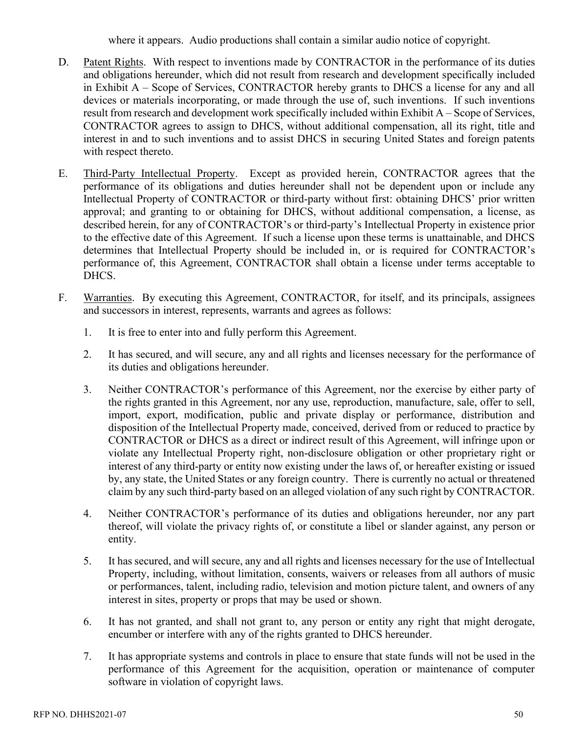where it appears. Audio productions shall contain a similar audio notice of copyright.

- D. Patent Rights. With respect to inventions made by CONTRACTOR in the performance of its duties and obligations hereunder, which did not result from research and development specifically included in Exhibit A – Scope of Services, CONTRACTOR hereby grants to DHCS a license for any and all devices or materials incorporating, or made through the use of, such inventions. If such inventions result from research and development work specifically included within Exhibit A – Scope of Services, CONTRACTOR agrees to assign to DHCS, without additional compensation, all its right, title and interest in and to such inventions and to assist DHCS in securing United States and foreign patents with respect thereto.
- E. Third-Party Intellectual Property. Except as provided herein, CONTRACTOR agrees that the performance of its obligations and duties hereunder shall not be dependent upon or include any Intellectual Property of CONTRACTOR or third-party without first: obtaining DHCS' prior written approval; and granting to or obtaining for DHCS, without additional compensation, a license, as described herein, for any of CONTRACTOR's or third-party's Intellectual Property in existence prior to the effective date of this Agreement. If such a license upon these terms is unattainable, and DHCS determines that Intellectual Property should be included in, or is required for CONTRACTOR's performance of, this Agreement, CONTRACTOR shall obtain a license under terms acceptable to DHCS.
- F. Warranties. By executing this Agreement, CONTRACTOR, for itself, and its principals, assignees and successors in interest, represents, warrants and agrees as follows:
	- 1. It is free to enter into and fully perform this Agreement.
	- 2. It has secured, and will secure, any and all rights and licenses necessary for the performance of its duties and obligations hereunder.
	- 3. Neither CONTRACTOR's performance of this Agreement, nor the exercise by either party of the rights granted in this Agreement, nor any use, reproduction, manufacture, sale, offer to sell, import, export, modification, public and private display or performance, distribution and disposition of the Intellectual Property made, conceived, derived from or reduced to practice by CONTRACTOR or DHCS as a direct or indirect result of this Agreement, will infringe upon or violate any Intellectual Property right, non-disclosure obligation or other proprietary right or interest of any third-party or entity now existing under the laws of, or hereafter existing or issued by, any state, the United States or any foreign country. There is currently no actual or threatened claim by any such third-party based on an alleged violation of any such right by CONTRACTOR.
	- 4. Neither CONTRACTOR's performance of its duties and obligations hereunder, nor any part thereof, will violate the privacy rights of, or constitute a libel or slander against, any person or entity.
	- 5. It has secured, and will secure, any and all rights and licenses necessary for the use of Intellectual Property, including, without limitation, consents, waivers or releases from all authors of music or performances, talent, including radio, television and motion picture talent, and owners of any interest in sites, property or props that may be used or shown.
	- 6. It has not granted, and shall not grant to, any person or entity any right that might derogate, encumber or interfere with any of the rights granted to DHCS hereunder.
	- 7. It has appropriate systems and controls in place to ensure that state funds will not be used in the performance of this Agreement for the acquisition, operation or maintenance of computer software in violation of copyright laws.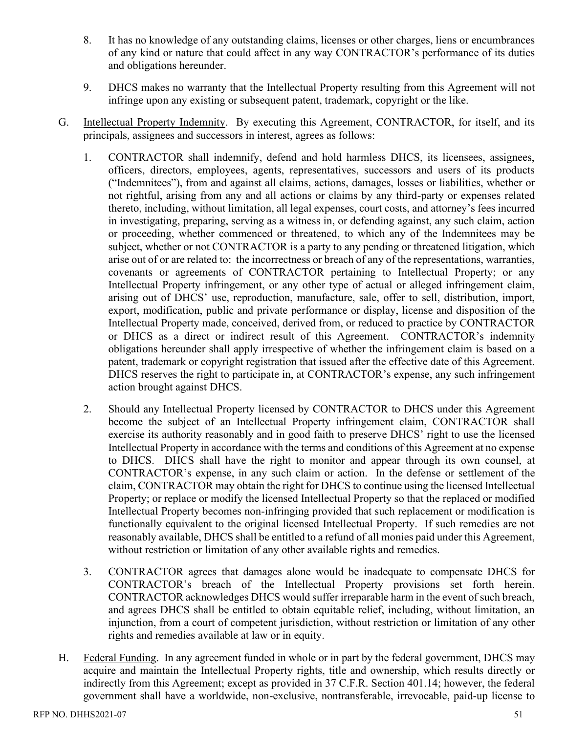- 8. It has no knowledge of any outstanding claims, licenses or other charges, liens or encumbrances of any kind or nature that could affect in any way CONTRACTOR's performance of its duties and obligations hereunder.
- 9. DHCS makes no warranty that the Intellectual Property resulting from this Agreement will not infringe upon any existing or subsequent patent, trademark, copyright or the like.
- G. Intellectual Property Indemnity. By executing this Agreement, CONTRACTOR, for itself, and its principals, assignees and successors in interest, agrees as follows:
	- 1. CONTRACTOR shall indemnify, defend and hold harmless DHCS, its licensees, assignees, officers, directors, employees, agents, representatives, successors and users of its products ("Indemnitees"), from and against all claims, actions, damages, losses or liabilities, whether or not rightful, arising from any and all actions or claims by any third-party or expenses related thereto, including, without limitation, all legal expenses, court costs, and attorney's fees incurred in investigating, preparing, serving as a witness in, or defending against, any such claim, action or proceeding, whether commenced or threatened, to which any of the Indemnitees may be subject, whether or not CONTRACTOR is a party to any pending or threatened litigation, which arise out of or are related to: the incorrectness or breach of any of the representations, warranties, covenants or agreements of CONTRACTOR pertaining to Intellectual Property; or any Intellectual Property infringement, or any other type of actual or alleged infringement claim, arising out of DHCS' use, reproduction, manufacture, sale, offer to sell, distribution, import, export, modification, public and private performance or display, license and disposition of the Intellectual Property made, conceived, derived from, or reduced to practice by CONTRACTOR or DHCS as a direct or indirect result of this Agreement. CONTRACTOR's indemnity obligations hereunder shall apply irrespective of whether the infringement claim is based on a patent, trademark or copyright registration that issued after the effective date of this Agreement. DHCS reserves the right to participate in, at CONTRACTOR's expense, any such infringement action brought against DHCS.
	- 2. Should any Intellectual Property licensed by CONTRACTOR to DHCS under this Agreement become the subject of an Intellectual Property infringement claim, CONTRACTOR shall exercise its authority reasonably and in good faith to preserve DHCS' right to use the licensed Intellectual Property in accordance with the terms and conditions of this Agreement at no expense to DHCS. DHCS shall have the right to monitor and appear through its own counsel, at CONTRACTOR's expense, in any such claim or action. In the defense or settlement of the claim, CONTRACTOR may obtain the right for DHCS to continue using the licensed Intellectual Property; or replace or modify the licensed Intellectual Property so that the replaced or modified Intellectual Property becomes non-infringing provided that such replacement or modification is functionally equivalent to the original licensed Intellectual Property. If such remedies are not reasonably available, DHCS shall be entitled to a refund of all monies paid under this Agreement, without restriction or limitation of any other available rights and remedies.
	- 3. CONTRACTOR agrees that damages alone would be inadequate to compensate DHCS for CONTRACTOR's breach of the Intellectual Property provisions set forth herein. CONTRACTOR acknowledges DHCS would suffer irreparable harm in the event of such breach, and agrees DHCS shall be entitled to obtain equitable relief, including, without limitation, an injunction, from a court of competent jurisdiction, without restriction or limitation of any other rights and remedies available at law or in equity.
- H. Federal Funding. In any agreement funded in whole or in part by the federal government, DHCS may acquire and maintain the Intellectual Property rights, title and ownership, which results directly or indirectly from this Agreement; except as provided in 37 C.F.R. Section 401.14; however, the federal government shall have a worldwide, non-exclusive, nontransferable, irrevocable, paid-up license to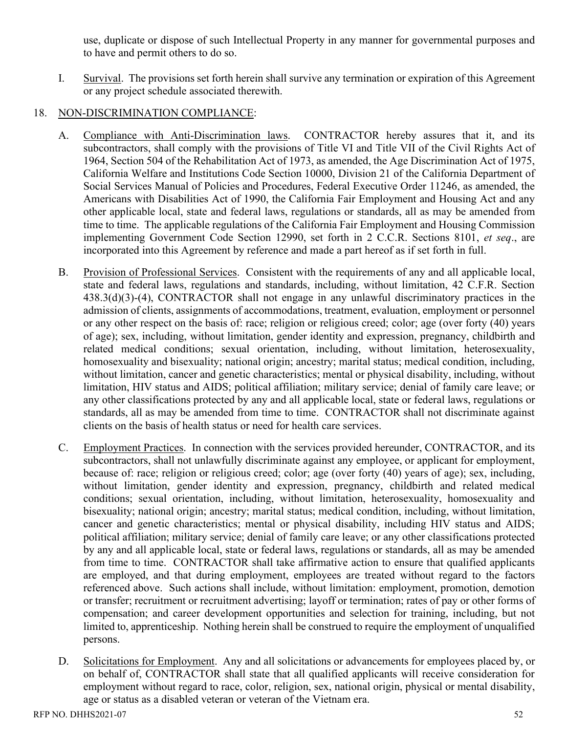use, duplicate or dispose of such Intellectual Property in any manner for governmental purposes and to have and permit others to do so.

I. Survival. The provisions set forth herein shall survive any termination or expiration of this Agreement or any project schedule associated therewith.

## 18. NON-DISCRIMINATION COMPLIANCE:

- A. Compliance with Anti-Discrimination laws. CONTRACTOR hereby assures that it, and its subcontractors, shall comply with the provisions of Title VI and Title VII of the Civil Rights Act of 1964, Section 504 of the Rehabilitation Act of 1973, as amended, the Age Discrimination Act of 1975, California Welfare and Institutions Code Section 10000, Division 21 of the California Department of Social Services Manual of Policies and Procedures, Federal Executive Order 11246, as amended, the Americans with Disabilities Act of 1990, the California Fair Employment and Housing Act and any other applicable local, state and federal laws, regulations or standards, all as may be amended from time to time. The applicable regulations of the California Fair Employment and Housing Commission implementing Government Code Section 12990, set forth in 2 C.C.R. Sections 8101, *et seq*., are incorporated into this Agreement by reference and made a part hereof as if set forth in full.
- B. Provision of Professional Services. Consistent with the requirements of any and all applicable local, state and federal laws, regulations and standards, including, without limitation, 42 C.F.R. Section 438.3(d)(3)-(4), CONTRACTOR shall not engage in any unlawful discriminatory practices in the admission of clients, assignments of accommodations, treatment, evaluation, employment or personnel or any other respect on the basis of: race; religion or religious creed; color; age (over forty (40) years of age); sex, including, without limitation, gender identity and expression, pregnancy, childbirth and related medical conditions; sexual orientation, including, without limitation, heterosexuality, homosexuality and bisexuality; national origin; ancestry; marital status; medical condition, including, without limitation, cancer and genetic characteristics; mental or physical disability, including, without limitation, HIV status and AIDS; political affiliation; military service; denial of family care leave; or any other classifications protected by any and all applicable local, state or federal laws, regulations or standards, all as may be amended from time to time. CONTRACTOR shall not discriminate against clients on the basis of health status or need for health care services.
- C. Employment Practices. In connection with the services provided hereunder, CONTRACTOR, and its subcontractors, shall not unlawfully discriminate against any employee, or applicant for employment, because of: race; religion or religious creed; color; age (over forty (40) years of age); sex, including, without limitation, gender identity and expression, pregnancy, childbirth and related medical conditions; sexual orientation, including, without limitation, heterosexuality, homosexuality and bisexuality; national origin; ancestry; marital status; medical condition, including, without limitation, cancer and genetic characteristics; mental or physical disability, including HIV status and AIDS; political affiliation; military service; denial of family care leave; or any other classifications protected by any and all applicable local, state or federal laws, regulations or standards, all as may be amended from time to time. CONTRACTOR shall take affirmative action to ensure that qualified applicants are employed, and that during employment, employees are treated without regard to the factors referenced above. Such actions shall include, without limitation: employment, promotion, demotion or transfer; recruitment or recruitment advertising; layoff or termination; rates of pay or other forms of compensation; and career development opportunities and selection for training, including, but not limited to, apprenticeship. Nothing herein shall be construed to require the employment of unqualified persons.
- D. Solicitations for Employment. Any and all solicitations or advancements for employees placed by, or on behalf of, CONTRACTOR shall state that all qualified applicants will receive consideration for employment without regard to race, color, religion, sex, national origin, physical or mental disability, age or status as a disabled veteran or veteran of the Vietnam era.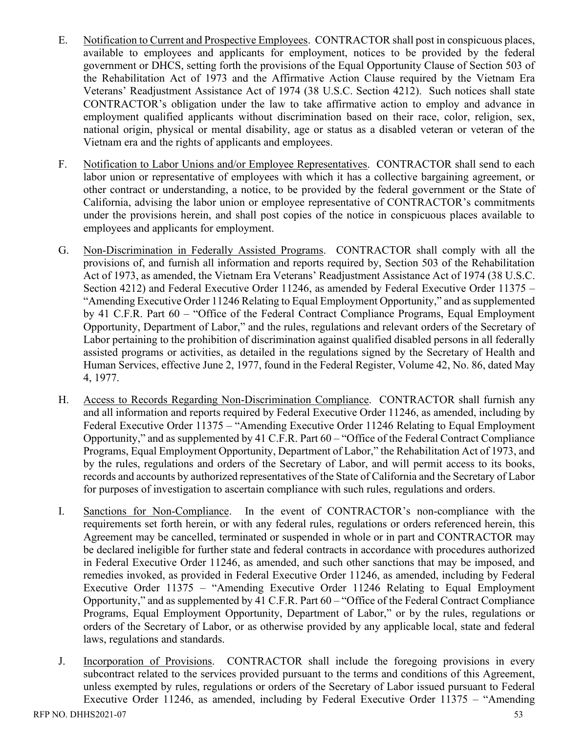- E. Notification to Current and Prospective Employees. CONTRACTOR shall post in conspicuous places, available to employees and applicants for employment, notices to be provided by the federal government or DHCS, setting forth the provisions of the Equal Opportunity Clause of Section 503 of the Rehabilitation Act of 1973 and the Affirmative Action Clause required by the Vietnam Era Veterans' Readjustment Assistance Act of 1974 (38 U.S.C. Section 4212). Such notices shall state CONTRACTOR's obligation under the law to take affirmative action to employ and advance in employment qualified applicants without discrimination based on their race, color, religion, sex, national origin, physical or mental disability, age or status as a disabled veteran or veteran of the Vietnam era and the rights of applicants and employees.
- F. Notification to Labor Unions and/or Employee Representatives. CONTRACTOR shall send to each labor union or representative of employees with which it has a collective bargaining agreement, or other contract or understanding, a notice, to be provided by the federal government or the State of California, advising the labor union or employee representative of CONTRACTOR's commitments under the provisions herein, and shall post copies of the notice in conspicuous places available to employees and applicants for employment.
- G. Non-Discrimination in Federally Assisted Programs. CONTRACTOR shall comply with all the provisions of, and furnish all information and reports required by, Section 503 of the Rehabilitation Act of 1973, as amended, the Vietnam Era Veterans' Readjustment Assistance Act of 1974 (38 U.S.C. Section 4212) and Federal Executive Order 11246, as amended by Federal Executive Order 11375 – "Amending Executive Order 11246 Relating to Equal Employment Opportunity," and as supplemented by 41 C.F.R. Part 60 – "Office of the Federal Contract Compliance Programs, Equal Employment Opportunity, Department of Labor," and the rules, regulations and relevant orders of the Secretary of Labor pertaining to the prohibition of discrimination against qualified disabled persons in all federally assisted programs or activities, as detailed in the regulations signed by the Secretary of Health and Human Services, effective June 2, 1977, found in the Federal Register, Volume 42, No. 86, dated May 4, 1977.
- H. Access to Records Regarding Non-Discrimination Compliance. CONTRACTOR shall furnish any and all information and reports required by Federal Executive Order 11246, as amended, including by Federal Executive Order 11375 – "Amending Executive Order 11246 Relating to Equal Employment Opportunity," and as supplemented by 41 C.F.R. Part 60 – "Office of the Federal Contract Compliance Programs, Equal Employment Opportunity, Department of Labor," the Rehabilitation Act of 1973, and by the rules, regulations and orders of the Secretary of Labor, and will permit access to its books, records and accounts by authorized representatives of the State of California and the Secretary of Labor for purposes of investigation to ascertain compliance with such rules, regulations and orders.
- I. Sanctions for Non-Compliance. In the event of CONTRACTOR's non-compliance with the requirements set forth herein, or with any federal rules, regulations or orders referenced herein, this Agreement may be cancelled, terminated or suspended in whole or in part and CONTRACTOR may be declared ineligible for further state and federal contracts in accordance with procedures authorized in Federal Executive Order 11246, as amended, and such other sanctions that may be imposed, and remedies invoked, as provided in Federal Executive Order 11246, as amended, including by Federal Executive Order 11375 – "Amending Executive Order 11246 Relating to Equal Employment Opportunity," and as supplemented by 41 C.F.R. Part 60 – "Office of the Federal Contract Compliance Programs, Equal Employment Opportunity, Department of Labor," or by the rules, regulations or orders of the Secretary of Labor, or as otherwise provided by any applicable local, state and federal laws, regulations and standards.
- J. Incorporation of Provisions. CONTRACTOR shall include the foregoing provisions in every subcontract related to the services provided pursuant to the terms and conditions of this Agreement, unless exempted by rules, regulations or orders of the Secretary of Labor issued pursuant to Federal Executive Order 11246, as amended, including by Federal Executive Order 11375 – "Amending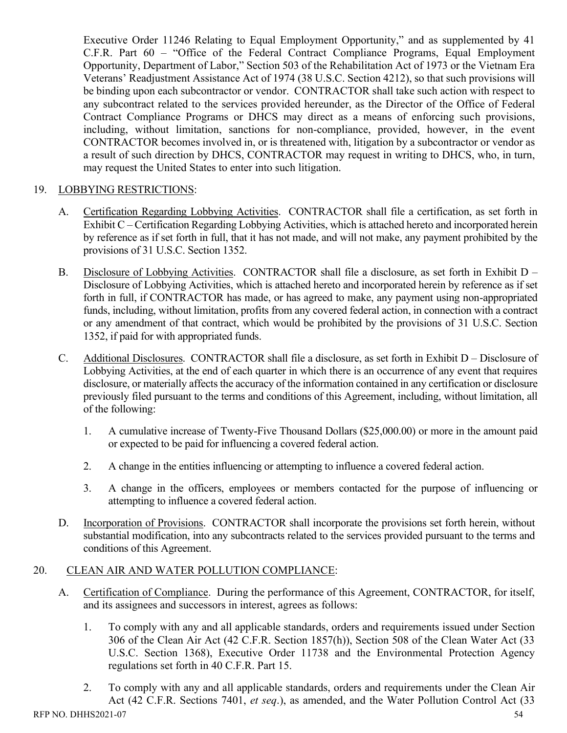Executive Order 11246 Relating to Equal Employment Opportunity," and as supplemented by 41 C.F.R. Part 60 – "Office of the Federal Contract Compliance Programs, Equal Employment Opportunity, Department of Labor," Section 503 of the Rehabilitation Act of 1973 or the Vietnam Era Veterans' Readjustment Assistance Act of 1974 (38 U.S.C. Section 4212), so that such provisions will be binding upon each subcontractor or vendor. CONTRACTOR shall take such action with respect to any subcontract related to the services provided hereunder, as the Director of the Office of Federal Contract Compliance Programs or DHCS may direct as a means of enforcing such provisions, including, without limitation, sanctions for non-compliance, provided, however, in the event CONTRACTOR becomes involved in, or is threatened with, litigation by a subcontractor or vendor as a result of such direction by DHCS, CONTRACTOR may request in writing to DHCS, who, in turn, may request the United States to enter into such litigation.

## 19. LOBBYING RESTRICTIONS:

- A. Certification Regarding Lobbying Activities. CONTRACTOR shall file a certification, as set forth in Exhibit C – Certification Regarding Lobbying Activities, which is attached hereto and incorporated herein by reference as if set forth in full, that it has not made, and will not make, any payment prohibited by the provisions of 31 U.S.C. Section 1352.
- B. Disclosure of Lobbying Activities. CONTRACTOR shall file a disclosure, as set forth in Exhibit D Disclosure of Lobbying Activities, which is attached hereto and incorporated herein by reference as if set forth in full, if CONTRACTOR has made, or has agreed to make, any payment using non-appropriated funds, including, without limitation, profits from any covered federal action, in connection with a contract or any amendment of that contract, which would be prohibited by the provisions of 31 U.S.C. Section 1352, if paid for with appropriated funds.
- C. Additional Disclosures. CONTRACTOR shall file a disclosure, as set forth in Exhibit D Disclosure of Lobbying Activities, at the end of each quarter in which there is an occurrence of any event that requires disclosure, or materially affects the accuracy of the information contained in any certification or disclosure previously filed pursuant to the terms and conditions of this Agreement, including, without limitation, all of the following:
	- 1. A cumulative increase of Twenty-Five Thousand Dollars (\$25,000.00) or more in the amount paid or expected to be paid for influencing a covered federal action.
	- 2. A change in the entities influencing or attempting to influence a covered federal action.
	- 3. A change in the officers, employees or members contacted for the purpose of influencing or attempting to influence a covered federal action.
- D. Incorporation of Provisions. CONTRACTOR shall incorporate the provisions set forth herein, without substantial modification, into any subcontracts related to the services provided pursuant to the terms and conditions of this Agreement.

## 20. CLEAN AIR AND WATER POLLUTION COMPLIANCE:

- A. Certification of Compliance. During the performance of this Agreement, CONTRACTOR, for itself, and its assignees and successors in interest, agrees as follows:
	- 1. To comply with any and all applicable standards, orders and requirements issued under Section 306 of the Clean Air Act (42 C.F.R. Section 1857(h)), Section 508 of the Clean Water Act (33 U.S.C. Section 1368), Executive Order 11738 and the Environmental Protection Agency regulations set forth in 40 C.F.R. Part 15.
	- 2. To comply with any and all applicable standards, orders and requirements under the Clean Air Act (42 C.F.R. Sections 7401, *et seq*.), as amended, and the Water Pollution Control Act (33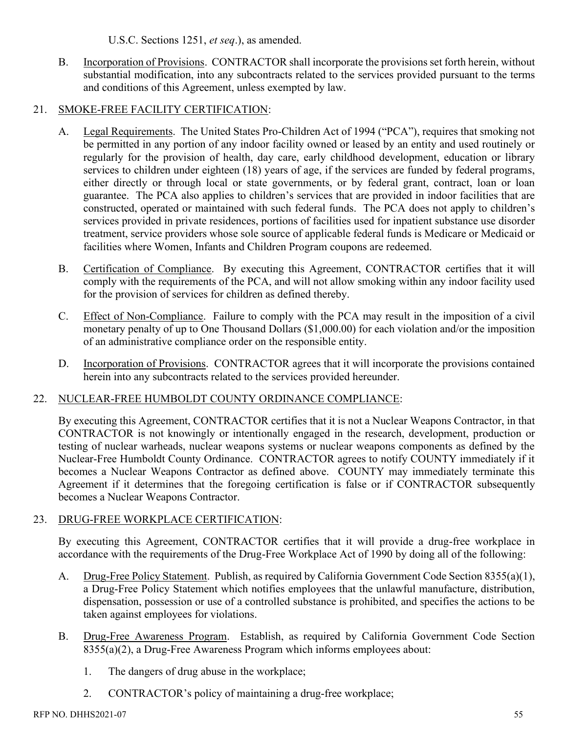U.S.C. Sections 1251, *et seq*.), as amended.

B. Incorporation of Provisions. CONTRACTOR shall incorporate the provisions set forth herein, without substantial modification, into any subcontracts related to the services provided pursuant to the terms and conditions of this Agreement, unless exempted by law.

## 21. SMOKE-FREE FACILITY CERTIFICATION:

- A. Legal Requirements. The United States Pro-Children Act of 1994 ("PCA"), requires that smoking not be permitted in any portion of any indoor facility owned or leased by an entity and used routinely or regularly for the provision of health, day care, early childhood development, education or library services to children under eighteen (18) years of age, if the services are funded by federal programs, either directly or through local or state governments, or by federal grant, contract, loan or loan guarantee. The PCA also applies to children's services that are provided in indoor facilities that are constructed, operated or maintained with such federal funds. The PCA does not apply to children's services provided in private residences, portions of facilities used for inpatient substance use disorder treatment, service providers whose sole source of applicable federal funds is Medicare or Medicaid or facilities where Women, Infants and Children Program coupons are redeemed.
- B. Certification of Compliance. By executing this Agreement, CONTRACTOR certifies that it will comply with the requirements of the PCA, and will not allow smoking within any indoor facility used for the provision of services for children as defined thereby.
- C. Effect of Non-Compliance. Failure to comply with the PCA may result in the imposition of a civil monetary penalty of up to One Thousand Dollars (\$1,000.00) for each violation and/or the imposition of an administrative compliance order on the responsible entity.
- D. Incorporation of Provisions. CONTRACTOR agrees that it will incorporate the provisions contained herein into any subcontracts related to the services provided hereunder.

## 22. NUCLEAR-FREE HUMBOLDT COUNTY ORDINANCE COMPLIANCE:

By executing this Agreement, CONTRACTOR certifies that it is not a Nuclear Weapons Contractor, in that CONTRACTOR is not knowingly or intentionally engaged in the research, development, production or testing of nuclear warheads, nuclear weapons systems or nuclear weapons components as defined by the Nuclear-Free Humboldt County Ordinance. CONTRACTOR agrees to notify COUNTY immediately if it becomes a Nuclear Weapons Contractor as defined above. COUNTY may immediately terminate this Agreement if it determines that the foregoing certification is false or if CONTRACTOR subsequently becomes a Nuclear Weapons Contractor.

## 23. DRUG-FREE WORKPLACE CERTIFICATION:

By executing this Agreement, CONTRACTOR certifies that it will provide a drug-free workplace in accordance with the requirements of the Drug-Free Workplace Act of 1990 by doing all of the following:

- A. Drug-Free Policy Statement. Publish, as required by California Government Code Section 8355(a)(1), a Drug-Free Policy Statement which notifies employees that the unlawful manufacture, distribution, dispensation, possession or use of a controlled substance is prohibited, and specifies the actions to be taken against employees for violations.
- B. Drug-Free Awareness Program. Establish, as required by California Government Code Section 8355(a)(2), a Drug-Free Awareness Program which informs employees about:
	- 1. The dangers of drug abuse in the workplace;
	- 2. CONTRACTOR's policy of maintaining a drug-free workplace;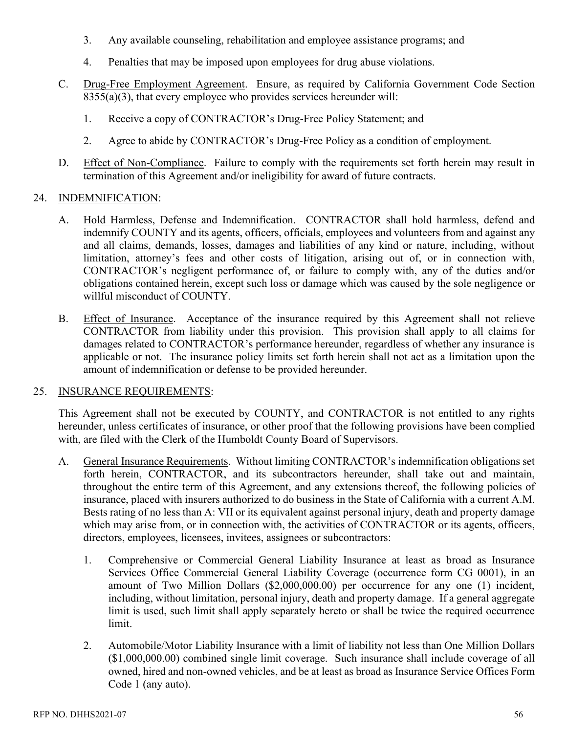- 3. Any available counseling, rehabilitation and employee assistance programs; and
- 4. Penalties that may be imposed upon employees for drug abuse violations.
- C. Drug-Free Employment Agreement. Ensure, as required by California Government Code Section  $8355(a)(3)$ , that every employee who provides services hereunder will:
	- 1. Receive a copy of CONTRACTOR's Drug-Free Policy Statement; and
	- 2. Agree to abide by CONTRACTOR's Drug-Free Policy as a condition of employment.
- D. Effect of Non-Compliance. Failure to comply with the requirements set forth herein may result in termination of this Agreement and/or ineligibility for award of future contracts.

#### 24. INDEMNIFICATION:

- A. Hold Harmless, Defense and Indemnification. CONTRACTOR shall hold harmless, defend and indemnify COUNTY and its agents, officers, officials, employees and volunteers from and against any and all claims, demands, losses, damages and liabilities of any kind or nature, including, without limitation, attorney's fees and other costs of litigation, arising out of, or in connection with, CONTRACTOR's negligent performance of, or failure to comply with, any of the duties and/or obligations contained herein, except such loss or damage which was caused by the sole negligence or willful misconduct of COUNTY.
- B. Effect of Insurance. Acceptance of the insurance required by this Agreement shall not relieve CONTRACTOR from liability under this provision. This provision shall apply to all claims for damages related to CONTRACTOR's performance hereunder, regardless of whether any insurance is applicable or not. The insurance policy limits set forth herein shall not act as a limitation upon the amount of indemnification or defense to be provided hereunder.

#### 25. INSURANCE REQUIREMENTS:

This Agreement shall not be executed by COUNTY, and CONTRACTOR is not entitled to any rights hereunder, unless certificates of insurance, or other proof that the following provisions have been complied with, are filed with the Clerk of the Humboldt County Board of Supervisors.

- A. General Insurance Requirements. Without limiting CONTRACTOR's indemnification obligations set forth herein, CONTRACTOR, and its subcontractors hereunder, shall take out and maintain, throughout the entire term of this Agreement, and any extensions thereof, the following policies of insurance, placed with insurers authorized to do business in the State of California with a current A.M. Bests rating of no less than A: VII or its equivalent against personal injury, death and property damage which may arise from, or in connection with, the activities of CONTRACTOR or its agents, officers, directors, employees, licensees, invitees, assignees or subcontractors:
	- 1. Comprehensive or Commercial General Liability Insurance at least as broad as Insurance Services Office Commercial General Liability Coverage (occurrence form CG 0001), in an amount of Two Million Dollars (\$2,000,000.00) per occurrence for any one (1) incident, including, without limitation, personal injury, death and property damage. If a general aggregate limit is used, such limit shall apply separately hereto or shall be twice the required occurrence limit.
	- 2. Automobile/Motor Liability Insurance with a limit of liability not less than One Million Dollars (\$1,000,000.00) combined single limit coverage. Such insurance shall include coverage of all owned, hired and non-owned vehicles, and be at least as broad as Insurance Service Offices Form Code 1 (any auto).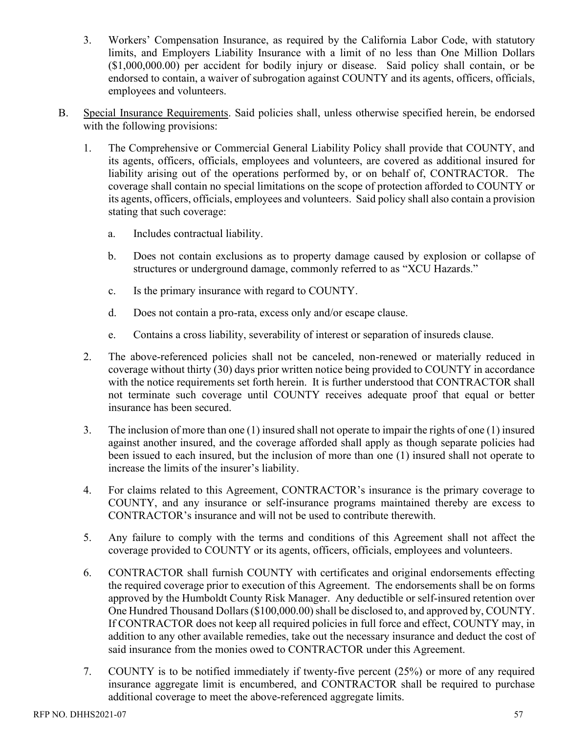- 3. Workers' Compensation Insurance, as required by the California Labor Code, with statutory limits, and Employers Liability Insurance with a limit of no less than One Million Dollars (\$1,000,000.00) per accident for bodily injury or disease. Said policy shall contain, or be endorsed to contain, a waiver of subrogation against COUNTY and its agents, officers, officials, employees and volunteers.
- B. Special Insurance Requirements. Said policies shall, unless otherwise specified herein, be endorsed with the following provisions:
	- 1. The Comprehensive or Commercial General Liability Policy shall provide that COUNTY, and its agents, officers, officials, employees and volunteers, are covered as additional insured for liability arising out of the operations performed by, or on behalf of, CONTRACTOR. The coverage shall contain no special limitations on the scope of protection afforded to COUNTY or its agents, officers, officials, employees and volunteers. Said policy shall also contain a provision stating that such coverage:
		- a. Includes contractual liability.
		- b. Does not contain exclusions as to property damage caused by explosion or collapse of structures or underground damage, commonly referred to as "XCU Hazards."
		- c. Is the primary insurance with regard to COUNTY.
		- d. Does not contain a pro-rata, excess only and/or escape clause.
		- e. Contains a cross liability, severability of interest or separation of insureds clause.
	- 2. The above-referenced policies shall not be canceled, non-renewed or materially reduced in coverage without thirty (30) days prior written notice being provided to COUNTY in accordance with the notice requirements set forth herein. It is further understood that CONTRACTOR shall not terminate such coverage until COUNTY receives adequate proof that equal or better insurance has been secured.
	- 3. The inclusion of more than one (1) insured shall not operate to impair the rights of one (1) insured against another insured, and the coverage afforded shall apply as though separate policies had been issued to each insured, but the inclusion of more than one (1) insured shall not operate to increase the limits of the insurer's liability.
	- 4. For claims related to this Agreement, CONTRACTOR's insurance is the primary coverage to COUNTY, and any insurance or self-insurance programs maintained thereby are excess to CONTRACTOR's insurance and will not be used to contribute therewith.
	- 5. Any failure to comply with the terms and conditions of this Agreement shall not affect the coverage provided to COUNTY or its agents, officers, officials, employees and volunteers.
	- 6. CONTRACTOR shall furnish COUNTY with certificates and original endorsements effecting the required coverage prior to execution of this Agreement. The endorsements shall be on forms approved by the Humboldt County Risk Manager. Any deductible or self-insured retention over One Hundred Thousand Dollars (\$100,000.00) shall be disclosed to, and approved by, COUNTY. If CONTRACTOR does not keep all required policies in full force and effect, COUNTY may, in addition to any other available remedies, take out the necessary insurance and deduct the cost of said insurance from the monies owed to CONTRACTOR under this Agreement.
	- 7. COUNTY is to be notified immediately if twenty-five percent (25%) or more of any required insurance aggregate limit is encumbered, and CONTRACTOR shall be required to purchase additional coverage to meet the above-referenced aggregate limits.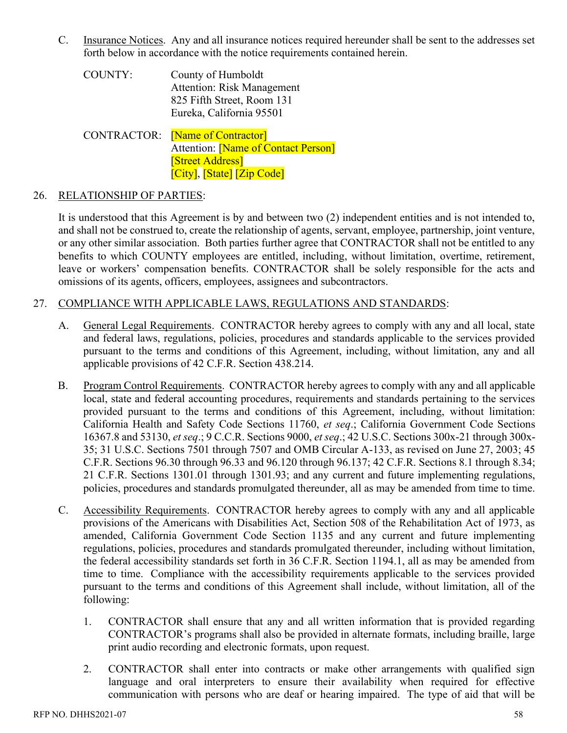C. Insurance Notices. Any and all insurance notices required hereunder shall be sent to the addresses set forth below in accordance with the notice requirements contained herein.

COUNTY: County of Humboldt Attention: Risk Management 825 Fifth Street, Room 131 Eureka, California 95501

CONTRACTOR: [Name of Contractor] Attention: Mame of Contact Person] [Street Address] [City], [State] [Zip Code]

#### 26. RELATIONSHIP OF PARTIES:

It is understood that this Agreement is by and between two (2) independent entities and is not intended to, and shall not be construed to, create the relationship of agents, servant, employee, partnership, joint venture, or any other similar association. Both parties further agree that CONTRACTOR shall not be entitled to any benefits to which COUNTY employees are entitled, including, without limitation, overtime, retirement, leave or workers' compensation benefits. CONTRACTOR shall be solely responsible for the acts and omissions of its agents, officers, employees, assignees and subcontractors.

## 27. COMPLIANCE WITH APPLICABLE LAWS, REGULATIONS AND STANDARDS:

- A. General Legal Requirements. CONTRACTOR hereby agrees to comply with any and all local, state and federal laws, regulations, policies, procedures and standards applicable to the services provided pursuant to the terms and conditions of this Agreement, including, without limitation, any and all applicable provisions of 42 C.F.R. Section 438.214.
- B. Program Control Requirements. CONTRACTOR hereby agrees to comply with any and all applicable local, state and federal accounting procedures, requirements and standards pertaining to the services provided pursuant to the terms and conditions of this Agreement, including, without limitation: California Health and Safety Code Sections 11760, *et seq*.; California Government Code Sections 16367.8 and 53130, *et seq*.; 9 C.C.R. Sections 9000, *et seq*.; 42 U.S.C. Sections 300x-21 through 300x-35; 31 U.S.C. Sections 7501 through 7507 and OMB Circular A-133, as revised on June 27, 2003; 45 C.F.R. Sections 96.30 through 96.33 and 96.120 through 96.137; 42 C.F.R. Sections 8.1 through 8.34; 21 C.F.R. Sections 1301.01 through 1301.93; and any current and future implementing regulations, policies, procedures and standards promulgated thereunder, all as may be amended from time to time.
- C. Accessibility Requirements. CONTRACTOR hereby agrees to comply with any and all applicable provisions of the Americans with Disabilities Act, Section 508 of the Rehabilitation Act of 1973, as amended, California Government Code Section 1135 and any current and future implementing regulations, policies, procedures and standards promulgated thereunder, including without limitation, the federal accessibility standards set forth in 36 C.F.R. Section 1194.1, all as may be amended from time to time. Compliance with the accessibility requirements applicable to the services provided pursuant to the terms and conditions of this Agreement shall include, without limitation, all of the following:
	- 1. CONTRACTOR shall ensure that any and all written information that is provided regarding CONTRACTOR's programs shall also be provided in alternate formats, including braille, large print audio recording and electronic formats, upon request.
	- 2. CONTRACTOR shall enter into contracts or make other arrangements with qualified sign language and oral interpreters to ensure their availability when required for effective communication with persons who are deaf or hearing impaired. The type of aid that will be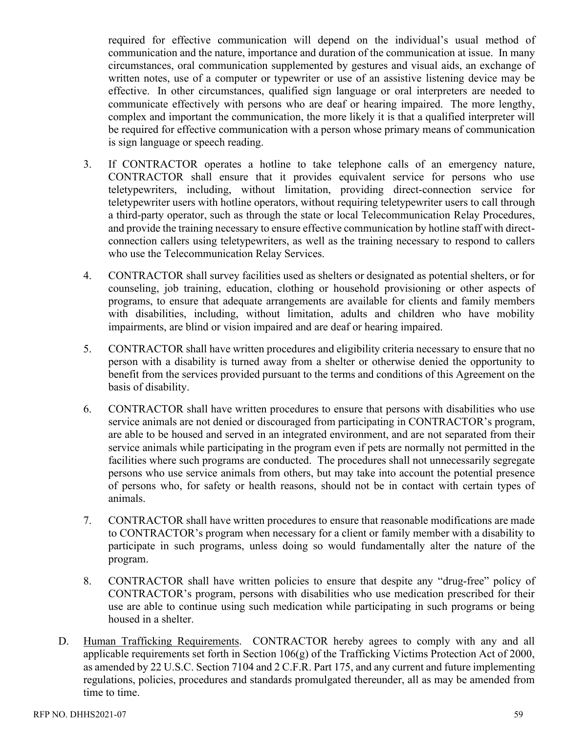required for effective communication will depend on the individual's usual method of communication and the nature, importance and duration of the communication at issue. In many circumstances, oral communication supplemented by gestures and visual aids, an exchange of written notes, use of a computer or typewriter or use of an assistive listening device may be effective. In other circumstances, qualified sign language or oral interpreters are needed to communicate effectively with persons who are deaf or hearing impaired. The more lengthy, complex and important the communication, the more likely it is that a qualified interpreter will be required for effective communication with a person whose primary means of communication is sign language or speech reading.

- 3. If CONTRACTOR operates a hotline to take telephone calls of an emergency nature, CONTRACTOR shall ensure that it provides equivalent service for persons who use teletypewriters, including, without limitation, providing direct-connection service for teletypewriter users with hotline operators, without requiring teletypewriter users to call through a third-party operator, such as through the state or local Telecommunication Relay Procedures, and provide the training necessary to ensure effective communication by hotline staff with directconnection callers using teletypewriters, as well as the training necessary to respond to callers who use the Telecommunication Relay Services.
- 4. CONTRACTOR shall survey facilities used as shelters or designated as potential shelters, or for counseling, job training, education, clothing or household provisioning or other aspects of programs, to ensure that adequate arrangements are available for clients and family members with disabilities, including, without limitation, adults and children who have mobility impairments, are blind or vision impaired and are deaf or hearing impaired.
- 5. CONTRACTOR shall have written procedures and eligibility criteria necessary to ensure that no person with a disability is turned away from a shelter or otherwise denied the opportunity to benefit from the services provided pursuant to the terms and conditions of this Agreement on the basis of disability.
- 6. CONTRACTOR shall have written procedures to ensure that persons with disabilities who use service animals are not denied or discouraged from participating in CONTRACTOR's program, are able to be housed and served in an integrated environment, and are not separated from their service animals while participating in the program even if pets are normally not permitted in the facilities where such programs are conducted. The procedures shall not unnecessarily segregate persons who use service animals from others, but may take into account the potential presence of persons who, for safety or health reasons, should not be in contact with certain types of animals.
- 7. CONTRACTOR shall have written procedures to ensure that reasonable modifications are made to CONTRACTOR's program when necessary for a client or family member with a disability to participate in such programs, unless doing so would fundamentally alter the nature of the program.
- 8. CONTRACTOR shall have written policies to ensure that despite any "drug-free" policy of CONTRACTOR's program, persons with disabilities who use medication prescribed for their use are able to continue using such medication while participating in such programs or being housed in a shelter.
- D. Human Trafficking Requirements. CONTRACTOR hereby agrees to comply with any and all applicable requirements set forth in Section 106(g) of the Trafficking Victims Protection Act of 2000, as amended by 22 U.S.C. Section 7104 and 2 C.F.R. Part 175, and any current and future implementing regulations, policies, procedures and standards promulgated thereunder, all as may be amended from time to time.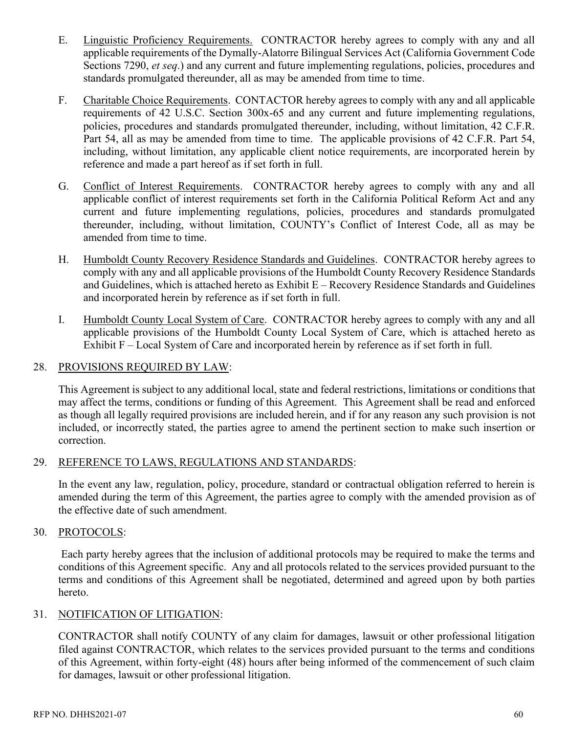- E. Linguistic Proficiency Requirements. CONTRACTOR hereby agrees to comply with any and all applicable requirements of the Dymally-Alatorre Bilingual Services Act (California Government Code Sections 7290, *et seq*.) and any current and future implementing regulations, policies, procedures and standards promulgated thereunder, all as may be amended from time to time.
- F. Charitable Choice Requirements. CONTACTOR hereby agrees to comply with any and all applicable requirements of 42 U.S.C. Section 300x-65 and any current and future implementing regulations, policies, procedures and standards promulgated thereunder, including, without limitation, 42 C.F.R. Part 54, all as may be amended from time to time. The applicable provisions of 42 C.F.R. Part 54, including, without limitation, any applicable client notice requirements, are incorporated herein by reference and made a part hereof as if set forth in full.
- G. Conflict of Interest Requirements. CONTRACTOR hereby agrees to comply with any and all applicable conflict of interest requirements set forth in the California Political Reform Act and any current and future implementing regulations, policies, procedures and standards promulgated thereunder, including, without limitation, COUNTY's Conflict of Interest Code, all as may be amended from time to time.
- H. Humboldt County Recovery Residence Standards and Guidelines. CONTRACTOR hereby agrees to comply with any and all applicable provisions of the Humboldt County Recovery Residence Standards and Guidelines, which is attached hereto as Exhibit E – Recovery Residence Standards and Guidelines and incorporated herein by reference as if set forth in full.
- I. Humboldt County Local System of Care. CONTRACTOR hereby agrees to comply with any and all applicable provisions of the Humboldt County Local System of Care, which is attached hereto as Exhibit F – Local System of Care and incorporated herein by reference as if set forth in full.

## 28. PROVISIONS REQUIRED BY LAW:

This Agreement is subject to any additional local, state and federal restrictions, limitations or conditions that may affect the terms, conditions or funding of this Agreement. This Agreement shall be read and enforced as though all legally required provisions are included herein, and if for any reason any such provision is not included, or incorrectly stated, the parties agree to amend the pertinent section to make such insertion or correction.

#### 29. REFERENCE TO LAWS, REGULATIONS AND STANDARDS:

In the event any law, regulation, policy, procedure, standard or contractual obligation referred to herein is amended during the term of this Agreement, the parties agree to comply with the amended provision as of the effective date of such amendment.

#### 30. PROTOCOLS:

Each party hereby agrees that the inclusion of additional protocols may be required to make the terms and conditions of this Agreement specific. Any and all protocols related to the services provided pursuant to the terms and conditions of this Agreement shall be negotiated, determined and agreed upon by both parties hereto.

## 31. NOTIFICATION OF LITIGATION:

CONTRACTOR shall notify COUNTY of any claim for damages, lawsuit or other professional litigation filed against CONTRACTOR, which relates to the services provided pursuant to the terms and conditions of this Agreement, within forty-eight (48) hours after being informed of the commencement of such claim for damages, lawsuit or other professional litigation.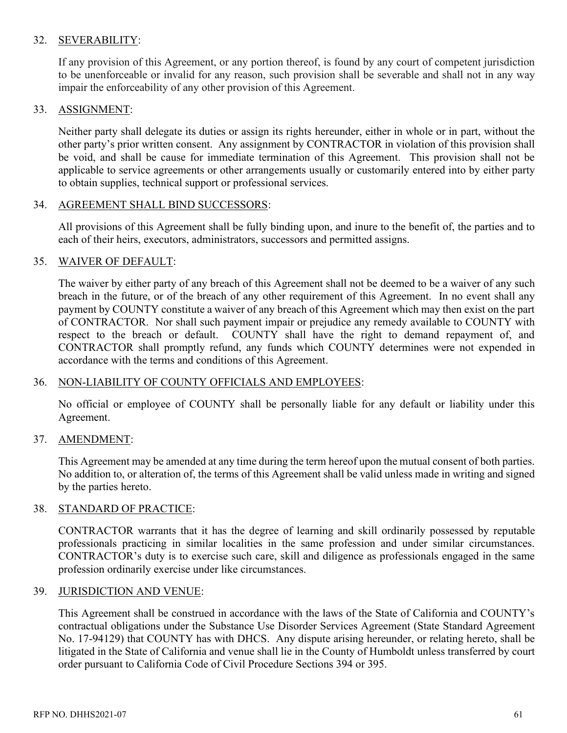## 32. SEVERABILITY:

If any provision of this Agreement, or any portion thereof, is found by any court of competent jurisdiction to be unenforceable or invalid for any reason, such provision shall be severable and shall not in any way impair the enforceability of any other provision of this Agreement.

## 33. ASSIGNMENT:

Neither party shall delegate its duties or assign its rights hereunder, either in whole or in part, without the other party's prior written consent. Any assignment by CONTRACTOR in violation of this provision shall be void, and shall be cause for immediate termination of this Agreement. This provision shall not be applicable to service agreements or other arrangements usually or customarily entered into by either party to obtain supplies, technical support or professional services.

#### 34. AGREEMENT SHALL BIND SUCCESSORS:

All provisions of this Agreement shall be fully binding upon, and inure to the benefit of, the parties and to each of their heirs, executors, administrators, successors and permitted assigns.

## 35. WAIVER OF DEFAULT:

The waiver by either party of any breach of this Agreement shall not be deemed to be a waiver of any such breach in the future, or of the breach of any other requirement of this Agreement. In no event shall any payment by COUNTY constitute a waiver of any breach of this Agreement which may then exist on the part of CONTRACTOR. Nor shall such payment impair or prejudice any remedy available to COUNTY with respect to the breach or default. COUNTY shall have the right to demand repayment of, and CONTRACTOR shall promptly refund, any funds which COUNTY determines were not expended in accordance with the terms and conditions of this Agreement.

#### 36. NON-LIABILITY OF COUNTY OFFICIALS AND EMPLOYEES:

No official or employee of COUNTY shall be personally liable for any default or liability under this Agreement.

#### 37. AMENDMENT:

This Agreement may be amended at any time during the term hereof upon the mutual consent of both parties. No addition to, or alteration of, the terms of this Agreement shall be valid unless made in writing and signed by the parties hereto.

#### 38. STANDARD OF PRACTICE:

CONTRACTOR warrants that it has the degree of learning and skill ordinarily possessed by reputable professionals practicing in similar localities in the same profession and under similar circumstances. CONTRACTOR's duty is to exercise such care, skill and diligence as professionals engaged in the same profession ordinarily exercise under like circumstances.

#### 39. JURISDICTION AND VENUE:

This Agreement shall be construed in accordance with the laws of the State of California and COUNTY's contractual obligations under the Substance Use Disorder Services Agreement (State Standard Agreement No. 17-94129) that COUNTY has with DHCS. Any dispute arising hereunder, or relating hereto, shall be litigated in the State of California and venue shall lie in the County of Humboldt unless transferred by court order pursuant to California Code of Civil Procedure Sections 394 or 395.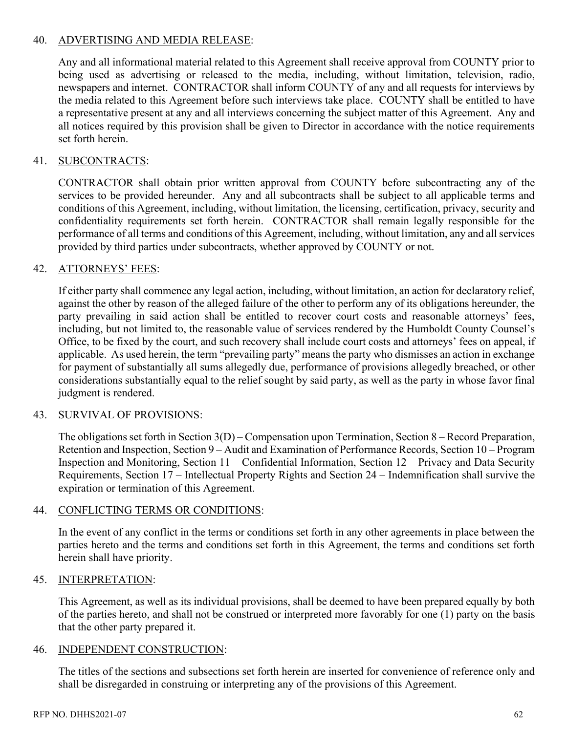## 40. ADVERTISING AND MEDIA RELEASE:

Any and all informational material related to this Agreement shall receive approval from COUNTY prior to being used as advertising or released to the media, including, without limitation, television, radio, newspapers and internet. CONTRACTOR shall inform COUNTY of any and all requests for interviews by the media related to this Agreement before such interviews take place. COUNTY shall be entitled to have a representative present at any and all interviews concerning the subject matter of this Agreement. Any and all notices required by this provision shall be given to Director in accordance with the notice requirements set forth herein.

## 41. SUBCONTRACTS:

CONTRACTOR shall obtain prior written approval from COUNTY before subcontracting any of the services to be provided hereunder. Any and all subcontracts shall be subject to all applicable terms and conditions of this Agreement, including, without limitation, the licensing, certification, privacy, security and confidentiality requirements set forth herein. CONTRACTOR shall remain legally responsible for the performance of all terms and conditions of this Agreement, including, without limitation, any and all services provided by third parties under subcontracts, whether approved by COUNTY or not.

#### 42. ATTORNEYS' FEES:

If either party shall commence any legal action, including, without limitation, an action for declaratory relief, against the other by reason of the alleged failure of the other to perform any of its obligations hereunder, the party prevailing in said action shall be entitled to recover court costs and reasonable attorneys' fees, including, but not limited to, the reasonable value of services rendered by the Humboldt County Counsel's Office, to be fixed by the court, and such recovery shall include court costs and attorneys' fees on appeal, if applicable. As used herein, the term "prevailing party" means the party who dismisses an action in exchange for payment of substantially all sums allegedly due, performance of provisions allegedly breached, or other considerations substantially equal to the relief sought by said party, as well as the party in whose favor final judgment is rendered.

#### 43. SURVIVAL OF PROVISIONS:

The obligations set forth in Section 3(D) – Compensation upon Termination, Section 8 – Record Preparation, Retention and Inspection, Section 9 – Audit and Examination of Performance Records, Section 10 – Program Inspection and Monitoring, Section 11 – Confidential Information, Section 12 – Privacy and Data Security Requirements, Section 17 – Intellectual Property Rights and Section 24 – Indemnification shall survive the expiration or termination of this Agreement.

#### 44. CONFLICTING TERMS OR CONDITIONS:

In the event of any conflict in the terms or conditions set forth in any other agreements in place between the parties hereto and the terms and conditions set forth in this Agreement, the terms and conditions set forth herein shall have priority.

#### 45. INTERPRETATION:

This Agreement, as well as its individual provisions, shall be deemed to have been prepared equally by both of the parties hereto, and shall not be construed or interpreted more favorably for one (1) party on the basis that the other party prepared it.

#### 46. INDEPENDENT CONSTRUCTION:

The titles of the sections and subsections set forth herein are inserted for convenience of reference only and shall be disregarded in construing or interpreting any of the provisions of this Agreement.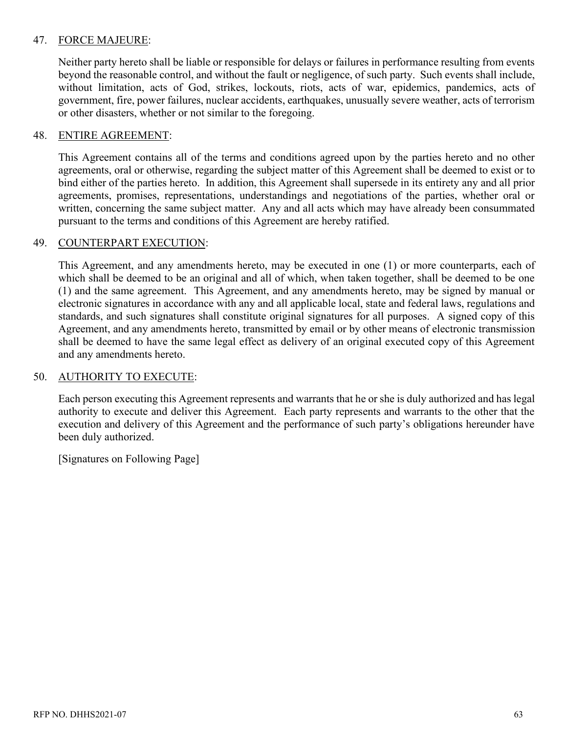## 47. FORCE MAJEURE:

Neither party hereto shall be liable or responsible for delays or failures in performance resulting from events beyond the reasonable control, and without the fault or negligence, of such party. Such events shall include, without limitation, acts of God, strikes, lockouts, riots, acts of war, epidemics, pandemics, acts of government, fire, power failures, nuclear accidents, earthquakes, unusually severe weather, acts of terrorism or other disasters, whether or not similar to the foregoing.

#### 48. ENTIRE AGREEMENT:

This Agreement contains all of the terms and conditions agreed upon by the parties hereto and no other agreements, oral or otherwise, regarding the subject matter of this Agreement shall be deemed to exist or to bind either of the parties hereto. In addition, this Agreement shall supersede in its entirety any and all prior agreements, promises, representations, understandings and negotiations of the parties, whether oral or written, concerning the same subject matter. Any and all acts which may have already been consummated pursuant to the terms and conditions of this Agreement are hereby ratified.

#### 49. COUNTERPART EXECUTION:

This Agreement, and any amendments hereto, may be executed in one (1) or more counterparts, each of which shall be deemed to be an original and all of which, when taken together, shall be deemed to be one (1) and the same agreement. This Agreement, and any amendments hereto, may be signed by manual or electronic signatures in accordance with any and all applicable local, state and federal laws, regulations and standards, and such signatures shall constitute original signatures for all purposes. A signed copy of this Agreement, and any amendments hereto, transmitted by email or by other means of electronic transmission shall be deemed to have the same legal effect as delivery of an original executed copy of this Agreement and any amendments hereto.

#### 50. AUTHORITY TO EXECUTE:

Each person executing this Agreement represents and warrants that he or she is duly authorized and has legal authority to execute and deliver this Agreement. Each party represents and warrants to the other that the execution and delivery of this Agreement and the performance of such party's obligations hereunder have been duly authorized.

[Signatures on Following Page]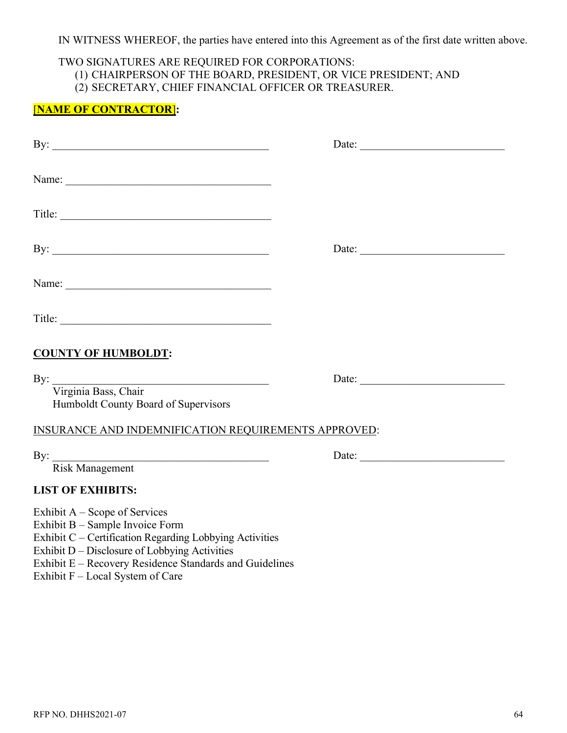## IN WITNESS WHEREOF, the parties have entered into this Agreement as of the first date written above.

# TWO SIGNATURES ARE REQUIRED FOR CORPORATIONS:

- (1) CHAIRPERSON OF THE BOARD, PRESIDENT, OR VICE PRESIDENT; AND
- (2) SECRETARY, CHIEF FINANCIAL OFFICER OR TREASURER.

## [**NAME OF CONTRACTOR**]**:**

| By: $\qquad \qquad$                                                                                                                                                            |                                                                                                                                                                                                                                                                                                                                                                                                               |
|--------------------------------------------------------------------------------------------------------------------------------------------------------------------------------|---------------------------------------------------------------------------------------------------------------------------------------------------------------------------------------------------------------------------------------------------------------------------------------------------------------------------------------------------------------------------------------------------------------|
|                                                                                                                                                                                |                                                                                                                                                                                                                                                                                                                                                                                                               |
|                                                                                                                                                                                |                                                                                                                                                                                                                                                                                                                                                                                                               |
| By: $\qquad \qquad$                                                                                                                                                            | Date: $\frac{1}{\sqrt{1-\frac{1}{2}}\sqrt{1-\frac{1}{2}}\sqrt{1-\frac{1}{2}}\sqrt{1-\frac{1}{2}}\sqrt{1-\frac{1}{2}}\sqrt{1-\frac{1}{2}}\sqrt{1-\frac{1}{2}}\sqrt{1-\frac{1}{2}}\sqrt{1-\frac{1}{2}}\sqrt{1-\frac{1}{2}}\sqrt{1-\frac{1}{2}}\sqrt{1-\frac{1}{2}}\sqrt{1-\frac{1}{2}}\sqrt{1-\frac{1}{2}}\sqrt{1-\frac{1}{2}}\sqrt{1-\frac{1}{2}}\sqrt{1-\frac{1}{2}}\sqrt{1-\frac{1}{2}}\sqrt{1-\frac{1}{2}}$ |
|                                                                                                                                                                                |                                                                                                                                                                                                                                                                                                                                                                                                               |
|                                                                                                                                                                                |                                                                                                                                                                                                                                                                                                                                                                                                               |
| <b>COUNTY OF HUMBOLDT:</b>                                                                                                                                                     |                                                                                                                                                                                                                                                                                                                                                                                                               |
| By: Virginia Bass, Chair<br>Humboldt County Board of Supervisors                                                                                                               | Date:                                                                                                                                                                                                                                                                                                                                                                                                         |
| INSURANCE AND INDEMNIFICATION REQUIREMENTS APPROVED:                                                                                                                           |                                                                                                                                                                                                                                                                                                                                                                                                               |
| <b>Risk Management</b>                                                                                                                                                         | Date:                                                                                                                                                                                                                                                                                                                                                                                                         |
| <b>LIST OF EXHIBITS:</b>                                                                                                                                                       |                                                                                                                                                                                                                                                                                                                                                                                                               |
| Exhibit $A -$ Scope of Services<br>Exhibit B - Sample Invoice Form<br>Exhibit C - Certification Regarding Lobbying Activities<br>Exhibit D – Disclosure of Lobbying Activities |                                                                                                                                                                                                                                                                                                                                                                                                               |

- Exhibit E Recovery Residence Standards and Guidelines
- Exhibit F Local System of Care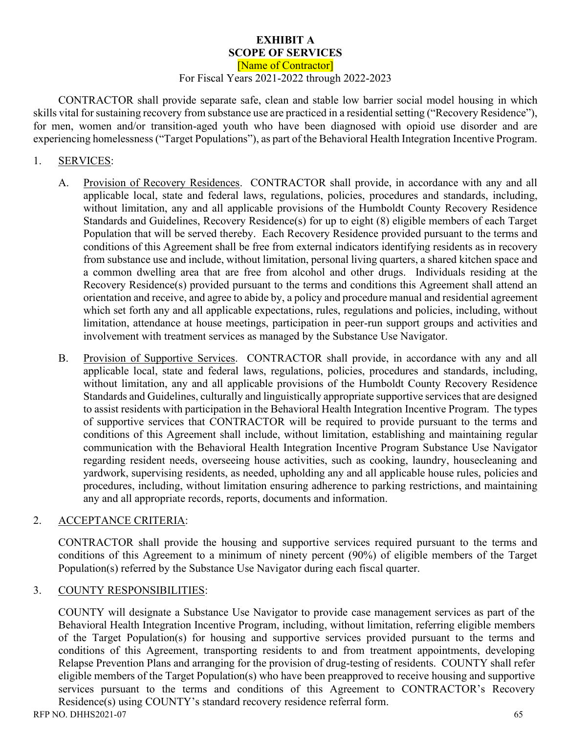#### **EXHIBIT A SCOPE OF SERVICES**

[Name of Contractor]

#### For Fiscal Years 2021-2022 through 2022-2023

CONTRACTOR shall provide separate safe, clean and stable low barrier social model housing in which skills vital for sustaining recovery from substance use are practiced in a residential setting ("Recovery Residence"), for men, women and/or transition-aged youth who have been diagnosed with opioid use disorder and are experiencing homelessness ("Target Populations"), as part of the Behavioral Health Integration Incentive Program.

## 1. SERVICES:

- A. Provision of Recovery Residences.CONTRACTOR shall provide, in accordance with any and all applicable local, state and federal laws, regulations, policies, procedures and standards, including, without limitation, any and all applicable provisions of the Humboldt County Recovery Residence Standards and Guidelines, Recovery Residence(s) for up to eight (8) eligible members of each Target Population that will be served thereby. Each Recovery Residence provided pursuant to the terms and conditions of this Agreement shall be free from external indicators identifying residents as in recovery from substance use and include, without limitation, personal living quarters, a shared kitchen space and a common dwelling area that are free from alcohol and other drugs. Individuals residing at the Recovery Residence(s) provided pursuant to the terms and conditions this Agreement shall attend an orientation and receive, and agree to abide by, a policy and procedure manual and residential agreement which set forth any and all applicable expectations, rules, regulations and policies, including, without limitation, attendance at house meetings, participation in peer-run support groups and activities and involvement with treatment services as managed by the Substance Use Navigator.
- B. Provision of Supportive Services. CONTRACTOR shall provide, in accordance with any and all applicable local, state and federal laws, regulations, policies, procedures and standards, including, without limitation, any and all applicable provisions of the Humboldt County Recovery Residence Standards and Guidelines, culturally and linguistically appropriate supportive services that are designed to assist residents with participation in the Behavioral Health Integration Incentive Program. The types of supportive services that CONTRACTOR will be required to provide pursuant to the terms and conditions of this Agreement shall include, without limitation, establishing and maintaining regular communication with the Behavioral Health Integration Incentive Program Substance Use Navigator regarding resident needs, overseeing house activities, such as cooking, laundry, housecleaning and yardwork, supervising residents, as needed, upholding any and all applicable house rules, policies and procedures, including, without limitation ensuring adherence to parking restrictions, and maintaining any and all appropriate records, reports, documents and information.

#### 2. ACCEPTANCE CRITERIA:

CONTRACTOR shall provide the housing and supportive services required pursuant to the terms and conditions of this Agreement to a minimum of ninety percent (90%) of eligible members of the Target Population(s) referred by the Substance Use Navigator during each fiscal quarter.

#### 3. COUNTY RESPONSIBILITIES:

COUNTY will designate a Substance Use Navigator to provide case management services as part of the Behavioral Health Integration Incentive Program, including, without limitation, referring eligible members of the Target Population(s) for housing and supportive services provided pursuant to the terms and conditions of this Agreement, transporting residents to and from treatment appointments, developing Relapse Prevention Plans and arranging for the provision of drug-testing of residents. COUNTY shall refer eligible members of the Target Population(s) who have been preapproved to receive housing and supportive services pursuant to the terms and conditions of this Agreement to CONTRACTOR's Recovery Residence(s) using COUNTY's standard recovery residence referral form.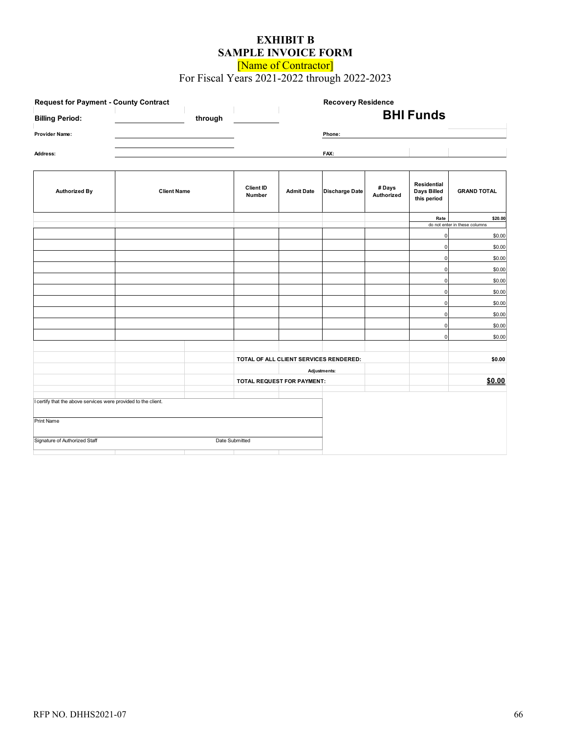## **EXHIBIT B SAMPLE INVOICE FORM**

[Name of Contractor]

For Fiscal Years 2021-2022 through 2022-2023

| <b>Request for Payment - County Contract</b>                   |                    |         |                            |                                        | <b>Recovery Residence</b> |                     |                                           |                               |
|----------------------------------------------------------------|--------------------|---------|----------------------------|----------------------------------------|---------------------------|---------------------|-------------------------------------------|-------------------------------|
| <b>Billing Period:</b>                                         |                    | through |                            |                                        | <b>BHI Funds</b>          |                     |                                           |                               |
| Provider Name:                                                 |                    |         |                            |                                        | Phone:                    |                     |                                           |                               |
|                                                                |                    |         |                            |                                        |                           |                     |                                           |                               |
| Address:                                                       |                    |         |                            |                                        | FAX:                      |                     |                                           |                               |
|                                                                |                    |         |                            |                                        |                           |                     |                                           |                               |
| <b>Authorized By</b>                                           | <b>Client Name</b> |         | Client ID<br>Number        | <b>Admit Date</b>                      | <b>Discharge Date</b>     | #Days<br>Authorized | Residential<br>Days Billed<br>this period | <b>GRAND TOTAL</b>            |
|                                                                |                    |         |                            |                                        |                           |                     | Rate                                      | \$20.00                       |
|                                                                |                    |         |                            |                                        |                           |                     |                                           | do not enter in these columns |
|                                                                |                    |         |                            |                                        |                           |                     | 0                                         | \$0.00                        |
|                                                                |                    |         |                            |                                        |                           |                     | $\Omega$<br>$\Omega$                      | \$0.00<br>\$0.00              |
|                                                                |                    |         |                            |                                        |                           |                     | $\overline{0}$                            | \$0.00                        |
|                                                                |                    |         |                            |                                        |                           |                     | $\Omega$                                  | \$0.00                        |
|                                                                |                    |         |                            |                                        |                           |                     | $\Omega$                                  | \$0.00                        |
|                                                                |                    |         |                            |                                        |                           |                     | $\Omega$                                  | \$0.00                        |
|                                                                |                    |         |                            |                                        |                           |                     | $\Omega$                                  | \$0.00                        |
|                                                                |                    |         |                            |                                        |                           |                     | $\Omega$                                  | \$0.00                        |
|                                                                |                    |         |                            |                                        |                           |                     | O                                         | \$0.00                        |
|                                                                |                    |         |                            | TOTAL OF ALL CLIENT SERVICES RENDERED: |                           |                     |                                           | \$0.00                        |
|                                                                |                    |         | Adjustments:               |                                        |                           |                     |                                           |                               |
|                                                                |                    |         | TOTAL REQUEST FOR PAYMENT: |                                        |                           | \$0.00              |                                           |                               |
|                                                                |                    |         |                            |                                        |                           |                     |                                           |                               |
| I certify that the above services were provided to the client. |                    |         |                            |                                        |                           |                     |                                           |                               |
| Print Name                                                     |                    |         |                            |                                        |                           |                     |                                           |                               |
| Signature of Authorized Staff                                  |                    |         | Date Submitted             |                                        |                           |                     |                                           |                               |
|                                                                |                    |         |                            |                                        |                           |                     |                                           |                               |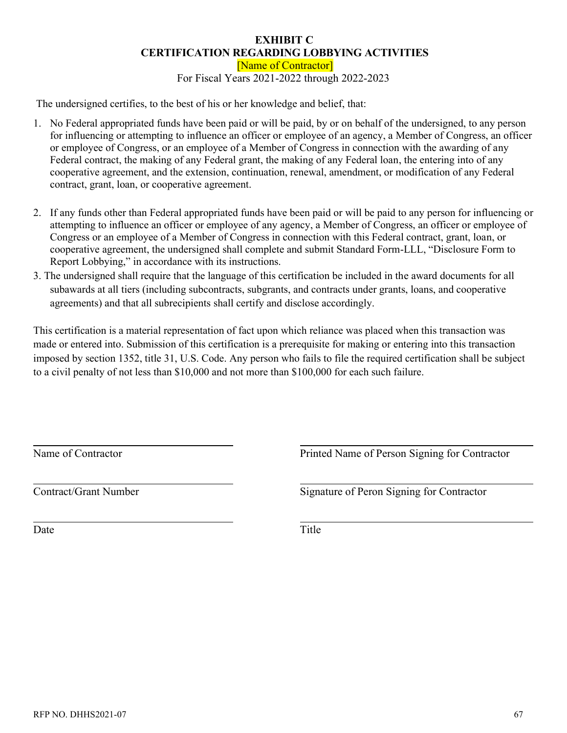#### **EXHIBIT C CERTIFICATION REGARDING LOBBYING ACTIVITIES**

[Name of Contractor] For Fiscal Years 2021-2022 through 2022-2023

The undersigned certifies, to the best of his or her knowledge and belief, that:

- 1. No Federal appropriated funds have been paid or will be paid, by or on behalf of the undersigned, to any person for influencing or attempting to influence an officer or employee of an agency, a Member of Congress, an officer or employee of Congress, or an employee of a Member of Congress in connection with the awarding of any Federal contract, the making of any Federal grant, the making of any Federal loan, the entering into of any cooperative agreement, and the extension, continuation, renewal, amendment, or modification of any Federal contract, grant, loan, or cooperative agreement.
- 2. If any funds other than Federal appropriated funds have been paid or will be paid to any person for influencing or attempting to influence an officer or employee of any agency, a Member of Congress, an officer or employee of Congress or an employee of a Member of Congress in connection with this Federal contract, grant, loan, or cooperative agreement, the undersigned shall complete and submit Standard Form-LLL, "Disclosure Form to Report Lobbying," in accordance with its instructions.
- 3. The undersigned shall require that the language of this certification be included in the award documents for all subawards at all tiers (including subcontracts, subgrants, and contracts under grants, loans, and cooperative agreements) and that all subrecipients shall certify and disclose accordingly.

This certification is a material representation of fact upon which reliance was placed when this transaction was made or entered into. Submission of this certification is a prerequisite for making or entering into this transaction imposed by section 1352, title 31, U.S. Code. Any person who fails to file the required certification shall be subject to a civil penalty of not less than \$10,000 and not more than \$100,000 for each such failure.

Name of Contractor

Printed Name of Person Signing for Contractor

Contract/Grant Number

Signature of Peron Signing for Contractor

Date

Title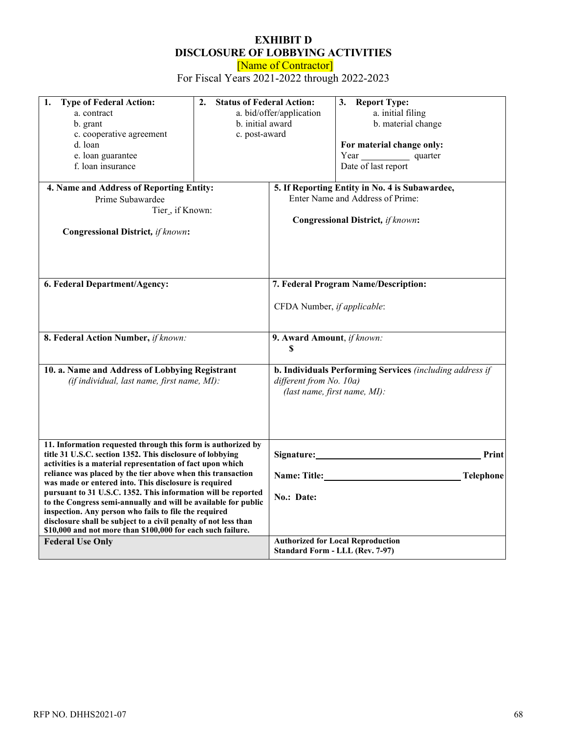# **EXHIBIT D DISCLOSURE OF LOBBYING ACTIVITIES**

[Name of Contractor]

For Fiscal Years 2021-2022 through 2022-2023

| 1.<br><b>Type of Federal Action:</b><br>a. contract<br>b. grant<br>c. cooperative agreement<br>d. loan<br>e. loan guarantee<br>f. loan insurance                                                                                                                                                                                                                                                                                                                                                                                                                                                                                                                         | <b>Status of Federal Action:</b><br>2.<br>a. bid/offer/application<br>b. initial award<br>c. post-award |                                                            | 3. Report Type:<br>a. initial filing<br>b. material change<br>For material change only:<br>Year quarter<br>Date of last report                      |  |  |
|--------------------------------------------------------------------------------------------------------------------------------------------------------------------------------------------------------------------------------------------------------------------------------------------------------------------------------------------------------------------------------------------------------------------------------------------------------------------------------------------------------------------------------------------------------------------------------------------------------------------------------------------------------------------------|---------------------------------------------------------------------------------------------------------|------------------------------------------------------------|-----------------------------------------------------------------------------------------------------------------------------------------------------|--|--|
| 4. Name and Address of Reporting Entity:<br>Prime Subawardee<br>Tier_, if Known:<br><b>Congressional District, if known:</b>                                                                                                                                                                                                                                                                                                                                                                                                                                                                                                                                             |                                                                                                         |                                                            | 5. If Reporting Entity in No. 4 is Subawardee,<br>Enter Name and Address of Prime:<br><b>Congressional District, if known:</b>                      |  |  |
| 6. Federal Department/Agency:                                                                                                                                                                                                                                                                                                                                                                                                                                                                                                                                                                                                                                            |                                                                                                         | CFDA Number, if applicable:                                | 7. Federal Program Name/Description:                                                                                                                |  |  |
| 8. Federal Action Number, if known:<br>10. a. Name and Address of Lobbying Registrant<br>(if individual, last name, first name, MI):                                                                                                                                                                                                                                                                                                                                                                                                                                                                                                                                     |                                                                                                         | 9. Award Amount, if known:<br>S<br>different from No. 10a) | b. Individuals Performing Services (including address if<br>(last name, first name, MI):                                                            |  |  |
| 11. Information requested through this form is authorized by<br>title 31 U.S.C. section 1352. This disclosure of lobbying<br>activities is a material representation of fact upon which<br>reliance was placed by the tier above when this transaction<br>was made or entered into. This disclosure is required<br>pursuant to 31 U.S.C. 1352. This information will be reported<br>to the Congress semi-annually and will be available for public<br>inspection. Any person who fails to file the required<br>disclosure shall be subject to a civil penalty of not less than<br>\$10,000 and not more than \$100,000 for each such failure.<br><b>Federal Use Only</b> |                                                                                                         | No.: Date:                                                 | Signature:<br>Print<br>Name: Title: Name: Title:<br><b>Telephone</b><br><b>Authorized for Local Reproduction</b><br>Standard Form - LLL (Rev. 7-97) |  |  |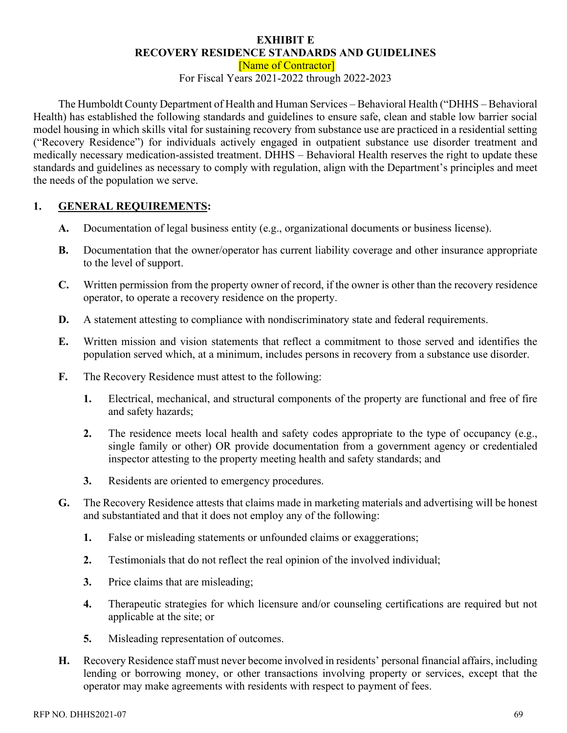#### **EXHIBIT E RECOVERY RESIDENCE STANDARDS AND GUIDELINES**

[Name of Contractor]

For Fiscal Years 2021-2022 through 2022-2023

The Humboldt County Department of Health and Human Services – Behavioral Health ("DHHS – Behavioral Health) has established the following standards and guidelines to ensure safe, clean and stable low barrier social model housing in which skills vital for sustaining recovery from substance use are practiced in a residential setting ("Recovery Residence") for individuals actively engaged in outpatient substance use disorder treatment and medically necessary medication-assisted treatment. DHHS – Behavioral Health reserves the right to update these standards and guidelines as necessary to comply with regulation, align with the Department's principles and meet the needs of the population we serve.

## **1. GENERAL REQUIREMENTS:**

- **A.** Documentation of legal business entity (e.g., organizational documents or business license).
- **B.** Documentation that the owner/operator has current liability coverage and other insurance appropriate to the level of support.
- **C.** Written permission from the property owner of record, if the owner is other than the recovery residence operator, to operate a recovery residence on the property.
- **D.** A statement attesting to compliance with nondiscriminatory state and federal requirements.
- **E.** Written mission and vision statements that reflect a commitment to those served and identifies the population served which, at a minimum, includes persons in recovery from a substance use disorder.
- **F.** The Recovery Residence must attest to the following:
	- **1.** Electrical, mechanical, and structural components of the property are functional and free of fire and safety hazards;
	- **2.** The residence meets local health and safety codes appropriate to the type of occupancy (e.g., single family or other) OR provide documentation from a government agency or credentialed inspector attesting to the property meeting health and safety standards; and
	- **3.** Residents are oriented to emergency procedures.
- **G.** The Recovery Residence attests that claims made in marketing materials and advertising will be honest and substantiated and that it does not employ any of the following:
	- **1.** False or misleading statements or unfounded claims or exaggerations;
	- **2.** Testimonials that do not reflect the real opinion of the involved individual;
	- **3.** Price claims that are misleading;
	- **4.** Therapeutic strategies for which licensure and/or counseling certifications are required but not applicable at the site; or
	- **5.** Misleading representation of outcomes.
- **H.** Recovery Residence staff must never become involved in residents' personal financial affairs, including lending or borrowing money, or other transactions involving property or services, except that the operator may make agreements with residents with respect to payment of fees.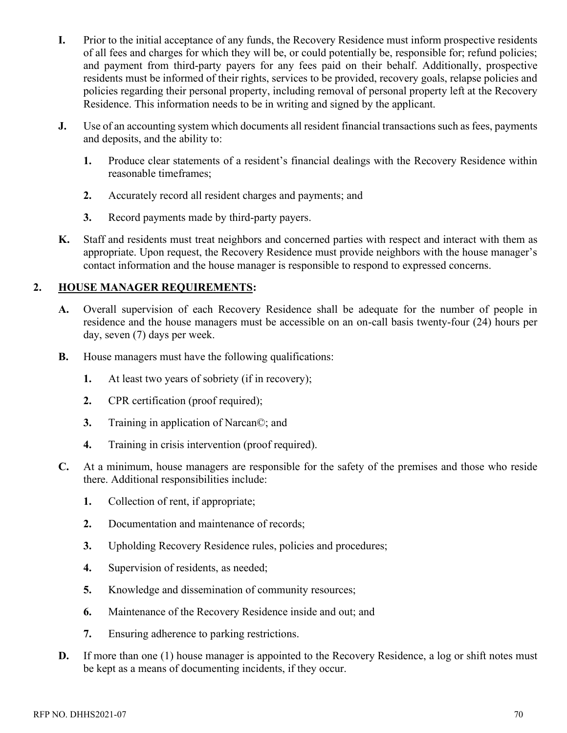- **I.** Prior to the initial acceptance of any funds, the Recovery Residence must inform prospective residents of all fees and charges for which they will be, or could potentially be, responsible for; refund policies; and payment from third-party payers for any fees paid on their behalf. Additionally, prospective residents must be informed of their rights, services to be provided, recovery goals, relapse policies and policies regarding their personal property, including removal of personal property left at the Recovery Residence. This information needs to be in writing and signed by the applicant.
- **J.** Use of an accounting system which documents all resident financial transactions such as fees, payments and deposits, and the ability to:
	- **1.** Produce clear statements of a resident's financial dealings with the Recovery Residence within reasonable timeframes;
	- **2.** Accurately record all resident charges and payments; and
	- **3.** Record payments made by third-party payers.
- **K.** Staff and residents must treat neighbors and concerned parties with respect and interact with them as appropriate. Upon request, the Recovery Residence must provide neighbors with the house manager's contact information and the house manager is responsible to respond to expressed concerns.

## **2. HOUSE MANAGER REQUIREMENTS:**

- **A.** Overall supervision of each Recovery Residence shall be adequate for the number of people in residence and the house managers must be accessible on an on-call basis twenty-four (24) hours per day, seven (7) days per week.
- **B.** House managers must have the following qualifications:
	- **1.** At least two years of sobriety (if in recovery);
	- **2.** CPR certification (proof required);
	- **3.** Training in application of Narcan©; and
	- **4.** Training in crisis intervention (proof required).
- **C.** At a minimum, house managers are responsible for the safety of the premises and those who reside there. Additional responsibilities include:
	- **1.** Collection of rent, if appropriate;
	- **2.** Documentation and maintenance of records;
	- **3.** Upholding Recovery Residence rules, policies and procedures;
	- **4.** Supervision of residents, as needed;
	- **5.** Knowledge and dissemination of community resources;
	- **6.** Maintenance of the Recovery Residence inside and out; and
	- **7.** Ensuring adherence to parking restrictions.
- **D.** If more than one (1) house manager is appointed to the Recovery Residence, a log or shift notes must be kept as a means of documenting incidents, if they occur.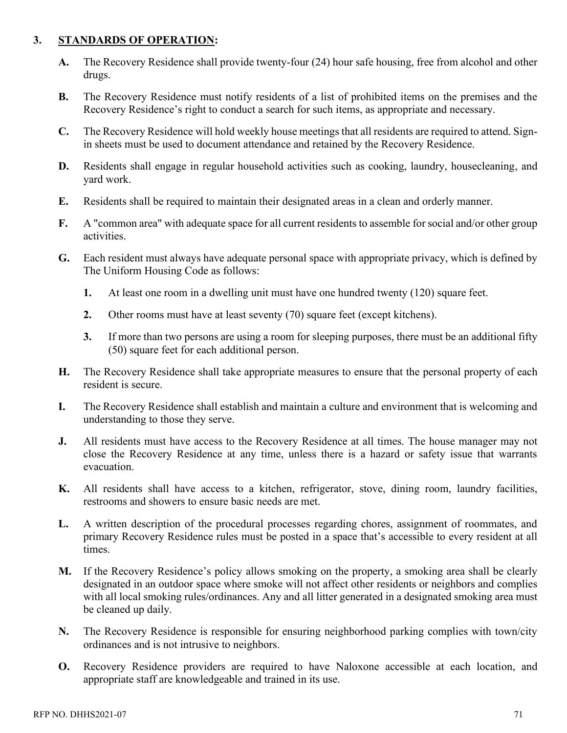## **3. STANDARDS OF OPERATION:**

- **A.** The Recovery Residence shall provide twenty-four (24) hour safe housing, free from alcohol and other drugs.
- **B.** The Recovery Residence must notify residents of a list of prohibited items on the premises and the Recovery Residence's right to conduct a search for such items, as appropriate and necessary.
- **C.** The Recovery Residence will hold weekly house meetings that all residents are required to attend. Signin sheets must be used to document attendance and retained by the Recovery Residence.
- **D.** Residents shall engage in regular household activities such as cooking, laundry, housecleaning, and yard work.
- **E.** Residents shall be required to maintain their designated areas in a clean and orderly manner.
- **F.** A "common area" with adequate space for all current residents to assemble for social and/or other group activities.
- **G.** Each resident must always have adequate personal space with appropriate privacy, which is defined by The Uniform Housing Code as follows:
	- **1.** At least one room in a dwelling unit must have one hundred twenty (120) square feet.
	- **2.** Other rooms must have at least seventy (70) square feet (except kitchens).
	- **3.** If more than two persons are using a room for sleeping purposes, there must be an additional fifty (50) square feet for each additional person.
- **H.** The Recovery Residence shall take appropriate measures to ensure that the personal property of each resident is secure.
- **I.** The Recovery Residence shall establish and maintain a culture and environment that is welcoming and understanding to those they serve.
- **J.** All residents must have access to the Recovery Residence at all times. The house manager may not close the Recovery Residence at any time, unless there is a hazard or safety issue that warrants evacuation.
- **K.** All residents shall have access to a kitchen, refrigerator, stove, dining room, laundry facilities, restrooms and showers to ensure basic needs are met.
- **L.** A written description of the procedural processes regarding chores, assignment of roommates, and primary Recovery Residence rules must be posted in a space that's accessible to every resident at all times.
- **M.** If the Recovery Residence's policy allows smoking on the property, a smoking area shall be clearly designated in an outdoor space where smoke will not affect other residents or neighbors and complies with all local smoking rules/ordinances. Any and all litter generated in a designated smoking area must be cleaned up daily.
- **N.** The Recovery Residence is responsible for ensuring neighborhood parking complies with town/city ordinances and is not intrusive to neighbors.
- **O.** Recovery Residence providers are required to have Naloxone accessible at each location, and appropriate staff are knowledgeable and trained in its use.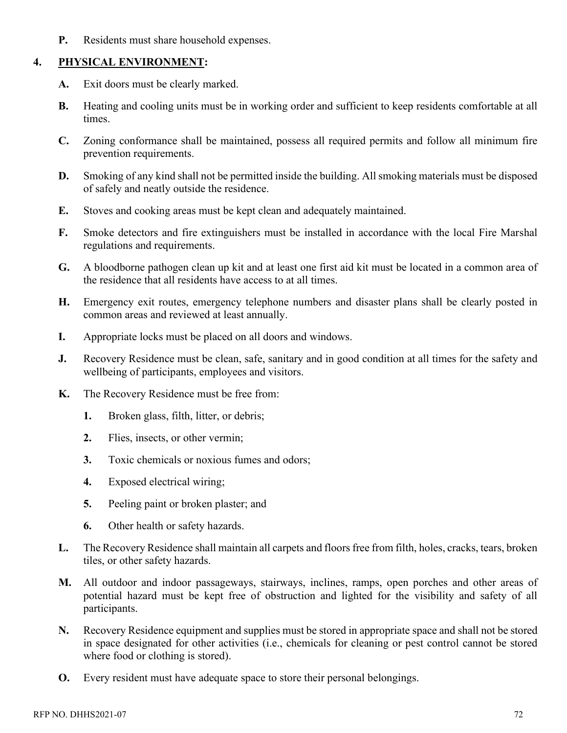**P.** Residents must share household expenses.

### **4. PHYSICAL ENVIRONMENT:**

- **A.** Exit doors must be clearly marked.
- **B.** Heating and cooling units must be in working order and sufficient to keep residents comfortable at all times.
- **C.** Zoning conformance shall be maintained, possess all required permits and follow all minimum fire prevention requirements.
- **D.** Smoking of any kind shall not be permitted inside the building. All smoking materials must be disposed of safely and neatly outside the residence.
- **E.** Stoves and cooking areas must be kept clean and adequately maintained.
- **F.** Smoke detectors and fire extinguishers must be installed in accordance with the local Fire Marshal regulations and requirements.
- **G.** A bloodborne pathogen clean up kit and at least one first aid kit must be located in a common area of the residence that all residents have access to at all times.
- **H.** Emergency exit routes, emergency telephone numbers and disaster plans shall be clearly posted in common areas and reviewed at least annually.
- **I.** Appropriate locks must be placed on all doors and windows.
- **J.** Recovery Residence must be clean, safe, sanitary and in good condition at all times for the safety and wellbeing of participants, employees and visitors.
- **K.** The Recovery Residence must be free from:
	- **1.** Broken glass, filth, litter, or debris;
	- **2.** Flies, insects, or other vermin;
	- **3.** Toxic chemicals or noxious fumes and odors;
	- **4.** Exposed electrical wiring;
	- **5.** Peeling paint or broken plaster; and
	- **6.** Other health or safety hazards.
- **L.** The Recovery Residence shall maintain all carpets and floors free from filth, holes, cracks, tears, broken tiles, or other safety hazards.
- **M.** All outdoor and indoor passageways, stairways, inclines, ramps, open porches and other areas of potential hazard must be kept free of obstruction and lighted for the visibility and safety of all participants.
- **N.** Recovery Residence equipment and supplies must be stored in appropriate space and shall not be stored in space designated for other activities (i.e., chemicals for cleaning or pest control cannot be stored where food or clothing is stored).
- **O.** Every resident must have adequate space to store their personal belongings.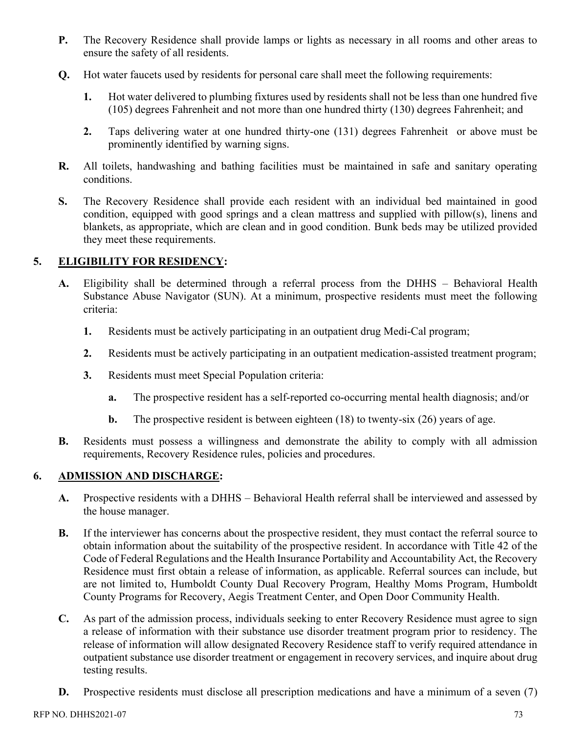- **P.** The Recovery Residence shall provide lamps or lights as necessary in all rooms and other areas to ensure the safety of all residents.
- **Q.** Hot water faucets used by residents for personal care shall meet the following requirements:
	- **1.** Hot water delivered to plumbing fixtures used by residents shall not be less than one hundred five (105) degrees Fahrenheit and not more than one hundred thirty (130) degrees Fahrenheit; and
	- **2.** Taps delivering water at one hundred thirty-one (131) degrees Fahrenheit or above must be prominently identified by warning signs.
- **R.** All toilets, handwashing and bathing facilities must be maintained in safe and sanitary operating conditions.
- **S.** The Recovery Residence shall provide each resident with an individual bed maintained in good condition, equipped with good springs and a clean mattress and supplied with pillow(s), linens and blankets, as appropriate, which are clean and in good condition. Bunk beds may be utilized provided they meet these requirements.

### **5. ELIGIBILITY FOR RESIDENCY:**

- **A.** Eligibility shall be determined through a referral process from the DHHS Behavioral Health Substance Abuse Navigator (SUN). At a minimum, prospective residents must meet the following criteria:
	- **1.** Residents must be actively participating in an outpatient drug Medi-Cal program;
	- **2.** Residents must be actively participating in an outpatient medication-assisted treatment program;
	- **3.** Residents must meet Special Population criteria:
		- **a.** The prospective resident has a self-reported co-occurring mental health diagnosis; and/or
		- **b.** The prospective resident is between eighteen (18) to twenty-six (26) years of age.
- **B.** Residents must possess a willingness and demonstrate the ability to comply with all admission requirements, Recovery Residence rules, policies and procedures.

#### **6. ADMISSION AND DISCHARGE:**

- **A.** Prospective residents with a DHHS Behavioral Health referral shall be interviewed and assessed by the house manager.
- **B.** If the interviewer has concerns about the prospective resident, they must contact the referral source to obtain information about the suitability of the prospective resident. In accordance with Title 42 of the Code of Federal Regulations and the Health Insurance Portability and Accountability Act, the Recovery Residence must first obtain a release of information, as applicable. Referral sources can include, but are not limited to, Humboldt County Dual Recovery Program, Healthy Moms Program, Humboldt County Programs for Recovery, Aegis Treatment Center, and Open Door Community Health.
- **C.** As part of the admission process, individuals seeking to enter Recovery Residence must agree to sign a release of information with their substance use disorder treatment program prior to residency. The release of information will allow designated Recovery Residence staff to verify required attendance in outpatient substance use disorder treatment or engagement in recovery services, and inquire about drug testing results.
- **D.** Prospective residents must disclose all prescription medications and have a minimum of a seven (7)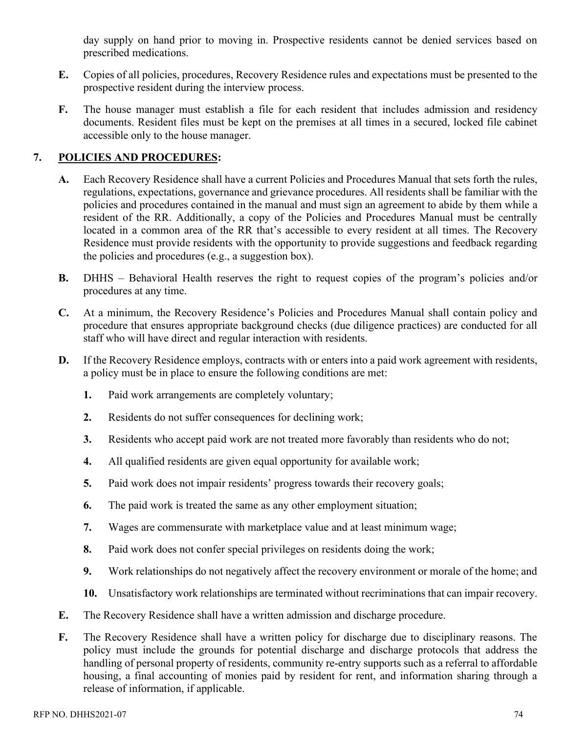day supply on hand prior to moving in. Prospective residents cannot be denied services based on prescribed medications.

- **E.** Copies of all policies, procedures, Recovery Residence rules and expectations must be presented to the prospective resident during the interview process.
- **F.** The house manager must establish a file for each resident that includes admission and residency documents. Resident files must be kept on the premises at all times in a secured, locked file cabinet accessible only to the house manager.

## **7. POLICIES AND PROCEDURES:**

- **A.** Each Recovery Residence shall have a current Policies and Procedures Manual that sets forth the rules, regulations, expectations, governance and grievance procedures. All residents shall be familiar with the policies and procedures contained in the manual and must sign an agreement to abide by them while a resident of the RR. Additionally, a copy of the Policies and Procedures Manual must be centrally located in a common area of the RR that's accessible to every resident at all times. The Recovery Residence must provide residents with the opportunity to provide suggestions and feedback regarding the policies and procedures (e.g., a suggestion box).
- **B.** DHHS Behavioral Health reserves the right to request copies of the program's policies and/or procedures at any time.
- **C.** At a minimum, the Recovery Residence's Policies and Procedures Manual shall contain policy and procedure that ensures appropriate background checks (due diligence practices) are conducted for all staff who will have direct and regular interaction with residents.
- **D.** If the Recovery Residence employs, contracts with or enters into a paid work agreement with residents, a policy must be in place to ensure the following conditions are met:
	- **1.** Paid work arrangements are completely voluntary;
	- **2.** Residents do not suffer consequences for declining work;
	- **3.** Residents who accept paid work are not treated more favorably than residents who do not;
	- **4.** All qualified residents are given equal opportunity for available work;
	- **5.** Paid work does not impair residents' progress towards their recovery goals;
	- **6.** The paid work is treated the same as any other employment situation;
	- **7.** Wages are commensurate with marketplace value and at least minimum wage;
	- **8.** Paid work does not confer special privileges on residents doing the work;
	- **9.** Work relationships do not negatively affect the recovery environment or morale of the home; and
	- **10.** Unsatisfactory work relationships are terminated without recriminations that can impair recovery.
- **E.** The Recovery Residence shall have a written admission and discharge procedure.
- **F.** The Recovery Residence shall have a written policy for discharge due to disciplinary reasons. The policy must include the grounds for potential discharge and discharge protocols that address the handling of personal property of residents, community re-entry supports such as a referral to affordable housing, a final accounting of monies paid by resident for rent, and information sharing through a release of information, if applicable.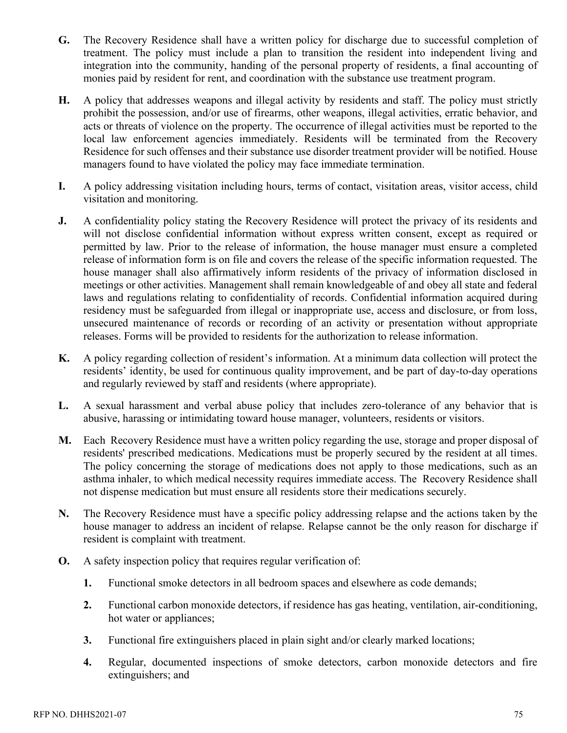- **G.** The Recovery Residence shall have a written policy for discharge due to successful completion of treatment. The policy must include a plan to transition the resident into independent living and integration into the community, handing of the personal property of residents, a final accounting of monies paid by resident for rent, and coordination with the substance use treatment program.
- **H.** A policy that addresses weapons and illegal activity by residents and staff. The policy must strictly prohibit the possession, and/or use of firearms, other weapons, illegal activities, erratic behavior, and acts or threats of violence on the property. The occurrence of illegal activities must be reported to the local law enforcement agencies immediately. Residents will be terminated from the Recovery Residence for such offenses and their substance use disorder treatment provider will be notified. House managers found to have violated the policy may face immediate termination.
- **I.** A policy addressing visitation including hours, terms of contact, visitation areas, visitor access, child visitation and monitoring.
- **J.** A confidentiality policy stating the Recovery Residence will protect the privacy of its residents and will not disclose confidential information without express written consent, except as required or permitted by law. Prior to the release of information, the house manager must ensure a completed release of information form is on file and covers the release of the specific information requested. The house manager shall also affirmatively inform residents of the privacy of information disclosed in meetings or other activities. Management shall remain knowledgeable of and obey all state and federal laws and regulations relating to confidentiality of records. Confidential information acquired during residency must be safeguarded from illegal or inappropriate use, access and disclosure, or from loss, unsecured maintenance of records or recording of an activity or presentation without appropriate releases. Forms will be provided to residents for the authorization to release information.
- **K.** A policy regarding collection of resident's information. At a minimum data collection will protect the residents' identity, be used for continuous quality improvement, and be part of day-to-day operations and regularly reviewed by staff and residents (where appropriate).
- **L.** A sexual harassment and verbal abuse policy that includes zero-tolerance of any behavior that is abusive, harassing or intimidating toward house manager, volunteers, residents or visitors.
- **M.** Each Recovery Residence must have a written policy regarding the use, storage and proper disposal of residents' prescribed medications. Medications must be properly secured by the resident at all times. The policy concerning the storage of medications does not apply to those medications, such as an asthma inhaler, to which medical necessity requires immediate access. The Recovery Residence shall not dispense medication but must ensure all residents store their medications securely.
- **N.** The Recovery Residence must have a specific policy addressing relapse and the actions taken by the house manager to address an incident of relapse. Relapse cannot be the only reason for discharge if resident is complaint with treatment.
- **O.** A safety inspection policy that requires regular verification of:
	- **1.** Functional smoke detectors in all bedroom spaces and elsewhere as code demands;
	- **2.** Functional carbon monoxide detectors, if residence has gas heating, ventilation, air-conditioning, hot water or appliances;
	- **3.** Functional fire extinguishers placed in plain sight and/or clearly marked locations;
	- **4.** Regular, documented inspections of smoke detectors, carbon monoxide detectors and fire extinguishers; and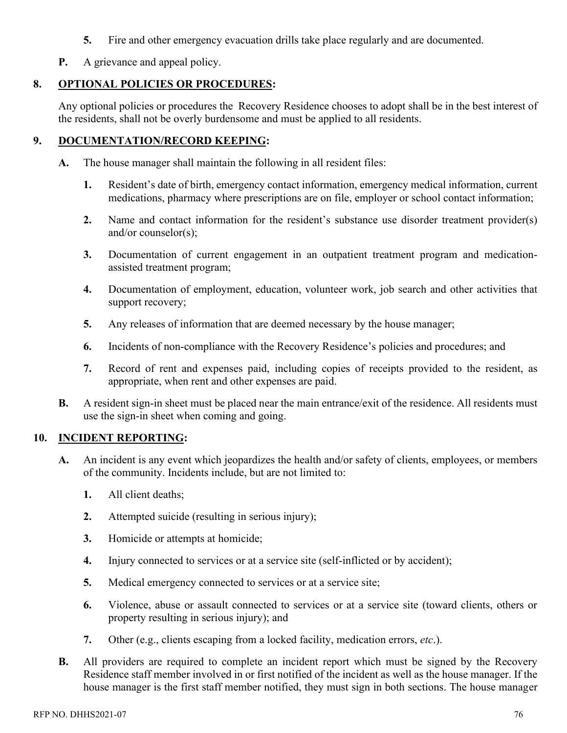- **5.** Fire and other emergency evacuation drills take place regularly and are documented.
- **P.** A grievance and appeal policy.

# **8. OPTIONAL POLICIES OR PROCEDURES:**

Any optional policies or procedures the Recovery Residence chooses to adopt shall be in the best interest of the residents, shall not be overly burdensome and must be applied to all residents.

## **9. DOCUMENTATION/RECORD KEEPING:**

- **A.** The house manager shall maintain the following in all resident files:
	- **1.** Resident's date of birth, emergency contact information, emergency medical information, current medications, pharmacy where prescriptions are on file, employer or school contact information;
	- **2.** Name and contact information for the resident's substance use disorder treatment provider(s) and/or counselor(s);
	- **3.** Documentation of current engagement in an outpatient treatment program and medicationassisted treatment program;
	- **4.** Documentation of employment, education, volunteer work, job search and other activities that support recovery;
	- **5.** Any releases of information that are deemed necessary by the house manager;
	- **6.** Incidents of non-compliance with the Recovery Residence's policies and procedures; and
	- **7.** Record of rent and expenses paid, including copies of receipts provided to the resident, as appropriate, when rent and other expenses are paid.
- **B.** A resident sign-in sheet must be placed near the main entrance/exit of the residence. All residents must use the sign-in sheet when coming and going.

## **10. INCIDENT REPORTING:**

- **A.** An incident is any event which jeopardizes the health and/or safety of clients, employees, or members of the community. Incidents include, but are not limited to:
	- **1.** All client deaths;
	- **2.** Attempted suicide (resulting in serious injury);
	- **3.** Homicide or attempts at homicide;
	- **4.** Injury connected to services or at a service site (self-inflicted or by accident);
	- **5.** Medical emergency connected to services or at a service site;
	- **6.** Violence, abuse or assault connected to services or at a service site (toward clients, others or property resulting in serious injury); and
	- **7.** Other (e.g., clients escaping from a locked facility, medication errors, *etc*.).
- **B.** All providers are required to complete an incident report which must be signed by the Recovery Residence staff member involved in or first notified of the incident as well as the house manager. If the house manager is the first staff member notified, they must sign in both sections. The house manager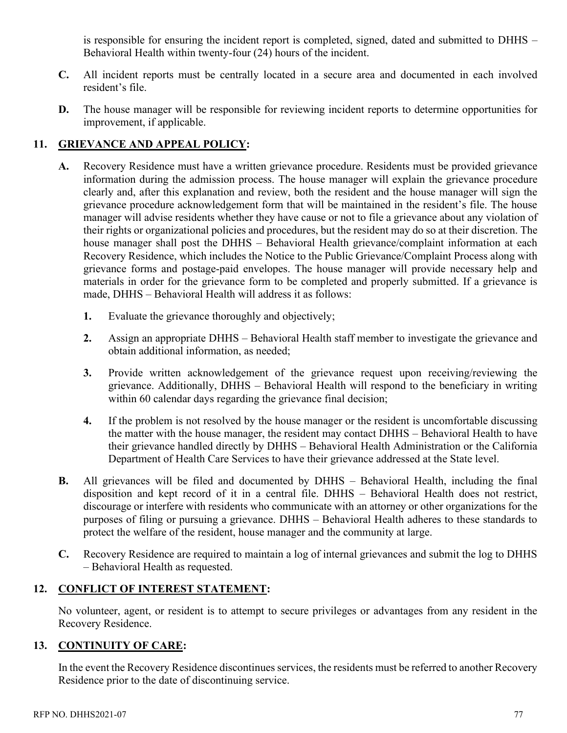is responsible for ensuring the incident report is completed, signed, dated and submitted to DHHS – Behavioral Health within twenty-four (24) hours of the incident.

- **C.** All incident reports must be centrally located in a secure area and documented in each involved resident's file.
- **D.** The house manager will be responsible for reviewing incident reports to determine opportunities for improvement, if applicable.

# **11. GRIEVANCE AND APPEAL POLICY:**

- **A.** Recovery Residence must have a written grievance procedure. Residents must be provided grievance information during the admission process. The house manager will explain the grievance procedure clearly and, after this explanation and review, both the resident and the house manager will sign the grievance procedure acknowledgement form that will be maintained in the resident's file. The house manager will advise residents whether they have cause or not to file a grievance about any violation of their rights or organizational policies and procedures, but the resident may do so at their discretion. The house manager shall post the DHHS – Behavioral Health grievance/complaint information at each Recovery Residence, which includes the Notice to the Public Grievance/Complaint Process along with grievance forms and postage-paid envelopes. The house manager will provide necessary help and materials in order for the grievance form to be completed and properly submitted. If a grievance is made, DHHS – Behavioral Health will address it as follows:
	- **1.** Evaluate the grievance thoroughly and objectively;
	- **2.** Assign an appropriate DHHS Behavioral Health staff member to investigate the grievance and obtain additional information, as needed;
	- **3.** Provide written acknowledgement of the grievance request upon receiving/reviewing the grievance. Additionally, DHHS – Behavioral Health will respond to the beneficiary in writing within 60 calendar days regarding the grievance final decision;
	- **4.** If the problem is not resolved by the house manager or the resident is uncomfortable discussing the matter with the house manager, the resident may contact DHHS – Behavioral Health to have their grievance handled directly by DHHS – Behavioral Health Administration or the California Department of Health Care Services to have their grievance addressed at the State level.
- **B.** All grievances will be filed and documented by DHHS Behavioral Health, including the final disposition and kept record of it in a central file. DHHS – Behavioral Health does not restrict, discourage or interfere with residents who communicate with an attorney or other organizations for the purposes of filing or pursuing a grievance. DHHS – Behavioral Health adheres to these standards to protect the welfare of the resident, house manager and the community at large.
- **C.** Recovery Residence are required to maintain a log of internal grievances and submit the log to DHHS – Behavioral Health as requested.

# **12. CONFLICT OF INTEREST STATEMENT:**

No volunteer, agent, or resident is to attempt to secure privileges or advantages from any resident in the Recovery Residence.

# **13. CONTINUITY OF CARE:**

In the event the Recovery Residence discontinues services, the residents must be referred to another Recovery Residence prior to the date of discontinuing service.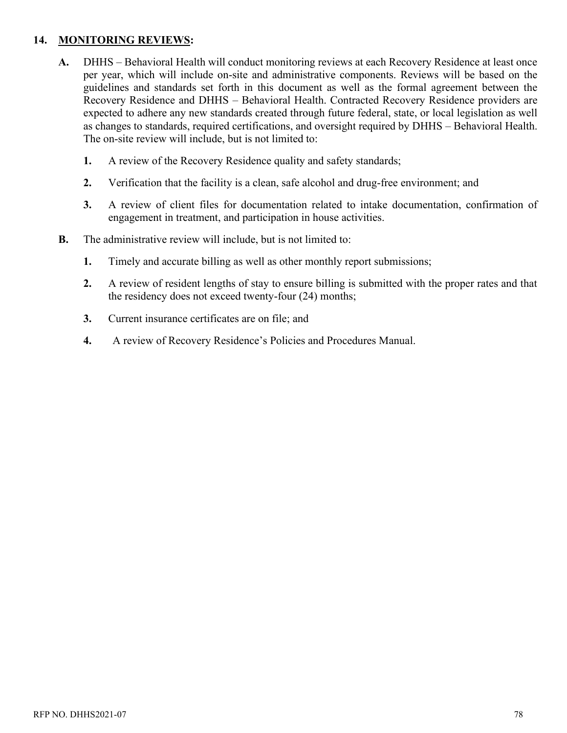## **14. MONITORING REVIEWS:**

- **A.** DHHS Behavioral Health will conduct monitoring reviews at each Recovery Residence at least once per year, which will include on-site and administrative components. Reviews will be based on the guidelines and standards set forth in this document as well as the formal agreement between the Recovery Residence and DHHS – Behavioral Health. Contracted Recovery Residence providers are expected to adhere any new standards created through future federal, state, or local legislation as well as changes to standards, required certifications, and oversight required by DHHS – Behavioral Health. The on-site review will include, but is not limited to:
	- **1.** A review of the Recovery Residence quality and safety standards;
	- **2.** Verification that the facility is a clean, safe alcohol and drug-free environment; and
	- **3.** A review of client files for documentation related to intake documentation, confirmation of engagement in treatment, and participation in house activities.
- **B.** The administrative review will include, but is not limited to:
	- **1.** Timely and accurate billing as well as other monthly report submissions;
	- **2.** A review of resident lengths of stay to ensure billing is submitted with the proper rates and that the residency does not exceed twenty-four (24) months;
	- **3.** Current insurance certificates are on file; and
	- **4.** A review of Recovery Residence's Policies and Procedures Manual.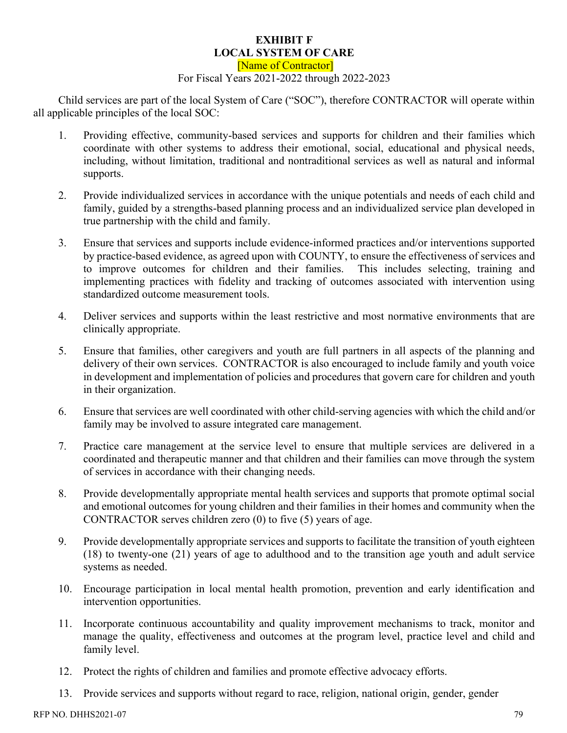#### **EXHIBIT F LOCAL SYSTEM OF CARE**

[Name of Contractor] For Fiscal Years 2021-2022 through 2022-2023

Child services are part of the local System of Care ("SOC"), therefore CONTRACTOR will operate within all applicable principles of the local SOC:

- 1. Providing effective, community-based services and supports for children and their families which coordinate with other systems to address their emotional, social, educational and physical needs, including, without limitation, traditional and nontraditional services as well as natural and informal supports.
- 2. Provide individualized services in accordance with the unique potentials and needs of each child and family, guided by a strengths-based planning process and an individualized service plan developed in true partnership with the child and family.
- 3. Ensure that services and supports include evidence-informed practices and/or interventions supported by practice-based evidence, as agreed upon with COUNTY, to ensure the effectiveness of services and to improve outcomes for children and their families. This includes selecting, training and implementing practices with fidelity and tracking of outcomes associated with intervention using standardized outcome measurement tools.
- 4. Deliver services and supports within the least restrictive and most normative environments that are clinically appropriate.
- 5. Ensure that families, other caregivers and youth are full partners in all aspects of the planning and delivery of their own services. CONTRACTOR is also encouraged to include family and youth voice in development and implementation of policies and procedures that govern care for children and youth in their organization.
- 6. Ensure that services are well coordinated with other child-serving agencies with which the child and/or family may be involved to assure integrated care management.
- 7. Practice care management at the service level to ensure that multiple services are delivered in a coordinated and therapeutic manner and that children and their families can move through the system of services in accordance with their changing needs.
- 8. Provide developmentally appropriate mental health services and supports that promote optimal social and emotional outcomes for young children and their families in their homes and community when the CONTRACTOR serves children zero (0) to five (5) years of age.
- 9. Provide developmentally appropriate services and supports to facilitate the transition of youth eighteen (18) to twenty-one (21) years of age to adulthood and to the transition age youth and adult service systems as needed.
- 10. Encourage participation in local mental health promotion, prevention and early identification and intervention opportunities.
- 11. Incorporate continuous accountability and quality improvement mechanisms to track, monitor and manage the quality, effectiveness and outcomes at the program level, practice level and child and family level.
- 12. Protect the rights of children and families and promote effective advocacy efforts.
- 13. Provide services and supports without regard to race, religion, national origin, gender, gender